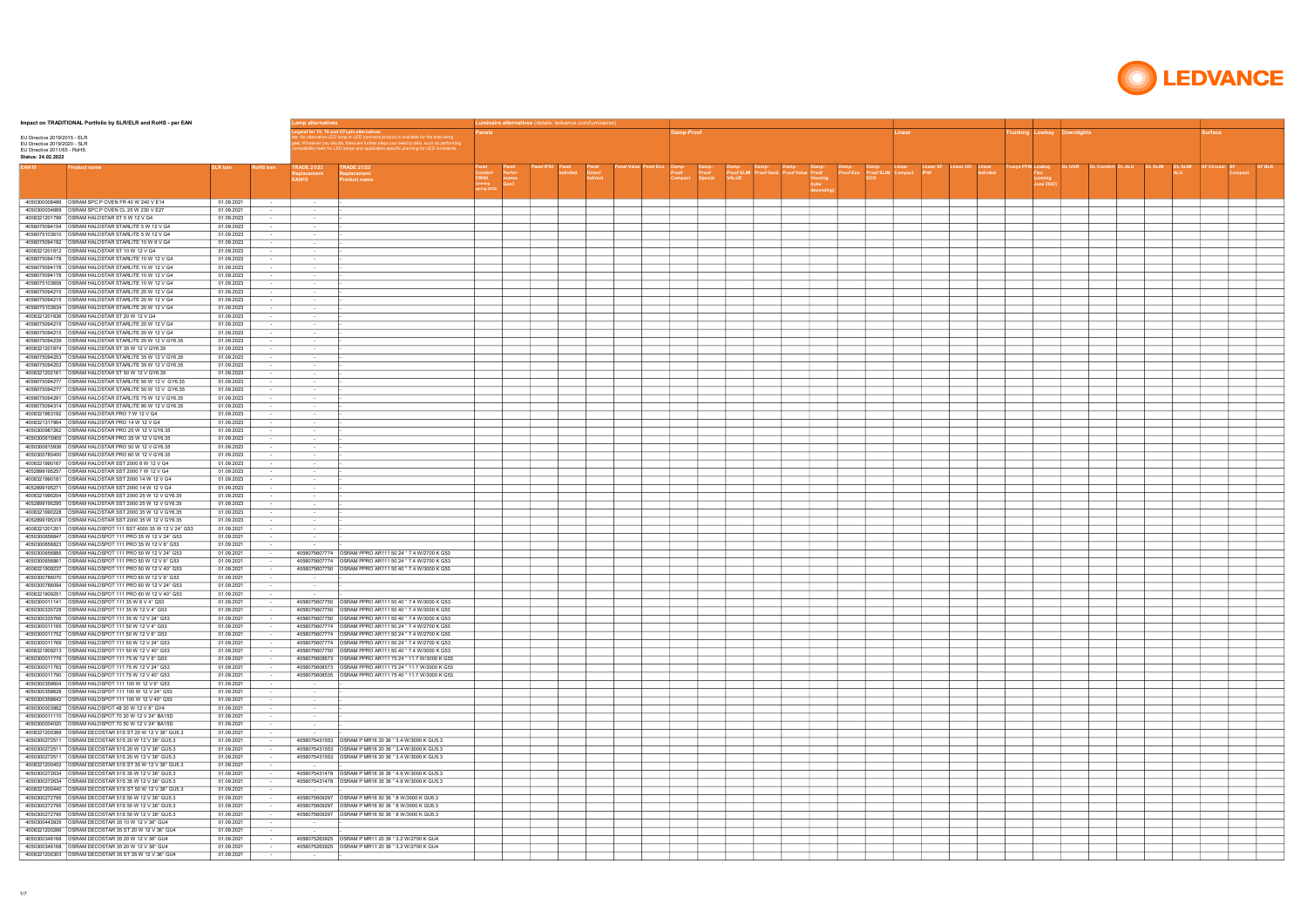| Impact on TRADITIONAL Portfolio by SLR/ELR and RoHS - per EAN                                                    |                          |                                    | amp alternatives.                 |                                                                                                                                                                                                                           |       | Luminaire alternatives (details: ledvance.com/luminaires) |  |  |            |  |  |       |                                                      |  |        |  |
|------------------------------------------------------------------------------------------------------------------|--------------------------|------------------------------------|-----------------------------------|---------------------------------------------------------------------------------------------------------------------------------------------------------------------------------------------------------------------------|-------|-----------------------------------------------------------|--|--|------------|--|--|-------|------------------------------------------------------|--|--------|--|
| EU Directive 2019/2015 - ELR<br>EU Directive 2019/2020 - SLR<br>EU Directive 2011/65 - RoHS                      |                          |                                    |                                   | inaire product is available for the time being<br>Whatever you decide, there are further steps you need to take, such as performing<br>itbility tests for LED lamps and application-specific planning for LED luminaires. |       |                                                           |  |  | )amp-Proof |  |  | inear | unking Lowbay Downlights'                            |  | ırface |  |
| Status: 24.02.2022<br>Product name                                                                               | SLR ban                  | RoHS ban                           | <b>TRADE 21/22</b><br>EAN10       | <b>TRADE 21/22</b><br><b>Product name</b>                                                                                                                                                                                 | CRI90 | mance<br>Gen3                                             |  |  |            |  |  |       | DL UGR<br><b>ISVS PFM Lowbay</b><br>oming<br>une 202 |  |        |  |
|                                                                                                                  | 01.09.2021               | $\sim$ 100 $\pm$                   | <b>Contract</b>                   |                                                                                                                                                                                                                           |       |                                                           |  |  |            |  |  |       |                                                      |  |        |  |
| 4050300034669 OSRAM SPC.P OVEN CL 25 W 230 V E27                                                                 | 01.09.2021               | $\sim$ 100 $\mu$                   |                                   |                                                                                                                                                                                                                           |       |                                                           |  |  |            |  |  |       |                                                      |  |        |  |
| 4008321201799 OSRAM HALOSTAR ST 5 W 12 V G4                                                                      | 01.09.2023               | $\sim$ 100 $\pm$                   | $\sim$                            |                                                                                                                                                                                                                           |       |                                                           |  |  |            |  |  |       |                                                      |  |        |  |
| 4058075094154 OSRAM HALOSTAR STARLITE 5 W 12 V G4<br>4058075103610 OSRAM HALOSTAR STARLITE 5 W 12 V G4           | 01.09.2023               | $\sim$ $\sim$                      | $\sim$                            |                                                                                                                                                                                                                           |       |                                                           |  |  |            |  |  |       |                                                      |  |        |  |
| 4058075094192 OSRAM HALOSTAR STARLITE 10 W 6 V G4                                                                | 01.09.2023<br>01.09.2023 | $\sim$ 100 $\pm$<br>$\sim$ $\sim$  | $\sim$ 100 $\pm$<br>$\sim$        |                                                                                                                                                                                                                           |       |                                                           |  |  |            |  |  |       |                                                      |  |        |  |
| 4008321201812 OSRAM HALOSTAR ST 10 W 12 V G4                                                                     | 01.09.2023               | $\sim$                             | $\sim$                            |                                                                                                                                                                                                                           |       |                                                           |  |  |            |  |  |       |                                                      |  |        |  |
| 4058075094178 OSRAM HALOSTAR STARLITE 10 W 12 V G4                                                               | 01.09.2023               | $\sim$                             | $\sim$                            |                                                                                                                                                                                                                           |       |                                                           |  |  |            |  |  |       |                                                      |  |        |  |
| 4058075094178 OSRAM HALOSTAR STARLITE 10 W 12 V G4                                                               | 01.09.2023<br>01.09.2023 | $\sim$ 100 $\pm$<br>$\sim$         | $\sim 10^{-1}$<br>$\sim$          |                                                                                                                                                                                                                           |       |                                                           |  |  |            |  |  |       |                                                      |  |        |  |
| 4058075103658 OSRAM HALOSTAR STARLITE 10 W 12 V G4                                                               | 01.09.2023               | $\sim$                             | $\sim$                            |                                                                                                                                                                                                                           |       |                                                           |  |  |            |  |  |       |                                                      |  |        |  |
| 4058075094215 OSRAM HALOSTAR STARLITE 20 W 12 V G4<br>4058075094215 OSRAM HALOSTAR STARLITE 20 W 12 V G4         | 01.09.2023<br>01.09.2023 | $\sim$                             | $\sim$<br>$\sim$                  |                                                                                                                                                                                                                           |       |                                                           |  |  |            |  |  |       |                                                      |  |        |  |
| 4058075103634 OSRAM HALOSTAR STARLITE 20 W 12 V G4                                                               | 01.09.2023               | $\sim$<br>$\sim$                   | $\sim$                            |                                                                                                                                                                                                                           |       |                                                           |  |  |            |  |  |       |                                                      |  |        |  |
| 4008321201836   OSRAM HALOSTAR ST 20 W 12 V G4                                                                   | 01.09.2023               | $\sim$                             | $\sim$                            |                                                                                                                                                                                                                           |       |                                                           |  |  |            |  |  |       |                                                      |  |        |  |
| 4058075094215 OSRAM HALOSTAR STARLITE 20 W 12 V G4<br>4058075094215 OSRAM HALOSTAR STARLITE 20 W 12 V G4         | 01.09.2023<br>01.09.2023 | $\sim$                             | $\sim$                            |                                                                                                                                                                                                                           |       |                                                           |  |  |            |  |  |       |                                                      |  |        |  |
| 4058075094239 OSRAM HALOSTAR STARLITE 20 W 12 V GY6.35                                                           | 01.09.2023               | $\sim$<br>$\sim$                   | $\sim$<br>$\sim$                  |                                                                                                                                                                                                                           |       |                                                           |  |  |            |  |  |       |                                                      |  |        |  |
| 4008321201874 OSRAM HALOSTAR ST 35 W 12 V GY6.35                                                                 | 01.09.2023               | $\sim$                             | $\sim$                            |                                                                                                                                                                                                                           |       |                                                           |  |  |            |  |  |       |                                                      |  |        |  |
| 4058075094253 OSRAM HALOSTAR STARLITE 35 W 12 V GY6.35                                                           | 01.09.2023<br>01.09.2023 | $\sim$ $-$                         | $\sim$                            |                                                                                                                                                                                                                           |       |                                                           |  |  |            |  |  |       |                                                      |  |        |  |
| 4008321202161 OSRAM HALOSTAR ST 50 W 12 V GY6.35                                                                 | 01.09.2023               | $\sim$<br>$\sim$                   | $\sim$<br>$\sim$                  |                                                                                                                                                                                                                           |       |                                                           |  |  |            |  |  |       |                                                      |  |        |  |
| 4058075094277 OSRAM HALOSTAR STARLITE 50 W 12 V GY6.35                                                           | 01.09.2023               | $\sim$                             | $\sim$                            |                                                                                                                                                                                                                           |       |                                                           |  |  |            |  |  |       |                                                      |  |        |  |
| 4058075094277 OSRAM HALOSTAR STARLITE 50 W 12 V GY6.35<br>4058075094291 OSRAM HALOSTAR STARLITE 75 W 12 V GY6.35 | 01.09.2023<br>01.09.2023 | $\sim$ $-$<br>$\sim$               | $\sim$<br>$\sim$                  |                                                                                                                                                                                                                           |       |                                                           |  |  |            |  |  |       |                                                      |  |        |  |
| 4058075094314 OSRAM HALOSTAR STARLITE 90 W 12 V GY6.35                                                           | 01.09.2023               | $\sim$ $-$                         | $\sim$                            |                                                                                                                                                                                                                           |       |                                                           |  |  |            |  |  |       |                                                      |  |        |  |
| 4008321963192 OSRAM HALOSTAR PRO 7 W 12 V G4                                                                     | 01.09.2023               | $\sim$                             | $\sim$                            |                                                                                                                                                                                                                           |       |                                                           |  |  |            |  |  |       |                                                      |  |        |  |
| 4008321317964 OSRAM HALOSTAR PRO 14 W 12 V G4<br>4050300987262 OSRAM HALOSTAR PRO 25 W 12 V GY6.35               | 01.09.2023<br>01.09.2023 | $\sim$ 100 $\sim$<br>$\sim$ $\sim$ | $\sim$                            |                                                                                                                                                                                                                           |       |                                                           |  |  |            |  |  |       |                                                      |  |        |  |
| 4050300615905 OSRAM HALOSTAR PRO 35 W 12 V GY6.35                                                                | 01.09.2023               | $\sim$                             | $\sim$<br>$\sim$ 100 $\pm$        |                                                                                                                                                                                                                           |       |                                                           |  |  |            |  |  |       |                                                      |  |        |  |
| 4050300615936 OSRAM HALOSTAR PRO 50 W 12 V GY6.35                                                                | 01.09.2023               | $\sim$ $-$                         | $\sim$                            |                                                                                                                                                                                                                           |       |                                                           |  |  |            |  |  |       |                                                      |  |        |  |
| 4050300785400 OSRAM HALOSTAR PRO 60 W 12 V GY6.35<br>4008321990167   OSRAM HALOSTAR SST 2000 8 W 12 V G4         | 01.09.2023               | $\sim$ 100 $\pm$<br>$\sim$         | $\sim$<br>$\sim$                  |                                                                                                                                                                                                                           |       |                                                           |  |  |            |  |  |       |                                                      |  |        |  |
| 4052899195257 OSRAM HALOSTAR SST 2000 7 W 12 V G4                                                                | 01.09.2023<br>01.09.2023 | $\sim$ 100 $\pm$                   | $\sim 10^{-1}$                    |                                                                                                                                                                                                                           |       |                                                           |  |  |            |  |  |       |                                                      |  |        |  |
|                                                                                                                  | 01.09.2023               | $\sim$                             | $\sim$                            |                                                                                                                                                                                                                           |       |                                                           |  |  |            |  |  |       |                                                      |  |        |  |
| 4008321990204 OSRAM HALOSTAR SST 2000 25 W 12 V GY6.35                                                           | 01.09.2023<br>01.09.2023 | $\sim$<br>$\sim$                   | $\sim$<br>$\sim$                  |                                                                                                                                                                                                                           |       |                                                           |  |  |            |  |  |       |                                                      |  |        |  |
| 4052899195295 OSRAM HALOSTAR SST 2000 25 W 12 V GY6.35                                                           | 01.09.2023               | $\sim$                             | $\sim$                            |                                                                                                                                                                                                                           |       |                                                           |  |  |            |  |  |       |                                                      |  |        |  |
| 4008321990228 OSRAM HALOSTAR SST 2000 35 W 12 V GY6.35                                                           | 01.09.2023               | $\sim$                             | $\sim$                            |                                                                                                                                                                                                                           |       |                                                           |  |  |            |  |  |       |                                                      |  |        |  |
| 4052899195318 OSRAM HALOSTAR SST 2000 35 W 12 V GY6.35                                                           | 01.09.2023<br>01.09.2021 | $\sim$<br>$\sim$                   | $\sim$<br>$\sim$                  |                                                                                                                                                                                                                           |       |                                                           |  |  |            |  |  |       |                                                      |  |        |  |
| 4050300656847 OSRAM HALOSPOT 111 PRO 35 W 12 V 24° G53                                                           | 01.09.2021               | $\sim$                             | $\sim$                            |                                                                                                                                                                                                                           |       |                                                           |  |  |            |  |  |       |                                                      |  |        |  |
| 4050300656823 OSRAM HALOSPOT 111 PRO 35 W 12 V 6° G53                                                            | 01.09.2021<br>01.09.2021 |                                    |                                   | 4058075607774   OSRAM PPRO AR111 50 24 ° 7.4 W/2700 K G53                                                                                                                                                                 |       |                                                           |  |  |            |  |  |       |                                                      |  |        |  |
| 4050300656861 OSRAM HALOSPOT 111 PRO 50 W 12 V 6° G53                                                            | 01.09.2021               | $\sim$ $-$                         |                                   | 4058075607774   OSRAM PPRO AR111 50 24 ° 7.4 W/2700 K G53                                                                                                                                                                 |       |                                                           |  |  |            |  |  |       |                                                      |  |        |  |
|                                                                                                                  | 01.09.2021               |                                    |                                   | 4058075607750   OSRAM PPRO AR111 50 40 ° 7.4 W/3000 K G53                                                                                                                                                                 |       |                                                           |  |  |            |  |  |       |                                                      |  |        |  |
| 4050300786070 OSRAM HALOSPOT 111 PRO 60 W 12 V 6° G53<br>4050300786094 OSRAM HALOSPOT 111 PRO 60 W 12 V 24° G53  | 01.09.2021<br>01.09.2021 |                                    | $\sim$<br>$\sim$                  |                                                                                                                                                                                                                           |       |                                                           |  |  |            |  |  |       |                                                      |  |        |  |
| 4008321909251 OSRAM HALOSPOT 111 PRO 60 W 12 V 40° G53                                                           | 01.09.2021               | $\sim$                             | $\sim$                            |                                                                                                                                                                                                                           |       |                                                           |  |  |            |  |  |       |                                                      |  |        |  |
| 4050300011141 OSRAM HALOSPOT 111 35 W 6 V 4° G53                                                                 | 01.09.2021               |                                    |                                   | 4058075607750 OSRAM PPRO AR111 50 40 ° 7.4 W/3000 K G53                                                                                                                                                                   |       |                                                           |  |  |            |  |  |       |                                                      |  |        |  |
|                                                                                                                  | 01.09.2021<br>01.09.2021 | $\sim$                             |                                   | 4058075607750 OSRAM PPRO AR111 50 40 ° 7.4 W/3000 K G53<br>4058075607750 OSRAM PPRO AR111 50 40 ° 7.4 W/3000 K G53                                                                                                        |       |                                                           |  |  |            |  |  |       |                                                      |  |        |  |
| 4050300011165 OSRAM HALOSPOT 111 50 W 12 V 4° G53                                                                | 01.09.2021               | <b>Contract</b>                    |                                   | 4058075607774   OSRAM PPRO AR111 50 24 ° 7.4 W/2700 K G53                                                                                                                                                                 |       |                                                           |  |  |            |  |  |       |                                                      |  |        |  |
|                                                                                                                  | 01.09.2021<br>01.09.2021 | $\sim$ 100 $\mu$                   |                                   | 4058075607774 OSRAM PPRO AR111 50 24 ° 7.4 W/2700 K G53<br>4058075607774 OSRAM PPRO AR111 50 24 ° 7.4 W/2700 K G53                                                                                                        |       |                                                           |  |  |            |  |  |       |                                                      |  |        |  |
| 4008321909213 OSRAM HALOSPOT 111 50 W 12 V 40° G53                                                               | 01.09.2021               |                                    |                                   | 4058075607750 OSRAM PPRO AR111 50 40 ° 7.4 W/3000 K G53                                                                                                                                                                   |       |                                                           |  |  |            |  |  |       |                                                      |  |        |  |
|                                                                                                                  | 01.09.2021               | $\sim$                             |                                   | 4058075608573 OSRAM PPRO AR111 75 24 ° 11.7 W/3000 K G53                                                                                                                                                                  |       |                                                           |  |  |            |  |  |       |                                                      |  |        |  |
| 4050300011790 OSRAM HALOSPOT 111 75 W 12 V 40° G53                                                               | 01.09.2021<br>01.09.2021 | $\sim$                             |                                   | 4058075608573 OSRAM PPRO AR111 75 24 ° 11.7 W/3000 K G53<br>4058075608535 OSRAM PPRO AR111 75 40 ° 11.7 W/3000 K G53                                                                                                      |       |                                                           |  |  |            |  |  |       |                                                      |  |        |  |
| 4050300358604 OSRAM HALOSPOT 111 100 W 12 V 6° G53                                                               | 01.09.2021               | $\sim$                             | $\sim$                            |                                                                                                                                                                                                                           |       |                                                           |  |  |            |  |  |       |                                                      |  |        |  |
| 4050300358628 OSRAM HALOSPOT 111 100 W 12 V 24° G53                                                              | 01.09.2021               | $\sim$ 100 $\pm$                   | $\sim 10^{-1}$                    |                                                                                                                                                                                                                           |       |                                                           |  |  |            |  |  |       |                                                      |  |        |  |
| 4050300358642 OSRAM HALOSPOT 111 100 W 12 V 40° G53<br>4050300003962 OSRAM HALOSPOT 48 20 W 12 V 8° GY4          | 01.09.2021<br>01.09.2021 | $\sim$ $-$<br>$\sim$               | $\sim$<br>$\sim$ 100 $\pm$        |                                                                                                                                                                                                                           |       |                                                           |  |  |            |  |  |       |                                                      |  |        |  |
| 4050300011110 OSRAM HALOSPOT 70 20 W 12 V 24° BA15D                                                              | 01.09.2021               | $\sim$ $-$                         | $\sim$                            |                                                                                                                                                                                                                           |       |                                                           |  |  |            |  |  |       |                                                      |  |        |  |
| 4050300004020 OSRAM HALOSPOT 70 50 W 12 V 24° BA15D                                                              | 01.09.2021               | $\sim$ 100 $\pm$                   | $\sim$                            |                                                                                                                                                                                                                           |       |                                                           |  |  |            |  |  |       |                                                      |  |        |  |
| 4050300272511 OSRAM DECOSTAR 51S 20 W 12 V 36° GU5.3                                                             | 01.09.2021<br>01.09.2021 | $\sim$<br>$\sim$                   |                                   | 4058075431553   OSRAM P MR16 20 36 ° 3.4 W/3000 K GU5.3                                                                                                                                                                   |       |                                                           |  |  |            |  |  |       |                                                      |  |        |  |
| 4050300272511 OSRAM DECOSTAR 51S 20 W 12 V 36° GU5.3                                                             | 01.09.2021               |                                    |                                   | 4058075431553 OSRAM P MR16 20 36 ° 3.4 W/3000 K GU5.3                                                                                                                                                                     |       |                                                           |  |  |            |  |  |       |                                                      |  |        |  |
| 4050300272511 OSRAM DECOSTAR 51S 20 W 12 V 36° GU5.3<br>4008321200402 OSRAM DECOSTAR 51S ST 35 W 12 V 36° GU5.3  | 01.09.2021<br>01.09.2021 |                                    |                                   | 4058075431553 OSRAM P MR16 20 36 ° 3.4 W/3000 K GU5.3                                                                                                                                                                     |       |                                                           |  |  |            |  |  |       |                                                      |  |        |  |
| 4050300272634 OSRAM DECOSTAR 51S 35 W 12 V 36° GU5.3                                                             | 01.09.2021               |                                    |                                   | 4058075431478   OSRAM P MR16 35 36 ° 4.9 W/3000 K GU5.3                                                                                                                                                                   |       |                                                           |  |  |            |  |  |       |                                                      |  |        |  |
| 4050300272634 OSRAM DECOSTAR 51S 35 W 12 V 36° GU5.3                                                             | 01.09.2021               |                                    |                                   | 4058075431478   OSRAM P MR16 35 36 ° 4.9 W/3000 K GU5.3                                                                                                                                                                   |       |                                                           |  |  |            |  |  |       |                                                      |  |        |  |
| 4008321200440 OSRAM DECOSTAR 51S ST 50 W 12 V 36° GU5.3<br>4050300272795 OSRAM DECOSTAR 51S 50 W 12 V 36° GU5.3  | 01.09.2021<br>01.09.2021 | $\sim$<br>$\sim$ $-$               | $\sim$ 100 $\pm$                  | 4058075609297   OSRAM P MR16 50 36 ° 8 W/3000 K GU5.3                                                                                                                                                                     |       |                                                           |  |  |            |  |  |       |                                                      |  |        |  |
|                                                                                                                  | 01.09.2021               |                                    |                                   | 4058075609297   OSRAM P MR16 50 36 ° 8 W/3000 K GU5.3                                                                                                                                                                     |       |                                                           |  |  |            |  |  |       |                                                      |  |        |  |
| 4050300272795 OSRAM DECOSTAR 51S 50 W 12 V 36° GU5.3                                                             | 01.09.2021               |                                    |                                   | 4058075609297   OSRAM P MR16 50 36 ° 8 W/3000 K GU5.3                                                                                                                                                                     |       |                                                           |  |  |            |  |  |       |                                                      |  |        |  |
|                                                                                                                  | 01.09.2021<br>01.09.2021 | $\sim$<br>$\sim$ 100 $\pm$         | $\sim 10^{-1}$<br><b>Contract</b> |                                                                                                                                                                                                                           |       |                                                           |  |  |            |  |  |       |                                                      |  |        |  |
|                                                                                                                  | 01.09.2021               |                                    |                                   | 4058075263925   OSRAM P MR11 20 36 ° 3.2 W/2700 K GU4                                                                                                                                                                     |       |                                                           |  |  |            |  |  |       |                                                      |  |        |  |
| 4008321200303 OSRAM DECOSTAR 35 ST 35 W 12 V 36° GU4                                                             | 01.09.2021<br>01.09.2021 | $\sim$                             | $\sim 10^{-11}$                   | 4058075263925 OSRAM P MR11 20 36 ° 3.2 W/2700 K GU4                                                                                                                                                                       |       |                                                           |  |  |            |  |  |       |                                                      |  |        |  |
|                                                                                                                  |                          |                                    |                                   |                                                                                                                                                                                                                           |       |                                                           |  |  |            |  |  |       |                                                      |  |        |  |

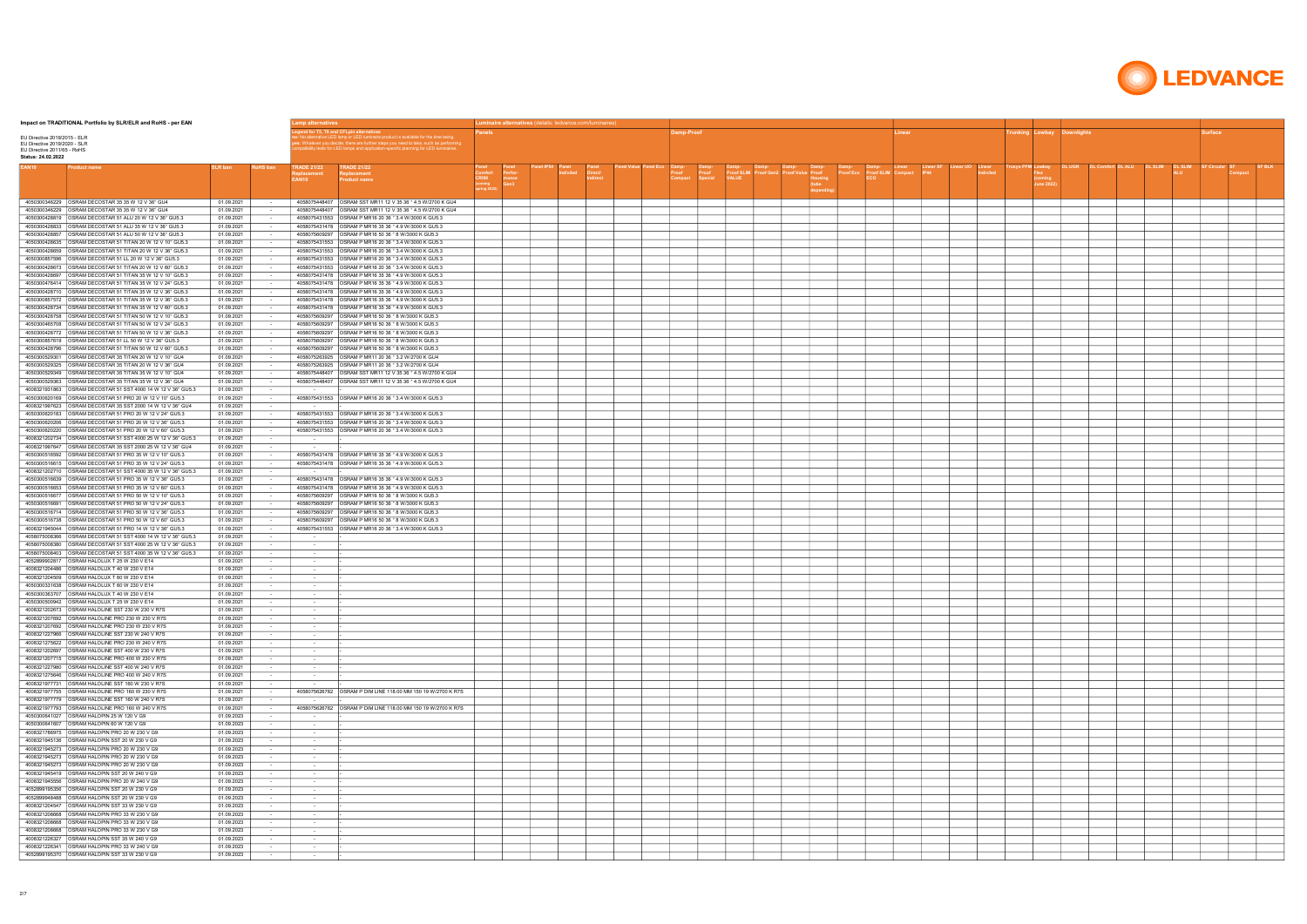| Impact on TRADITIONAL Portfolio by SLR/ELR and RoHS - per EAN                                                                 |                          |                                     | amp alternatives                  |                                                                                                                                                                                                                         |              | Luminaire alternatives (details: ledvance.com/luminaires) |  |  |           |  |  |       |                                  |                          |  |  |  |
|-------------------------------------------------------------------------------------------------------------------------------|--------------------------|-------------------------------------|-----------------------------------|-------------------------------------------------------------------------------------------------------------------------------------------------------------------------------------------------------------------------|--------------|-----------------------------------------------------------|--|--|-----------|--|--|-------|----------------------------------|--------------------------|--|--|--|
| EU Directive 2019/2015 - ELR<br>EU Directive 2019/2020 - SLR<br>EU Directive 2011/65 - RoHS                                   |                          |                                     |                                   | naire product is available for the time being<br>Whatever you decide, there are further steps you need to take, such as performin<br>itbility tests for LED lamps and application-specific planning for LED luminaires. |              |                                                           |  |  | amp-Proof |  |  | inear |                                  | unking Lowbay Downlights |  |  |  |
| Status: 24.02.2022                                                                                                            |                          |                                     |                                   |                                                                                                                                                                                                                         |              |                                                           |  |  |           |  |  |       |                                  |                          |  |  |  |
| Product name                                                                                                                  | SLR ban                  | <b>?oHS bar</b>                     | <b>TRADE 21/22</b><br>EAN10       | <b>TRADE 21/22</b><br><b>Product name</b>                                                                                                                                                                               | <b>CRI90</b> | mance<br>Gen3                                             |  |  |           |  |  |       | <b>ISVS PFM Lowbay</b><br>une 20 |                          |  |  |  |
| 4050300346229 <b>OSRAM DECOSTAR 35 35 W 12 V 36° GU4</b>                                                                      | 01.09.2021               |                                     |                                   | 4058075448407   OSRAM SST MR11 12 V 35 36 ° 4.5 W/2700 K GU4                                                                                                                                                            |              |                                                           |  |  |           |  |  |       |                                  |                          |  |  |  |
| 4050300346229 OSRAM DECOSTAR 35 35 W 12 V 36° GU4                                                                             | 01.09.2021<br>01.09.2021 |                                     |                                   | 4058075431553 OSRAM P MR16 20 36 ° 3.4 W/3000 K GU5.3                                                                                                                                                                   |              |                                                           |  |  |           |  |  |       |                                  |                          |  |  |  |
| OSRAM DECOSTAR 51 ALU 35 W 12 V 36° GU5.3<br>4050300428833                                                                    | 01.09.2021               |                                     |                                   | 4058075431478   OSRAM P MR16 35 36 ° 4.9 W/3000 K GU5.3                                                                                                                                                                 |              |                                                           |  |  |           |  |  |       |                                  |                          |  |  |  |
|                                                                                                                               | 01.09.2021               |                                     |                                   | 4058075609297   OSRAM P MR16 50 36 ° 8 W/3000 K GU5.3                                                                                                                                                                   |              |                                                           |  |  |           |  |  |       |                                  |                          |  |  |  |
| 4050300428659 OSRAM DECOSTAR 51 TITAN 20 W 12 V 36° GU5.3                                                                     | 01.09.2021<br>01.09.2021 |                                     |                                   | 4058075431553 OSRAM P MR16 20 36 ° 3.4 W/3000 K GU5.3<br>4058075431553 OSRAM P MR16 20 36 ° 3.4 W/3000 K GU5.3                                                                                                          |              |                                                           |  |  |           |  |  |       |                                  |                          |  |  |  |
| OSRAM DECOSTAR 51 LL 20 W 12 V 36° GU5.3<br>4050300857596                                                                     | 01.09.2021               |                                     |                                   | 4058075431553   OSRAM P MR16 20 36 ° 3.4 W/3000 K GU5.3                                                                                                                                                                 |              |                                                           |  |  |           |  |  |       |                                  |                          |  |  |  |
|                                                                                                                               | 01.09.2021               |                                     |                                   | 4058075431553 OSRAM P MR16 20 36 ° 3.4 W/3000 K GU5.3                                                                                                                                                                   |              |                                                           |  |  |           |  |  |       |                                  |                          |  |  |  |
| 4050300476414 OSRAM DECOSTAR 51 TITAN 35 W 12 V 24° GU5.3                                                                     | 01.09.2021<br>01.09.2021 |                                     |                                   |                                                                                                                                                                                                                         |              |                                                           |  |  |           |  |  |       |                                  |                          |  |  |  |
| 4050300428710 OSRAM DECOSTAR 51 TITAN 35 W 12 V 36° GU5.3                                                                     | 01.09.2021               |                                     |                                   | 4058075431478 OSRAM P MR16 35 36 ° 4.9 W/3000 K GU5.3                                                                                                                                                                   |              |                                                           |  |  |           |  |  |       |                                  |                          |  |  |  |
| 4050300857572 OSRAM DECOSTAR 51 TITAN 35 W 12 V 36° GU5.3<br>4050300428734 OSRAM DECOSTAR 51 TITAN 35 W 12 V 60° GU5.3        | 01.09.2021<br>01.09.2021 |                                     |                                   |                                                                                                                                                                                                                         |              |                                                           |  |  |           |  |  |       |                                  |                          |  |  |  |
|                                                                                                                               | 01.09.2021               |                                     |                                   | 4058075609297   OSRAM P MR16 50 36 ° 8 W/3000 K GU5.3                                                                                                                                                                   |              |                                                           |  |  |           |  |  |       |                                  |                          |  |  |  |
| 4050300465708   OSRAM DECOSTAR 51 TITAN 50 W 12 V 24° GU5.3                                                                   | 01.09.2021               |                                     |                                   | 4058075609297   OSRAM P MR16 50 36 ° 8 W/3000 K GU5.3                                                                                                                                                                   |              |                                                           |  |  |           |  |  |       |                                  |                          |  |  |  |
|                                                                                                                               | 01.09.2021<br>01.09.2021 |                                     |                                   | 4058075609297 OSRAM P MR16 50 36 ° 8 W/3000 K GU5.3<br>4058075609297   OSRAM P MR16 50 36 ° 8 W/3000 K GU5.3                                                                                                            |              |                                                           |  |  |           |  |  |       |                                  |                          |  |  |  |
| 4050300428796   OSRAM DECOSTAR 51 TITAN 50 W 12 V 60° GU5.3                                                                   | 01.09.2021               |                                     |                                   | 4058075609297   OSRAM P MR16 50 36 ° 8 W/3000 K GU5.3                                                                                                                                                                   |              |                                                           |  |  |           |  |  |       |                                  |                          |  |  |  |
| 4050300529301<br>OSRAM DECOSTAR 35 TITAN 20 W 12 V 10° GU4                                                                    | 01.09.2021               |                                     |                                   | 4058075263925 OSRAM P MR11 20 36 ° 3.2 W/2700 K GU4                                                                                                                                                                     |              |                                                           |  |  |           |  |  |       |                                  |                          |  |  |  |
| 4050300529325<br>OSRAM DECOSTAR 35 TITAN 20 W 12 V 36° GU4<br>OSRAM DECOSTAR 35 TITAN 35 W 12 V 10° GU4<br>4050300529349      | 01.09.2021<br>01.09.2021 |                                     |                                   | 4058075263925   OSRAM P MR11 20 36 ° 3.2 W/2700 K GU4<br>4058075448407 OSRAM SST MR11 12 V 35 36 ° 4.5 W/2700 K GU4                                                                                                     |              |                                                           |  |  |           |  |  |       |                                  |                          |  |  |  |
| 4050300529363 OSRAM DECOSTAR 35 TITAN 35 W 12 V 36° GU4                                                                       | 01.09.2021               |                                     |                                   | 4058075448407   OSRAM SST MR11 12 V 35 36 ° 4.5 W/2700 K GU4                                                                                                                                                            |              |                                                           |  |  |           |  |  |       |                                  |                          |  |  |  |
|                                                                                                                               | 01.09.2021               | $\sim$                              | <b>Contract</b>                   |                                                                                                                                                                                                                         |              |                                                           |  |  |           |  |  |       |                                  |                          |  |  |  |
|                                                                                                                               | 01.09.2021<br>01.09.2021 |                                     | $\sim 100$                        | 4058075431553 OSRAM P MR16 20 36 ° 3.4 W/3000 K GU5.3                                                                                                                                                                   |              |                                                           |  |  |           |  |  |       |                                  |                          |  |  |  |
|                                                                                                                               | 01.09.2021               |                                     |                                   | 4058075431553   OSRAM P MR16 20 36 ° 3.4 W/3000 K GU5.3                                                                                                                                                                 |              |                                                           |  |  |           |  |  |       |                                  |                          |  |  |  |
| 4050300620206 OSRAM DECOSTAR 51 PRO 20 W 12 V 36° GU5.3                                                                       | 01.09.2021               | $\sim$                              |                                   | 4058075431553 OSRAM P MR16 20 36 ° 3.4 W/3000 K GU5.3                                                                                                                                                                   |              |                                                           |  |  |           |  |  |       |                                  |                          |  |  |  |
| OSRAM DECOSTAR 51 PRO 20 W 12 V 60° GU5.3<br>4050300620220<br>4008321202734 OSRAM DECOSTAR 51 SST 4000 25 W 12 V 36° GU5.3    | 01.09.2021<br>01.09.2021 | $\sim$<br>$\sim$                    | <b>Contract</b>                   | 4058075431553 OSRAM P MR16 20 36 ° 3.4 W/3000 K GU5.3                                                                                                                                                                   |              |                                                           |  |  |           |  |  |       |                                  |                          |  |  |  |
|                                                                                                                               | 01.09.2021               | $\sim$                              | <b>CONTRACTOR</b>                 |                                                                                                                                                                                                                         |              |                                                           |  |  |           |  |  |       |                                  |                          |  |  |  |
| 4050300516592 OSRAM DECOSTAR 51 PRO 35 W 12 V 10° GU5.3                                                                       | 01.09.2021               |                                     |                                   | 4058075431478   OSRAM P MR16 35 36 ° 4.9 W/3000 K GU5.3                                                                                                                                                                 |              |                                                           |  |  |           |  |  |       |                                  |                          |  |  |  |
| 4008321202710 OSRAM DECOSTAR 51 SST 4000 35 W 12 V 36° GU5.3                                                                  | 01.09.2021<br>01.09.2021 |                                     | $\sim$ 100 $\sim$                 | 4058075431478   OSRAM P MR16 35 36 ° 4.9 W/3000 K GU5.3                                                                                                                                                                 |              |                                                           |  |  |           |  |  |       |                                  |                          |  |  |  |
| 4050300516639 OSRAM DECOSTAR 51 PRO 35 W 12 V 36° GU5.3                                                                       | 01.09.2021               |                                     |                                   | 4058075431478   OSRAM P MR16 35 36 ° 4.9 W/3000 K GU5.3                                                                                                                                                                 |              |                                                           |  |  |           |  |  |       |                                  |                          |  |  |  |
| 4050300516653 OSRAM DECOSTAR 51 PRO 35 W 12 V 60° GU5.3                                                                       | 01.09.2021               |                                     |                                   |                                                                                                                                                                                                                         |              |                                                           |  |  |           |  |  |       |                                  |                          |  |  |  |
| OSRAM DECOSTAR 51 PRO 50 W 12 V 10° GU5.3<br>4050300516677<br>4050300516691 OSRAM DECOSTAR 51 PRO 50 W 12 V 24° GU5.3         | 01.09.2021<br>01.09.2021 |                                     |                                   | 4058075609297 OSRAM P MR16 50 36 ° 8 W/3000 K GU5.3<br>4058075609297 OSRAM P MR16 50 36 ° 8 W/3000 K GU5.3                                                                                                              |              |                                                           |  |  |           |  |  |       |                                  |                          |  |  |  |
| 4050300516714   OSRAM DECOSTAR 51 PRO 50 W 12 V 36° GU5.3                                                                     | 01.09.2021               |                                     |                                   | 4058075609297   OSRAM P MR16 50 36 ° 8 W/3000 K GU5.3                                                                                                                                                                   |              |                                                           |  |  |           |  |  |       |                                  |                          |  |  |  |
| 4050300516738 OSRAM DECOSTAR 51 PRO 50 W 12 V 60° GU5.3                                                                       | 01.09.2021               |                                     |                                   | 4058075609297   OSRAM P MR16 50 36 ° 8 W/3000 K GU5.3                                                                                                                                                                   |              |                                                           |  |  |           |  |  |       |                                  |                          |  |  |  |
| 4008321945044<br>OSRAM DECOSTAR 51 PRO 14 W 12 V 36° GU5.3<br>4058075008366<br>OSRAM DECOSTAR 51 SST 4000 14 W 12 V 36° GU5.3 | 01.09.2021<br>01.09.2021 |                                     | $\sim$                            | 4058075431553   OSRAM P MR16 20 36 ° 3.4 W/3000 K GU5.3                                                                                                                                                                 |              |                                                           |  |  |           |  |  |       |                                  |                          |  |  |  |
| 4058075008380 OSRAM DECOSTAR 51 SST 4000 25 W 12 V 36° GU5.3                                                                  | 01.09.2021               |                                     | $\sim$                            |                                                                                                                                                                                                                         |              |                                                           |  |  |           |  |  |       |                                  |                          |  |  |  |
|                                                                                                                               | 01.09.2021               |                                     | $\sim$                            |                                                                                                                                                                                                                         |              |                                                           |  |  |           |  |  |       |                                  |                          |  |  |  |
| 4052899902817   OSRAM HALOLUX T 25 W 230 V E14<br>4008321204486   OSRAM HALOLUX T 40 W 230 V E14                              | 01.09.2021<br>01.09.2021 | $\sim$                              | $\sim$<br>$\sim$                  |                                                                                                                                                                                                                         |              |                                                           |  |  |           |  |  |       |                                  |                          |  |  |  |
| 4008321204509   OSRAM HALOLUX T 60 W 230 V E14                                                                                | 01.09.2021               |                                     | $\sim$                            |                                                                                                                                                                                                                         |              |                                                           |  |  |           |  |  |       |                                  |                          |  |  |  |
| 4050300331638   OSRAM HALOLUX T 60 W 230 V E14                                                                                | 01.09.2021               |                                     | $\sim$                            |                                                                                                                                                                                                                         |              |                                                           |  |  |           |  |  |       |                                  |                          |  |  |  |
| 4050300500942 OSRAM HALOLUX T 25 W 230 V E14                                                                                  | 01.09.2021<br>01.09.2021 | $\sim$                              | $\sim$<br>$\sim$                  |                                                                                                                                                                                                                         |              |                                                           |  |  |           |  |  |       |                                  |                          |  |  |  |
| 4008321202673 OSRAM HALOLINE SST 230 W 230 V R7S                                                                              | 01.09.2021               | $\sim$ $-$                          | $\sim 100$                        |                                                                                                                                                                                                                         |              |                                                           |  |  |           |  |  |       |                                  |                          |  |  |  |
| 4008321207692 OSRAM HALOLINE PRO 230 W 230 V R7S                                                                              | 01.09.2021               | $\sim$                              | $\sim$ 100 $\pm$                  |                                                                                                                                                                                                                         |              |                                                           |  |  |           |  |  |       |                                  |                          |  |  |  |
| 4008321207692 OSRAM HALOLINE PRO 230 W 230 V R7S<br>4008321227966 OSRAM HALOLINE SST 230 W 240 V R7S                          | 01.09.2021<br>01.09.2021 | <b>Contract</b><br>$\sim$ 100 $\pm$ | $\sim 10^{-1}$<br><b>Contract</b> |                                                                                                                                                                                                                         |              |                                                           |  |  |           |  |  |       |                                  |                          |  |  |  |
| 4008321275622 OSRAM HALOLINE PRO 230 W 240 V R7S                                                                              | 01.09.2021               | $\sim$ $-$                          | $\sim$ 100 $\pm$                  |                                                                                                                                                                                                                         |              |                                                           |  |  |           |  |  |       |                                  |                          |  |  |  |
| 4008321202697 OSRAM HALOLINE SST 400 W 230 V R7S<br>4008321207715 OSRAM HALOLINE PRO 400 W 230 V R7S                          | 01.09.2021<br>01.09.2021 | $\sim$ 100 $\pm$<br><b>Contract</b> | $\sim$<br>$\sim 10^{-1}$          |                                                                                                                                                                                                                         |              |                                                           |  |  |           |  |  |       |                                  |                          |  |  |  |
| 4008321227980 OSRAM HALOLINE SST 400 W 240 V R7S                                                                              | 01.09.2021               | $\sim$ $-$                          | $\sim 10^{-11}$                   |                                                                                                                                                                                                                         |              |                                                           |  |  |           |  |  |       |                                  |                          |  |  |  |
| 4008321275646 OSRAM HALOLINE PRO 400 W 240 V R7S                                                                              | 01.09.2021               | <b>Contract</b>                     | <b>Contract</b>                   |                                                                                                                                                                                                                         |              |                                                           |  |  |           |  |  |       |                                  |                          |  |  |  |
| 4008321977731 OSRAM HALOLINE SST 160 W 230 V R7S<br>4008321977755 OSRAM HALOLINE PRO 160 W 230 V R7S                          | 01.09.2021<br>01.09.2021 | $\sim$ 100 $\sim$<br>$\sim$         | $\sim$                            | 4058075626782 OSRAM P DIM LINE 118.00 MM 150 19 W/2700 K R7S                                                                                                                                                            |              |                                                           |  |  |           |  |  |       |                                  |                          |  |  |  |
| 4008321977779 OSRAM HALOLINE SST 160 W 240 V R7S                                                                              | 01.09.2021               | $\sim$                              |                                   |                                                                                                                                                                                                                         |              |                                                           |  |  |           |  |  |       |                                  |                          |  |  |  |
| 4008321977793 OSRAM HALOLINE PRO 160 W 240 V R7S                                                                              | 01.09.2021               | $\sim$                              |                                   | 4058075626782 OSRAM P DIM LINE 118.00 MM 150 19 W/2700 K R7S                                                                                                                                                            |              |                                                           |  |  |           |  |  |       |                                  |                          |  |  |  |
| 4050300641027 OSRAM HALOPIN 25 W 120 V G9<br>4050300641607 OSRAM HALOPIN 60 W 120 V G9                                        | 01.09.2023<br>01.09.2023 | $\sim$<br>$\sim$                    | $\sim$<br>$\sim$ 100 $\pm$        |                                                                                                                                                                                                                         |              |                                                           |  |  |           |  |  |       |                                  |                          |  |  |  |
| 4008321786975 OSRAM HALOPIN PRO 20 W 230 V G9                                                                                 | 01.09.2023               | $\sim$                              | $\sim$                            |                                                                                                                                                                                                                         |              |                                                           |  |  |           |  |  |       |                                  |                          |  |  |  |
| 4008321945136 OSRAM HALOPIN SST 20 W 230 V G9                                                                                 | 01.09.2023               | $\sim$                              | $\sim$                            |                                                                                                                                                                                                                         |              |                                                           |  |  |           |  |  |       |                                  |                          |  |  |  |
| 4008321945273 <b>OSRAM HALOPIN PRO 20 W 230 V G9</b>                                                                          | 01.09.2023<br>01.09.2023 | $\sim$<br>$\sim$                    | $\sim$<br>$\sim$                  |                                                                                                                                                                                                                         |              |                                                           |  |  |           |  |  |       |                                  |                          |  |  |  |
| 4008321945273 OSRAM HALOPIN PRO 20 W 230 V G9                                                                                 | 01.09.2023               | $\sim$ $-$                          | $\sim$ 100 $\mu$                  |                                                                                                                                                                                                                         |              |                                                           |  |  |           |  |  |       |                                  |                          |  |  |  |
|                                                                                                                               | 01.09.2023               | $\sim$                              | $\sim$                            |                                                                                                                                                                                                                         |              |                                                           |  |  |           |  |  |       |                                  |                          |  |  |  |
| 4008321945556   OSRAM HALOPIN PRO 20 W 240 V G9<br>4052899195356 OSRAM HALOPIN SST 20 W 230 V G9                              | 01.09.2023<br>01.09.2023 | $\sim$ $-$<br>$\sim$                | $\sim$<br>$\sim$                  |                                                                                                                                                                                                                         |              |                                                           |  |  |           |  |  |       |                                  |                          |  |  |  |
|                                                                                                                               | 01.09.2023               | $\sim$ 100 $\pm$                    | $\sim$                            |                                                                                                                                                                                                                         |              |                                                           |  |  |           |  |  |       |                                  |                          |  |  |  |
|                                                                                                                               | 01.09.2023               | $\sim$                              | $\sim$                            |                                                                                                                                                                                                                         |              |                                                           |  |  |           |  |  |       |                                  |                          |  |  |  |
| 4008321208668 OSRAM HALOPIN PRO 33 W 230 V G9<br>4008321208668 <b>OSRAM HALOPIN PRO 33 W 230 V G9</b>                         | 01.09.2023<br>01.09.2023 | $\sim$ $-$<br>$\sim$ $-$            | $\sim$ 100 $\pm$<br>$\sim$        |                                                                                                                                                                                                                         |              |                                                           |  |  |           |  |  |       |                                  |                          |  |  |  |
| 4008321208668 OSRAM HALOPIN PRO 33 W 230 V G9                                                                                 | 01.09.2023               | <b>Contract</b>                     | $\sim 10^{-1}$                    |                                                                                                                                                                                                                         |              |                                                           |  |  |           |  |  |       |                                  |                          |  |  |  |
| 4008321226327 OSRAM HALOPIN SST 35 W 240 V G9                                                                                 | 01.09.2023               | $\sim$                              | $\sim$ 100 $\pm$                  |                                                                                                                                                                                                                         |              |                                                           |  |  |           |  |  |       |                                  |                          |  |  |  |
| 4008321226341 OSRAM HALOPIN PRO 33 W 240 V G9<br>4052899195370 OSRAM HALOPIN SST 33 W 230 V G9                                | 01.09.2023<br>01.09.2023 | $\sim$<br>$\sim$ 100 $\pm$          | $\sim$<br>$\sim$ $-$              |                                                                                                                                                                                                                         |              |                                                           |  |  |           |  |  |       |                                  |                          |  |  |  |
|                                                                                                                               |                          |                                     |                                   |                                                                                                                                                                                                                         |              |                                                           |  |  |           |  |  |       |                                  |                          |  |  |  |

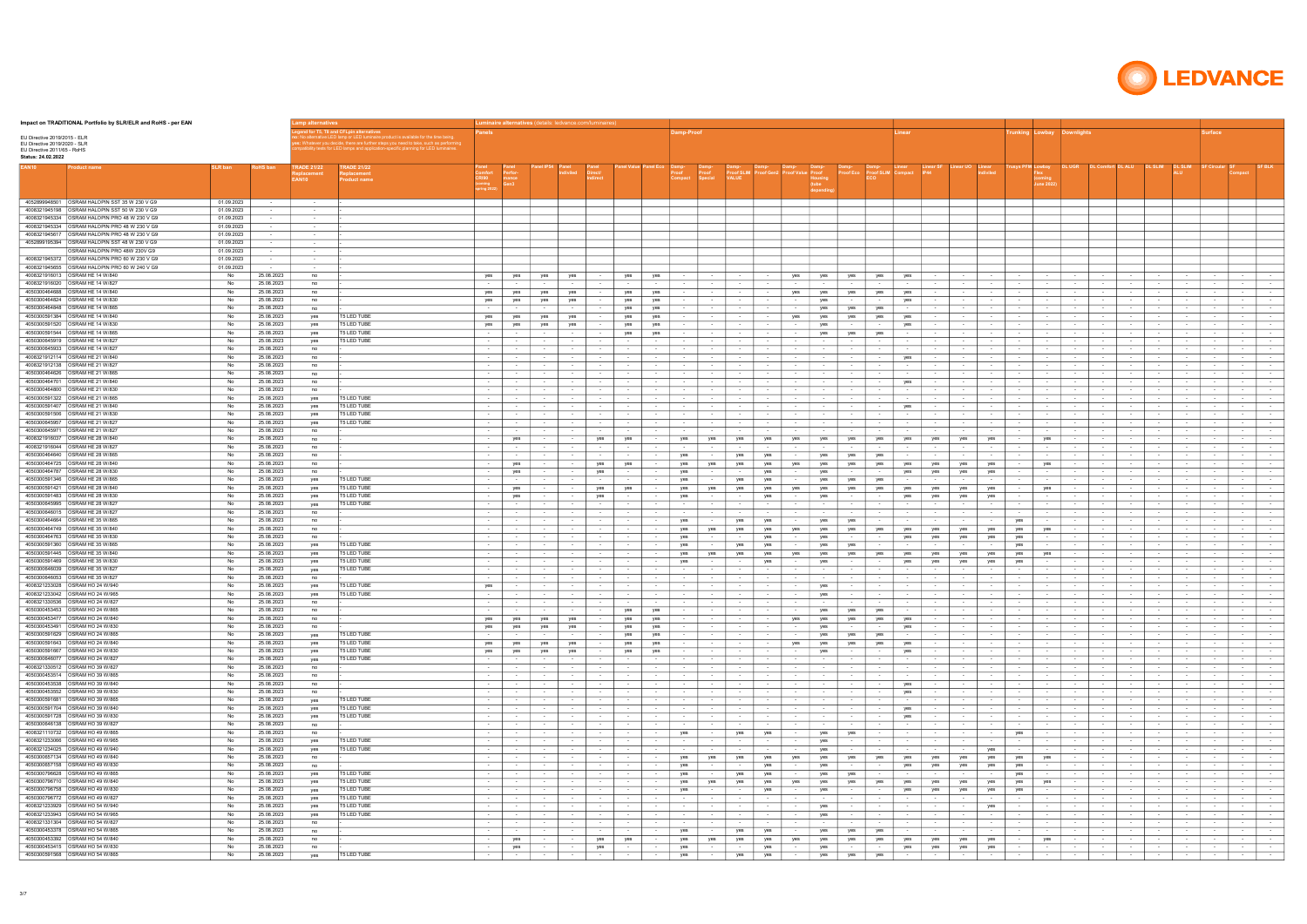| Impact on TRADITIONAL Portfolio by SLR/ELR and RoHS - per EAN                                    |                          |                          | Lamp alternatives           |                                                                                                                                                                                                                                                             |                                      |                            |                                       | Luminaire alternatives (details: ledvance.com/luminaires |                                |                                                                 |                                      |                           |                                    |                        |                                                          |                                      |                                |                            |                                               |                                    |                                    |                                      |                                                                    |                                      |                                                                           |                  |                                         |                                          |                                      |
|--------------------------------------------------------------------------------------------------|--------------------------|--------------------------|-----------------------------|-------------------------------------------------------------------------------------------------------------------------------------------------------------------------------------------------------------------------------------------------------------|--------------------------------------|----------------------------|---------------------------------------|----------------------------------------------------------|--------------------------------|-----------------------------------------------------------------|--------------------------------------|---------------------------|------------------------------------|------------------------|----------------------------------------------------------|--------------------------------------|--------------------------------|----------------------------|-----------------------------------------------|------------------------------------|------------------------------------|--------------------------------------|--------------------------------------------------------------------|--------------------------------------|---------------------------------------------------------------------------|------------------|-----------------------------------------|------------------------------------------|--------------------------------------|
| EU Directive 2019/2015 - ELR<br>EU Directive 2019/2020 - SLR<br>EU Directive 2011/65 - RoHS      |                          |                          | d for T5, T8 and CFLpi      | alternative LED lamp or LED luminaire product is available for the time being<br>: Whatever you decide, there are further steps you need to take, such as performin<br>patibility tests for LED lamps and application-specific planning for LED luminaires. |                                      |                            |                                       |                                                          |                                |                                                                 | amp-Proof                            |                           |                                    |                        |                                                          |                                      |                                | .inear                     |                                               |                                    |                                    | unking Lowbay Downlights             |                                                                    |                                      |                                                                           |                  | urface                                  |                                          |                                      |
| Status: 24.02.2022                                                                               |                          |                          |                             |                                                                                                                                                                                                                                                             |                                      |                            |                                       |                                                          |                                |                                                                 |                                      |                           |                                    |                        |                                                          |                                      |                                |                            |                                               |                                    |                                    |                                      |                                                                    |                                      |                                                                           |                  |                                         |                                          |                                      |
| oduct name                                                                                       | <b>SLR ban</b>           | RoHS bar                 | <b>TRADE 21/22</b><br>EAN10 | <b>RADE 21/22</b><br>roduct name                                                                                                                                                                                                                            | CRI90<br>oming                       | mance<br>Gen3              |                                       |                                                          |                                |                                                                 |                                      |                           | <b>Proof SLIN</b><br><b>VALUE</b>  |                        | lousing                                                  |                                      | <b>Proof SLIM</b> Compact      |                            |                                               |                                    |                                    | rusys PFM Lowbay<br>ine 20           | <b>DLUGR</b>                                                       |                                      |                                                                           |                  |                                         |                                          |                                      |
|                                                                                                  |                          |                          |                             |                                                                                                                                                                                                                                                             |                                      |                            |                                       |                                                          |                                |                                                                 |                                      |                           |                                    |                        |                                                          |                                      |                                |                            |                                               |                                    |                                    |                                      |                                                                    |                                      |                                                                           |                  |                                         |                                          |                                      |
| 4052899948501 OSRAM HALOPIN SST 35 W 230 V G9<br>4008321945198   OSRAM HALOPIN SST 50 W 230 V G9 | 01.09.2023<br>01.09.2023 | $\sim$                   | $\sim 100$<br>$\sim$        |                                                                                                                                                                                                                                                             |                                      |                            |                                       |                                                          |                                |                                                                 |                                      |                           |                                    |                        |                                                          |                                      |                                |                            |                                               |                                    |                                    |                                      |                                                                    |                                      |                                                                           |                  |                                         |                                          |                                      |
| 4008321945334   OSRAM HALOPIN PRO 48 W 230 V G9                                                  | 01.09.2023               | $\sim$ $-$               | $\sim$                      |                                                                                                                                                                                                                                                             |                                      |                            |                                       |                                                          |                                |                                                                 |                                      |                           |                                    |                        |                                                          |                                      |                                |                            |                                               |                                    |                                    |                                      |                                                                    |                                      |                                                                           |                  |                                         |                                          |                                      |
| 4008321945334   OSRAM HALOPIN PRO 48 W 230 V G9                                                  | 01.09.2023               |                          | $\sim$                      |                                                                                                                                                                                                                                                             |                                      |                            |                                       |                                                          |                                |                                                                 |                                      |                           |                                    |                        |                                                          |                                      |                                |                            |                                               |                                    |                                    |                                      |                                                                    |                                      |                                                                           |                  |                                         |                                          |                                      |
| 4008321945617 OSRAM HALOPIN PRO 48 W 230 V G9<br>4052899195394   OSRAM HALOPIN SST 48 W 230 V G9 | 01.09.2023<br>01.09.2023 | $\sim$<br>$\sim$         | $\sim$<br>$\sim$            |                                                                                                                                                                                                                                                             |                                      |                            |                                       |                                                          |                                |                                                                 |                                      |                           |                                    |                        |                                                          |                                      |                                |                            |                                               |                                    |                                    |                                      |                                                                    |                                      |                                                                           |                  |                                         |                                          |                                      |
| OSRAM HALOPIN PRO 48W 230V G9                                                                    | 01.09.2023               | $\sim$                   | $\sim$ $-$                  |                                                                                                                                                                                                                                                             |                                      |                            |                                       |                                                          |                                |                                                                 |                                      |                           |                                    |                        |                                                          |                                      |                                |                            |                                               |                                    |                                    |                                      |                                                                    |                                      |                                                                           |                  |                                         |                                          |                                      |
| 4008321945372 OSRAM HALOPIN PRO 60 W 230 V G9                                                    | 01.09.2023               | $\sim$                   | $\sim$                      |                                                                                                                                                                                                                                                             |                                      |                            |                                       |                                                          |                                |                                                                 |                                      |                           |                                    |                        |                                                          |                                      |                                |                            |                                               |                                    |                                    |                                      |                                                                    |                                      |                                                                           |                  |                                         |                                          |                                      |
| 4008321945655 OSRAM HALOPIN PRO 60 W 240 V G9                                                    | 01.09.2023               | $\sim$                   | $\sim$                      |                                                                                                                                                                                                                                                             |                                      |                            |                                       |                                                          |                                |                                                                 |                                      |                           |                                    |                        |                                                          |                                      |                                |                            |                                               |                                    |                                    |                                      |                                                                    |                                      |                                                                           |                  |                                         |                                          |                                      |
| 4008321916013 OSRAM HE 14 W/840<br>4008321916020 OSRAM HE 14 W/827                               | No<br>No                 | 25.08.2023<br>25.08.2023 | no<br>no                    |                                                                                                                                                                                                                                                             | yes<br>$\sim$ 100 $\pm$              | yes<br>$\sim$              | yes<br>$\sim$                         | yes<br>$\sim$ 100 $\pm$                                  | $\sim$<br>$\sim$               | yes<br>yes<br>$\sim$<br>$\sim$ 100 $\pm$                        | $\sim$ 100 $\mu$<br>$\sim$ 100 $\pm$ | $\sim$<br>$\sim$          | $\sim$<br>$\sim$ 100 $\pm$         | $\sim$                 | yes<br>yes<br>$\sim$<br>$\sim$                           | yes<br>$\sim$ 100 $\pm$              | yes<br>$\sim$ 100 $\pm$        | yes<br>$\sim$              | $\sim$<br>$\sim$                              | <b>State Street</b>                | $\sim$<br>$\sim$                   | $\sim$ 100 $\mu$<br>$\sim$ 100 $\pm$ | $\sim$<br><b>Service</b><br>$\sim$                                 | $\sim$<br>$\sim$ $-$                 | $\sim$<br>$\sim$<br>$\sim$<br>$\sim$ 100 $\pm$                            | $\sim$           | $\sim$<br>$\sim$ 100 $\pm$              | $\sim$<br>$\sim$ 100 $\pm$               | $\sim$<br>$\sim$                     |
| 4050300464688 <b>OSRAM HE 14 W/840</b>                                                           | No                       | 25.08.2023               | no                          |                                                                                                                                                                                                                                                             | yes                                  | yes                        | yes                                   | yes                                                      |                                | yes<br>yes                                                      | $\sim$                               | $\sim$                    |                                    | $\sim$ $-$             | yes<br>yes                                               | yes                                  | yes                            | yes                        |                                               | $\sim$                             |                                    | $\sim$ 100 $\mu$                     |                                                                    | $\sim$                               | $\sim$ 100 $\mu$                                                          |                  |                                         | $\sim$ 100 $\mu$                         | $\sim$ 100 $\mu$                     |
| 4050300464824   OSRAM HE 14 W/830                                                                | No                       | 25.08.2023               | no                          |                                                                                                                                                                                                                                                             | yes                                  | yes                        | yes                                   | yes                                                      | $\sim$                         | yes<br>yes                                                      | $\sim$ 100 $\mu$                     | $\sim$                    | $\sim$                             | $\sim$                 | yes<br>$\sim$                                            | $\sim$                               | $\sim$                         | yes                        | $\sim$                                        | $\sim$ 100 $\mu$                   | $\sim$                             | $\sim$                               | $\sim$<br>$\sim$                                                   | $\sim$                               | $\sim$<br>$\sim$ 100 $\mu$                                                | $\sim$           | $\sim$                                  | $\sim$ $-$                               | $\sim$                               |
|                                                                                                  | No                       | 25.08.2023               | no                          |                                                                                                                                                                                                                                                             |                                      | $\sim$                     | $\sim$                                | $\sim$                                                   | $\sim$                         | yes<br>yes                                                      | $\sim$                               | $\sim$                    | $\sim$                             | $\sim$ $-$             | yes<br>$\sim$                                            | yes                                  | yes                            | $\sim$                     | $\sim$                                        | $\sim$                             | $\sim$                             | $\sim$ $-$                           | $\sim$<br>$\sim$                                                   | $\sim$                               | $\sim$ $-$<br>$\sim$                                                      | $\sim$           | $\sim$                                  | $\sim$ 100 $\mu$                         | $\sim$                               |
| 4050300591384   OSRAM HE 14 W/840<br>4050300591520 OSRAM HE 14 W/830                             | No<br>No                 | 25.08.2023<br>25.08.2023 | yes<br>yes                  | <b>T5 LED TUBE</b><br><b>T5 LED TUBE</b>                                                                                                                                                                                                                    | yes<br>ves                           | yes<br>yes                 | yes<br>yes                            | yes<br>yes                                               | $\sim$ 100 $\pm$<br>$\sim$     | yes<br>yes<br>yes<br>yes                                        | $\sim$<br>$\sim$                     | $\sim$<br>$\sim$          | $\sim$<br>$\sim$                   | $\sim$<br>$\sim$       | yes<br>yes<br>yes                                        | yes<br>$\sim$                        | yes<br>$\sim$                  | yes<br>yes                 | $\sim$<br>$\sim$                              | $\sim$<br>$\sim$                   | $\sim$<br>$\sim$                   | $\sim$<br>$\sim$ 100 $\mu$           | $\sim$<br>$\sim$<br>$\sim$<br>$\sim$                               | $\sim$<br>$\sim$                     | $\sim$<br>$\sim$<br>$\sim$<br>$\sim$                                      | $\sim$<br>$\sim$ | $\sim$<br>$\sim$                        | $\sim$ $-$<br>$\sim$                     | $\sim$<br>$\sim$                     |
| 4050300591544   OSRAM HE 14 W/865                                                                | No                       | 25.08.2023               | yes                         | T5 LED TUBE                                                                                                                                                                                                                                                 | $\sim$ $-$                           | $\sim$                     | $\sim$                                | $\sim$                                                   | $\sim$                         | yes<br>yes                                                      | $\sim$                               | $\sim$                    | $\sim$                             | $\sim$                 | yes<br>$\overline{\phantom{a}}$                          | yes                                  | yes                            | $\sim$                     | $\sim$                                        | $\sim$                             | $\sim$                             | $\sim$                               | $\sim$<br>$\sim$                                                   | $\sim$                               | $\sim$<br>$\sim$                                                          | $\sim$           | $\sim$                                  | $\sim$ $-$                               | $\sim$                               |
| 4050300645919   OSRAM HE 14 W/827                                                                | No                       | 25.08.2023               | ves                         | T5 LED TUBE                                                                                                                                                                                                                                                 | $\sim$ 100 $\mu$                     | $\sim$                     | $\sim$ 100 $\mu$                      | $\sim$                                                   | $\sim$                         | $\sim$<br>$\sim$                                                | $\sim$ 100 $\mu$                     | $\sim$                    | $\sim$                             | $\sim$                 | $\sim$<br>$\sim$ $\sim$                                  | $\sim$                               | $\sim$                         | $\sim$                     | $\sim$                                        | $\sim$                             | $\sim$                             | $\sim$ 100 $\mu$                     | $\sim$<br>$\sim$                                                   | $\sim$                               | $\sim$<br>$\sim$                                                          |                  | $\sim$                                  | $\sim$ $-$                               | $\sim$                               |
| 4050300645933 OSRAM HE 14 W/827                                                                  | No                       | 25.08.2023               | no                          |                                                                                                                                                                                                                                                             | $\sim$ 100 $\pm$                     | $\sim$                     | $\sim$                                | $\sim$                                                   | $\sim$                         | $\sim$<br>$\sim$                                                | $\sim$                               | $\sim$                    | $\sim$ 100 $\pm$                   | $\sim$                 | $\sim$<br>$\sim$ 100 $\pm$                               | $\sim$                               | $\sim$                         | $\sim$                     | $\sim$                                        | $\sim$                             | $\sim$                             | $\sim$                               | $\sim$<br>$\sim$                                                   | $\sim$                               | $\sim$<br>$\sim$                                                          | $\sim$           | $\sim$                                  | $\sim$ $-$                               | $\sim$                               |
| 4008321912114   OSRAM HE 21 W/840<br>4008321912138 OSRAM HE 21 W/827                             | No<br>No                 | 25.08.2023<br>25.08.2023 | no<br>no                    |                                                                                                                                                                                                                                                             | $\sim$                               | $\sim$                     | $\sim$<br>$\sim$                      | $\sim$<br>$\sim$                                         | $\sim$                         | $\sim$<br>$\sim$                                                | $\sim$<br>$\sim$ 100 $\pm$           | $\sim$<br>$\sim$          | $\sim$ 100 $\pm$                   | $\sim$<br>$\sim$       | $\sim$<br>$\overline{\phantom{a}}$<br>$\sim$             | $\sim$<br>$\sim$                     | $\sim$                         | yes<br>$\sim$              | $\sim$<br>$\sim$                              | $\sim$                             | $\sim$                             | $\sim$ $\sim$<br>$\sim$              | $\sim$<br>$\sim$<br>$\sim$                                         | $\sim$                               | $\sim$<br>$\sim$                                                          | $\sim$           | $\sim$                                  | $\sim$ 100 $\mu$<br>$\sim$ $-$           | $\sim$<br>$\sim$                     |
| 4050300464626 OSRAM HE 21 W/865                                                                  | No                       | 25.08.2023               | no                          |                                                                                                                                                                                                                                                             |                                      |                            |                                       | $\sim$                                                   | $\sim$                         |                                                                 | $\sim$                               |                           |                                    |                        | $\sim$                                                   | $\sim$                               |                                |                            |                                               |                                    | $\sim$                             |                                      |                                                                    |                                      | $\sim$                                                                    |                  |                                         | $\sim$                                   | $\sim$                               |
| 4050300464701 OSRAM HE 21 W/840                                                                  | No                       | 25.08.2023               | no                          |                                                                                                                                                                                                                                                             | $\sim$                               |                            |                                       | $\sim$                                                   |                                |                                                                 |                                      | $\overline{\phantom{a}}$  |                                    |                        |                                                          | $\sim$                               |                                | yes                        |                                               |                                    | $\sim$                             |                                      |                                                                    |                                      | $\sim$                                                                    |                  | $\sim$                                  | $\sim$                                   | $\sim$                               |
| 4050300464800 OSRAM HE 21 W/830                                                                  | No                       | 25.08.2023               | no                          |                                                                                                                                                                                                                                                             |                                      | $\sim$                     | $\sim$                                | $\sim$                                                   |                                | $\sim$                                                          | $\sim$                               | $\sim$                    | $\sim$                             | $\sim$                 | $\sim$<br>$\sim$                                         | $\sim$                               |                                |                            | $\sim$                                        |                                    | $\sim$                             | $\sim$                               | $\sim$<br>$\sim$                                                   | $\sim$                               | $\sim$                                                                    |                  | $\sim$                                  | $\sim$ $-$                               | $\sim$                               |
| 4050300591322 OSRAM HE 21 W/865<br>4050300591407   OSRAM HE 21 W/840                             | No<br>No                 | 25.08.2023<br>25.08.2023 | yes<br>yes                  | T5 LED TUBE<br>T5 LED TUBE                                                                                                                                                                                                                                  | $\sim$                               | $\sim$<br>$\sim$           | $\sim$<br>$\sim$                      | $\sim$<br>$\sim$                                         | $\sim$<br>$\sim$               | $\sim$                                                          | $\sim$<br>$\sim$                     | $\sim$<br>$\sim$          | $\sim$<br>$\sim$                   | $\sim$<br>$\sim$       | $\overline{\phantom{a}}$<br>$\sim$<br>$\sim$ $-$         | $\sim$<br>$\sim$                     | $\sim$                         | $\sim$<br>yes              | $\overline{\phantom{a}}$<br>$\sim$            |                                    | $\sim$<br>$\sim$                   | $\sim$<br>$\sim$                     | $\sim$<br>$\sim$                                                   |                                      | $\sim$<br>$\sim$<br>$\sim$<br>$\sim$                                      |                  | $\sim$<br>$\sim$                        | $\sim$<br>$\sim$ $-$                     | $\sim$<br>$\sim$                     |
| 4050300591506 OSRAM HE 21 W/830                                                                  | No                       | 25.08.2023               | yes                         | T5 LED TUBE                                                                                                                                                                                                                                                 |                                      |                            |                                       | $\sim$                                                   | $\sim$                         | $\sim$                                                          |                                      | $\sim$                    | $\sim$                             |                        | $\overline{\phantom{a}}$                                 | $\sim$                               | $\sim$                         |                            |                                               |                                    | $\sim$                             |                                      |                                                                    |                                      | $\sim$                                                                    |                  | $\sim$                                  | $\sim$                                   | $\sim$                               |
| 4050300645957   OSRAM HE 21 W/827                                                                | No                       | 25.08.2023               | yes                         | T5 LED TUBE                                                                                                                                                                                                                                                 |                                      | $\sim$                     | $\sim$                                | $\sim$                                                   | $\sim$                         | $\sim$                                                          | $\sim$                               | $\sim$                    | $\sim$                             | $\sim$ $-$             | $\sim$<br>$\sim$                                         | $\sim$                               | $\sim$                         |                            | $\sim$                                        |                                    | $\sim$                             | $\sim$                               | $\sim$<br>$\sim$                                                   |                                      | $\sim$<br>$\sim$                                                          |                  | $\sim$                                  | <b>Service</b>                           | $\sim$ 100 $\pm$                     |
| 4050300645971   OSRAM HE 21 W/827                                                                | No                       | 25.08.2023               | no                          |                                                                                                                                                                                                                                                             |                                      |                            |                                       |                                                          |                                |                                                                 |                                      | $\sim$                    |                                    |                        |                                                          |                                      |                                |                            |                                               |                                    |                                    |                                      |                                                                    |                                      |                                                                           |                  |                                         |                                          | $\sim$                               |
| 4008321916037 OSRAM HE 28 W/840<br>4008321916044   OSRAM HE 28 W/827                             | No<br>No                 | 25.08.2023<br>25.08.2023 | no<br>no                    |                                                                                                                                                                                                                                                             | $\sim$ 100 $\pm$                     | yes                        | $\sim$                                | $\sim$ 100 $\pm$<br>$\sim$                               | yes                            | yes<br>$\sim$                                                   | yes                                  | yes<br>$\sim$             | yes                                | yes                    | yes<br>yes<br>$\sim$                                     | yes                                  | yes<br>$\sim$                  | yes                        | yes                                           | yes                                | yes                                | $\sim$ $-$                           | yes                                                                |                                      | $\sim$                                                                    |                  | $\sim$                                  | $\sim$ $-$                               | $\sim$<br>$\sim$                     |
| 4050300464640 <b>OSRAM HE 28 W/865</b>                                                           | No                       | 25.08.2023               | no                          |                                                                                                                                                                                                                                                             | $\sim$ 100 $\pm$                     | $\sim$                     | $\sim$                                | $\sim$                                                   | $\sim$                         | $\sim$                                                          | yes                                  | $\sim$                    | yes                                | yes                    | $\sim$<br>yes                                            | yes                                  | yes                            |                            | $\sim$                                        |                                    | $\sim$                             | $\sim$                               | $\sim$<br>$\sim$                                                   | $\sim$                               | $\sim$<br>$\sim$ $-$                                                      | $\sim$           | $\sim$                                  | $\sim$ 100 $\pm$                         | $\sim$ 100 $\pm$                     |
| 4050300464725 <b>OSRAM HE 28 W/840</b>                                                           | No                       | 25.08.2023               | no                          |                                                                                                                                                                                                                                                             |                                      | yes                        |                                       | $\sim$                                                   | yes                            | yes                                                             | yes                                  | yes                       | yes                                | yes                    | yes<br>yes                                               | yes                                  | yes                            | yes                        | yes                                           | yes                                | yes                                | $\sim$                               | yes                                                                |                                      |                                                                           |                  |                                         | $\sim$ $-$                               | $\sim$                               |
| 4050300464787 <b>OSRAM HE 28 W/830</b>                                                           | No                       | 25.08.2023               | no                          |                                                                                                                                                                                                                                                             | $\sim$ 100 $\mu$                     | yes                        | $\sim$                                | $\sim$ 100 $\pm$                                         | yes                            | $\sim$                                                          | yes                                  | $\sim$                    | $\sim$                             | yes                    | $\sim$<br>yes                                            | $\sim$                               | $\sim$                         | yes                        | yes                                           | yes                                | yes                                | $\sim$                               | $\sim$ 100 $\mu$                                                   | $\sim$ $-$                           | $\sim$                                                                    |                  | $\sim$                                  | $\sim$ 100 $\pm$                         | $\sim$                               |
| 4050300591346 OSRAM HE 28 W/865<br>4050300591421 OSRAM HE 28 W/840                               | No<br>No                 | 25.08.2023<br>25.08.2023 | yes<br>yes                  | T5 LED TUBE<br>T5 LED TUBE                                                                                                                                                                                                                                  | $\sim$ 100 $\mu$<br>$\sim$ 100 $\pm$ | $\sim$<br>yes              | $\sim$<br>$\sim$                      | $\sim$<br>$\sim$                                         | $\sim$<br>yes                  | $\sim$<br>yes<br>$\sim$                                         | yes<br>yes                           | $\sim$<br>yes             | yes<br>yes                         | yes<br>yes             | yes<br>$\sim$<br>yes<br>yes                              | yes<br>yes                           | yes<br>yes                     | $\sim$<br>yes              | $\sim$<br>yes                                 | $\sim$ $-$<br>yes                  | $\sim$<br>yes                      | $\sim$ 100 $\mu$<br>$\sim$           | $\sim$<br>$\sim$<br>yes<br>$\sim$                                  | $\sim$<br>$\sim$                     | $\sim$<br>$\sim$<br>$\sim$<br>$\sim$                                      | $\sim$           | $\sim$<br>$\sim$                        | $\sim$<br>$\sim$ 100 $\pm$               | $\sim$<br>$\sim$                     |
| 4050300591483 <b>OSRAM HE 28 W/830</b>                                                           | No                       | 25.08.2023               | yes                         | T5 LED TUBE                                                                                                                                                                                                                                                 | $\sim$ 100 $\pm$                     | yes                        | $\sim$                                | $\sim$                                                   | yes                            | $\sim$<br>$\sim$                                                | yes                                  | $\sim$                    | $\sim$                             | yes                    | yes<br>$\sim$                                            | $\sim$                               | $\sim$ $-$                     | yes                        | yes                                           | yes                                | yes                                | $\sim$ 100 $\mu$                     | $\sim$<br>$\sim$                                                   | $\sim$ 100 $\mu$                     | $\sim$<br>$\sim$                                                          | $\sim$           | $\sim$                                  | $\sim$ $-$                               | $\sim$ 100 $\mu$                     |
| 4050300645995 OSRAM HE 28 W/827                                                                  | No                       | 25.08.2023               | yes                         | T5 LED TUBE                                                                                                                                                                                                                                                 | $\sim$ $-$                           | $\sim$                     | $\sim$ 100 $\mu$                      | $\sim$                                                   | $\sim$                         | $\sim$<br>$\sim$                                                | $\sim$ 100 $\mu$                     | $\sim$                    | $\sim$                             | $\sim$                 | $\sim$<br>$\sim$ $\sim$                                  | $\sim$                               | $\sim$                         | $\sim$                     | $\sim$                                        | $\sim$ $-$                         | $\sim$                             | $\sim$                               | $\sim$<br>$\sim$                                                   | $\sim$                               | $\sim$<br>$\sim$                                                          |                  | $\sim$                                  | $\sim$ $-$                               | $\sim$                               |
| 4050300646015 OSRAM HE 28 W/827                                                                  | No                       | 25.08.2023               | no                          |                                                                                                                                                                                                                                                             | $\sim$ $-$                           | $\sim$                     | $\sim$                                | $\sim$                                                   | $\sim$                         | $\sim$<br>$\sim$                                                | $\sim$                               | $\sim$                    | $\sim$                             | $\sim$ $-$             | $\sim$<br>$\sim$                                         | $\sim$                               | $\sim$                         | $\sim$                     | $\sim$                                        | $\sim$ $-$                         | $\sim$                             | $\sim$ $-$                           | $\sim$<br>$\sim$                                                   | $\sim$                               | $\sim$<br>$\sim$ 100 $\mu$                                                | $\sim$           | $\sim$                                  | $\sim$ $-$                               | $\sim$                               |
| 4050300464664   OSRAM HE 35 W/865<br>4050300464749   OSRAM HE 35 W/840                           | No.<br>No                | 25.08.2023<br>25.08.2023 | no<br>no                    |                                                                                                                                                                                                                                                             | $\sim$ 100 $\pm$<br>$\sim$           | $\sim$<br>$\sim$           | $\sim$<br>$\sim$ 100 $\mu$            | $\sim$ 100 $\pm$<br>$\sim$                               | $\sim$ 100 $\mu$<br>$\sim$     | $\sim$ 100 $\pm$<br>$\sim$<br>$\sim$<br>$\sim$                  | yes<br>yes                           | $\sim$<br>yes             | yes<br>yes                         | yes<br>yes             | yes<br>$\sim$<br>yes<br>yes                              | yes<br>yes                           | $\sim$<br>yes                  | $\sim$<br>yes              | $\sim$<br>yes                                 | $\sim$<br>yes                      | $\sim$<br>yes                      | yes<br>yes                           | $\sim$ $-$<br>$\sim$<br>yes                                        | $\sim$ $-$<br>$\sim$                 | $\sim$<br>$\sim$ 100 $\mu$<br>$\sim$<br>$\sim$                            | $\sim$<br>$\sim$ | $\sim$ 100 $\pm$<br>$\sim$              | $\sim$ 100 $\pm$<br>$\sim$ $-$           | $\sim$<br>$\sim$ $-$                 |
| 4050300464763 <b>OSRAM HE 35 W/830</b>                                                           | No                       | 25.08.2023               | no                          |                                                                                                                                                                                                                                                             | $\sim$                               | $\sim$                     | $\sim$                                | $\sim$                                                   | $\sim$                         | $\sim$<br>$\sim$                                                | yes                                  | $\sim$                    | $\sim$                             | yes                    | yes<br>$\sim$                                            | $\sim$                               | $\sim$                         | yes                        | yes                                           | yes                                | yes                                | yes                                  | $\sim$<br>$\sim$                                                   | $\sim$                               | $\sim$<br>$\sim$                                                          | $\sim$           | $\sim$                                  | $\sim$ $-$                               | $\sim$                               |
| 4050300591360 OSRAM HE 35 W/865                                                                  | No                       | 25.08.2023               | yes                         | <b>T5 LED TUBE</b>                                                                                                                                                                                                                                          | $\sim$ 100 $\mu$                     | $\sim$                     | $\sim$ 100 $\mu$                      | $\sim$                                                   | $\sim$                         | $\sim$<br>$\sim$                                                | yes                                  | $\sim$                    | yes                                | yes                    | $\sim$<br>yes                                            | yes                                  | $\sim$                         | $\overline{\phantom{a}}$   | $\sim$                                        |                                    | $\sim$                             | yes                                  | $\sim$<br>$\sim$                                                   | $\sim$                               | $\sim$<br>$\sim$                                                          | $\sim$           | $\sim$                                  | $\sim$ $-$                               | $\sim$                               |
| 4050300591445 OSRAM HE 35 W/840                                                                  | No                       | 25.08.2023               | ves                         | <b>T5 LED TUBE</b>                                                                                                                                                                                                                                          | $\sim$ 100 $\pm$                     | $\sim$                     | $\sim$                                | $\sim$                                                   | $\sim$                         | $\sim$<br>$\sim$                                                | yes                                  | yes                       | yes                                | yes                    | yes<br>yes                                               | yes                                  | yes                            | yes                        | yes                                           | yes                                | yes                                | yes                                  | yes<br>$\overline{\phantom{a}}$                                    | $\sim$                               | $\sim$<br>$\sim$                                                          | $\sim$           | $\sim$                                  | $\sim$ $-$                               | $\sim$                               |
| 4050300591469 OSRAM HE 35 W/830<br>4050300646039 OSRAM HE 35 W/827                               | No<br>No                 | 25.08.2023<br>25.08.2023 | ves<br>yes                  | T5 LED TUBE<br>T5 LED TUBE                                                                                                                                                                                                                                  | $\sim$<br>$\sim$                     | $\sim$<br>$\sim$           | $\sim$ 100 $\mu$<br>$\sim$            | $\sim$<br>$\sim$                                         | $\sim$ 100 $\mu$<br>$\sim$     | $\sim$<br>$\sim$<br>$\sim$<br>$\sim$                            | yes<br>$\sim$                        | $\sim$<br>$\sim$          | $\sim$<br>$\sim$                   | yes<br>$\sim$          | $\sim$<br>yes<br>$\sim$<br>$\sim$                        | $\sim$<br>$\sim$                     | $\sim$<br>$\sim$               | yes<br>$\sim$              | yes<br>$\sim$                                 | yes<br>$\sim$ $-$                  | yes<br>$\sim$                      | yes<br>$\sim$                        | $\sim$<br>$\sim$<br>$\sim$<br>$\sim$                               | $\sim$ 100 $\mu$<br>$\sim$           | $\sim$<br>$\sim$ 100 $\mu$<br>$\sim$<br>$\sim$                            | $\sim$<br>$\sim$ | $\sim$<br>$\sim$                        | $\sim$<br>$\sim$ $-$                     | $\sim$ $-$<br>$\sim$                 |
| 4050300646053 OSRAM HE 35 W/827                                                                  | No                       | 25.08.2023               | no                          |                                                                                                                                                                                                                                                             | $\sim$ 100 $\mu$                     |                            | $\sim$                                | $\sim$                                                   | $\sim$                         |                                                                 | $\sim$                               | $\overline{\phantom{a}}$  | $\sim$                             | $\sim$                 | $\sim$                                                   | $\sim$                               |                                |                            | $\overline{\phantom{a}}$                      |                                    | $\sim$                             | $\sim$                               | $\sim$                                                             | $\sim$                               | $\sim$<br>$\sim$                                                          |                  | $\sim$                                  | $\sim$ 100 $\mu$                         | $\sim$                               |
| 4008321233028 OSRAM HO 24 W/940                                                                  | No                       | 25.08.2023               | ves                         | T5 LED TUBE                                                                                                                                                                                                                                                 | yes                                  |                            |                                       | $\sim$                                                   | $\sim$                         | $\sim$                                                          | $\sim$                               | $\sim$                    | $\sim$                             | $\sim$                 | yes                                                      | $\sim$                               | $\sim$                         | $\overline{\phantom{a}}$   | $\sim$                                        |                                    | $\sim$                             | $\sim$                               | $\sim$<br>$\sim$                                                   |                                      | $\sim$<br>$\sim$                                                          |                  | $\sim$                                  | $\sim$                                   | $\sim$                               |
| 4008321233042 OSRAM HO 24 W/965                                                                  | No                       | 25.08.2023               | ves                         | T5 LED TUBE                                                                                                                                                                                                                                                 |                                      | $\sim$                     | $\sim$                                | $\sim$                                                   |                                | $\sim$                                                          | $\sim$                               | $\sim$                    | $\sim$                             | $\sim$                 | yes                                                      | $\sim$                               | $\sim$                         | $\sim$                     | $\sim$                                        | $\sim$                             | $\sim$                             | $\sim$ $-$                           | $\sim$<br>$\sim$                                                   | $\sim$                               | $\sim$<br>$\sim$                                                          |                  | $\sim$                                  | $\sim$ $-$                               | $\sim$ $-$                           |
| 4008321330536 OSRAM HO 24 W/827<br>4050300453453 <b>OSRAM HO 24 W/865</b>                        | <b>No</b><br>No          | 25.08.2023<br>25.08.2023 | no<br>no                    |                                                                                                                                                                                                                                                             | $\sim$                               | $\sim$                     | $\sim$                                | $\sim$                                                   | $\sim$                         | $\sim$<br>$\sim$<br>yes<br>yes                                  | $\sim$ 100 $\pm$                     | $\sim$                    | $\sim$                             | $\sim$                 | $\sim$<br>$\sim$<br>yes                                  | $\sim$ $-$<br>yes                    | $\sim$<br>yes                  | $\sim$                     | $\sim$                                        | $\sim$                             | $\sim$                             | $\sim$                               | $\sim$<br>$\sim$                                                   | $\sim$                               | $\sim$ 100 $\pm$<br>$\sim$                                                | $\sim$           | $\sim$                                  | $\sim$                                   | $\sim$                               |
| 4050300453477 OSRAM HO 24 W/840                                                                  | No                       | 25.08.2023               | no                          |                                                                                                                                                                                                                                                             | yes                                  | yes                        | yes                                   | yes                                                      | $\sim$                         | yes<br>yes                                                      |                                      | $\sim$                    |                                    | $\sim$                 | yes<br>yes                                               | yes                                  | yes                            | yes                        |                                               |                                    | $\sim$                             |                                      |                                                                    |                                      | $\sim$                                                                    |                  |                                         | $\sim$                                   | $\sim$                               |
| 4050300453491 OSRAM HO 24 W/830                                                                  | No                       | 25.08.2023               | no                          |                                                                                                                                                                                                                                                             | yes                                  | yes                        | yes                                   | yes                                                      | $\sim$                         | yes<br>yes                                                      | $\sim$                               | $\sim$                    |                                    | $\sim$                 | yes                                                      | $\sim$                               | $\sim$                         | yes                        | $\sim$                                        |                                    |                                    | $\sim$<br>$\sim$                     |                                                                    | $\sim$                               | $\sim$                                                                    |                  | $\sim$                                  | $\sim$ $-$                               | <b>Contract</b>                      |
| 4050300591629 OSRAM HO 24 W/865<br>4050300591643 OSRAM HO 24 W/840                               | No                       | 25.08.2023<br>25.08.2023 | yes                         | <b>T5 LED TUBE</b><br><b>T5 LED TUBE</b>                                                                                                                                                                                                                    |                                      |                            |                                       | $\sim$                                                   | $\sim$ $-$                     | yes<br>yes                                                      |                                      | $\sim$                    |                                    |                        | $\sim$<br>yes                                            | yes                                  | yes                            |                            | $\sim$                                        | $\sim$ $-$                         | $\sim$                             |                                      | $\sim$                                                             |                                      |                                                                           |                  |                                         |                                          | <b>Contract</b>                      |
| 4050300591667 OSRAM HO 24 W/830                                                                  | No<br>No                 | 25.08.2023               | yes<br>yes                  | T5 LED TUBE                                                                                                                                                                                                                                                 | yes<br>yes                           | yes<br>yes                 | yes<br>yes                            | yes<br>yes                                               | $\sim 10^{-1}$<br>$\sim$ $-$   | yes<br>yes<br>yes<br>yes                                        | $\sim$ 100 $\pm$<br>$\sim$           | $\sim$<br>$\sim$          | $\sim$ 100 $\pm$<br>$\sim$         | <b>Contract</b>        | yes<br>yes<br>yes                                        | yes<br>$\sim$ $-$                    | yes<br>$\sim$                  | yes<br>yes                 | <b>Contract</b><br>$\sim$                     |                                    | $\sim$ 100 $\pm$<br>$\sim$         | $\sim 100$                           | $\sim$ 100 $\pm$<br>$\sim$ 100 $\pm$                               | $\sim$ $-$                           | <b>Contract</b><br>$\sim$ 100 $\pm$<br>$\sim$ 100 $\pm$<br>$\sim$         |                  | $\sim$ 100 $\pm$<br>$\sim$              | <b>Contract</b><br>$\sim$ $-$            | $\sim$ 100 $\pm$<br>$\sim$           |
| 4050300646077 OSRAM HO 24 W/827                                                                  | No                       | 25.08.2023               | yes                         | T5 LED TUBE                                                                                                                                                                                                                                                 | $\sim$ 100 $\mu$                     | $\sim$                     | $\sim$ $-$                            | $\sim 10^{-11}$                                          | $\sim$ 100 $\pm$               | $\sim 10^{-1}$<br>$\sim$                                        | $\sim$ 100 $\pm$                     | $\sim$ 100 $\pm$          | $\sim$ 100 $\pm$                   | $\sim$ 100 $\pm$       | $\sim$ 100 $\pm$<br>$\sim$                               | $\sim 10^{-1}$                       | $\sim$ 100 $\pm$               | $\sim$ $-$                 | <b>Contract</b>                               | $\sim$ 100 $\pm$                   | $\sim$ 100 $\pm$                   | $\sim$ 100 $\pm$                     | $\sim$ 100 $\pm$<br>$\sim$ $-$                                     | $\sim$ $-$                           | $\sim 100$<br>$\sim$ $-$                                                  | $\sim$           | $\sim 10^{-1}$                          | <b>Contract</b>                          | <b>Contract</b>                      |
| 4008321330512 OSRAM HO 39 W/827                                                                  | No                       | 25.08.2023               | no                          |                                                                                                                                                                                                                                                             |                                      | $\sim$                     | <b>Contract</b>                       | $\sim$ 100 $\pm$                                         | $\sim 10^{-1}$                 | $\sim$ 100 $\pm$                                                | $\sim 10^{-1}$                       | <b>Contract</b>           | $\sim$ 100 $\pm$                   |                        | $\sim$<br>$\sim 100$                                     | <b>Contract</b>                      | $\sim$ 100 $\pm$               | $\sim$                     | <b>Contract</b>                               |                                    | $\sim$                             | <b>Contract Contract</b>             | $\sim$                                                             | $\sim$ $-$                           | $\sim$ 100 $\pm$<br>$\sim$ $-$                                            |                  | $\sim$ 100 $\pm$                        | $\sim$ 100 $\pm$                         | <b>Contract</b>                      |
| 4050300453514   OSRAM HO 39 W/865<br>4050300453538 OSRAM HO 39 W/840                             | No<br>No                 | 25.08.2023<br>25.08.2023 | no<br>no                    |                                                                                                                                                                                                                                                             | <b>Contract</b>                      | $\sim$ 100 $\pm$           | <b>Contractor</b><br>$\sim$ 100 $\pm$ | <b>Contractor</b><br><b>Service</b>                      | <b>Contract</b><br>$\sim$ $-$  | $\sim$<br><b>Contract</b><br>$\sim$                             | <b>Contract</b><br>$\sim$ 100 $\pm$  | <b>Contract</b><br>$\sim$ | $\sim$ 100 $\pm$<br>$\sim 10^{-1}$ | <b>Contract</b>        | $\sim$<br>$\sim$ 100 $\pm$<br>$\sim$<br>$\sim$ 100 $\pm$ | <b>Contractor</b><br><b>Contract</b> | $\sim$ 100 $\pm$<br>$\sim$     | $\sim$ 100 $\pm$           | <b>Contract</b><br>$\sim$ $-$                 | <b>Contract</b><br><b>Service</b>  | $\sim$ 100 $\pm$<br>$\sim$         | <b>Contract</b><br>$\sim$ $-$        | <b>Contract</b><br>$\sim$ 100 $\pm$<br>$\sim$ $-$<br>$\sim$        | $\sim$ 100 $\pm$<br>$\sim$ $-$       | <b>Service</b><br>$\sim 10^{-1}$<br><b>Service</b><br>$\sim$              | $\sim$           | <b>Contract</b><br>$\sim$               | <b>Contractor</b><br>$\sim$ 100 $\pm$    | <b>Contract</b><br>$\sim$ 100 $\pm$  |
| 4050300453552 OSRAM HO 39 W/830                                                                  | No                       | 25.08.2023               | no                          |                                                                                                                                                                                                                                                             | <b>Contract</b>                      | $\sim$                     | $\sim$ 100 $\pm$                      | <b>Contract</b>                                          | $\sim$                         | $\sim$ $-$<br>$\sim$                                            | $\sim 10^{-1}$                       | <b>Contract</b>           | $\sim$ 10 $\pm$                    | $\sim$                 | $\sim$ 100 $\pm$<br>$\sim$ 100 $\pm$                     | <b>Contract</b>                      | <b>Contract</b>                | yes<br>yes                 | <b>Contract</b>                               | <b>Contract</b>                    | $\sim$                             | <b>Contract</b>                      | <b>Contract</b><br>$\sim$                                          | $\sim$ 100 $\pm$                     | <b>Contract</b><br>$\sim$                                                 | $\sim$           | $\sim$ $-$                              | <b>Contractor</b>                        | <b>Contract</b>                      |
| 4050300591681 OSRAM HO 39 W/865                                                                  | No                       | 25.08.2023               | yes                         | T5 LED TUBE                                                                                                                                                                                                                                                 | <b>STATE</b>                         | $\sim$                     | $\sim$ 100 $\pm$                      | <b>State Street</b>                                      | $\sim 10^{-1}$                 | $\sim$<br>$\sim$ 100 $\sim$                                     | $\sim$ 100 $\pm$                     | $\sim$                    | $\sim$ 100 $\pm$                   | <b>Contract</b>        | $\sim$ $-$<br>$\sim$ $-$                                 | <b>Contractor</b>                    | $\sim$ 100 $\pm$               | $\sim$                     | <b>Contract Contract</b>                      | <b>State Street</b>                | $\sim$ 100 $\pm$                   | <b>Contract Contract</b>             | $\sim$ 100 $\sim$<br>$\sim$                                        | $\sim$ 100 $\pm$                     | $\sim 10^{-1}$<br><b>State Street</b>                                     | $\sim$           | $\sim$ 100 $\pm$                        | <b>State Street</b>                      | <b>Contract</b>                      |
| 4050300591704 OSRAM HO 39 W/840                                                                  | No                       | 25.08.2023               | yes                         | T5 LED TUBE                                                                                                                                                                                                                                                 | $\sim$ 100 $\pm$                     | $\sim$                     | $\sim$                                | <b>Service</b>                                           | $\sim$                         | $\sim$<br>$\sim$ 100 $\pm$                                      | $\sim$ 100 $\pm$                     | $\sim$                    | $\sim$ 100 $\pm$                   | <b>Contract</b>        | $\sim$<br>$\sim$                                         | <b>Contractor</b>                    | $\sim$                         | yes                        | <b>Contractor</b>                             | <b>Contract</b>                    | $\sim$ 100 $\pm$                   | <b>Contract</b>                      | $\sim$<br>$\sim$                                                   | $\sim$ 100 $\sim$                    | <b>Service</b><br>$\sim$                                                  | $\sim$           | $\sim$ 100 $\pm$                        | <b>Contractor</b>                        | $\sim$ $-$                           |
| 4050300591728 OSRAM HO 39 W/830<br>4050300646138 OSRAM HO 39 W/827                               | No<br>No                 | 25.08.2023               | yes                         | T5 LED TUBE                                                                                                                                                                                                                                                 | $\sim 100$                           | $\sim$                     | $\sim$ 100 $\pm$                      | $\sim 100$                                               | $\sim$ $-$                     | $\sim$<br>$\sim 100$                                            | $\sim$ 100 $\pm$                     | $\sim$                    | $\sim$ 100 $\pm$                   | $\sim 100$             | $\sim$<br>$\sim$ 100 $\pm$                               | <b>Contract</b>                      | $\sim$ 100 $\pm$               | yes                        | $\sim$ $-$                                    | <b>Contract</b>                    | $\sim$ $-$                         | $\sim$ $-$                           | $\sim$ $-$<br>$\sim$ $-$                                           | $\sim$ $\sim$                        | $\sim 100$<br>$\sim$ $-$                                                  | $\sim$           | $\sim$ $-$                              | $\sim$ 100 $\pm$                         | $\sim$ 100 $\pm$                     |
| 4008321110732 OSRAM HO 49 W/865                                                                  | No                       | 25.08.2023<br>25.08.2023 | no<br>no                    |                                                                                                                                                                                                                                                             | <b>Contract</b><br><b>STATE</b>      | $\sim$ 100 $\pm$<br>$\sim$ | <b>Contract</b><br>$\sim$ 100 $\sim$  | <b>Contract</b><br>$\sim$ 100 $\sim$                     | $\sim$ 100 $\pm$<br>$\sim$ $-$ | $\sim$ $-$<br><b>Contract</b><br>$\sim$ $-$<br>$\sim$ 100 $\pm$ | <b>Contract</b><br>yes               | <b>Service</b><br>$\sim$  | <b>Contract</b><br>yes             | <b>Contract</b><br>yes | $\sim$ 100 $\pm$<br>$\sim 100$<br>yes<br>$\sim$          | <b>Contract</b><br>yes               | $\sim$ 100 $\pm$<br>$\sim$ $-$ | $\sim$ 100 $\pm$<br>$\sim$ | <b>Contractor</b><br><b>Contract Contract</b> | <b>Contract</b><br><b>Contract</b> | $\sim 10^{-1}$<br>$\sim$ 100 $\pm$ | <b>Contract</b><br>yes               | <b>Contract</b><br>$\sim$ 100 $\pm$<br>$\sim$ 100 $\sim$<br>$\sim$ | $\sim$ 100 $\pm$<br>$\sim$ 100 $\mu$ | <b>Contract</b><br>$\sim 10^{-1}$<br>$\sim$ $-$<br>$\sim$ $\sim$          | $\sim$<br>$\sim$ | <b>Contract</b><br>$\sim$ 100 $\mu$     | <b>Contractor</b><br><b>State Street</b> | <b>Contract</b><br><b>Contract</b>   |
| 4008321233066 OSRAM HO 49 W/965                                                                  | No                       | 25.08.2023               | yes                         | T5 LED TUBE                                                                                                                                                                                                                                                 | $\sim$ 100 $\pm$                     | $\sim$                     | $\sim$                                | <b>Contract</b>                                          | $\sim$ 100 $\pm$               | $\sim$ 100 $\pm$<br>$\sim$                                      | $\sim$ 100 $\pm$                     | $\sim$                    | $\sim$ 100 $\pm$                   | $\sim 100$             | yes<br>$\sim$                                            | <b>Contract</b>                      | $\sim$                         | $\sim$                     | <b>Contract</b>                               | $\sim$ $-$                         | $\sim$                             | <b>Contract</b>                      | $\sim$ 100 $\pm$<br>$\sim$                                         | $\sim$                               | $\sim$ 100 $\pm$<br>$\sim$                                                | $\sim$           | $\sim$                                  | <b>Contract</b>                          | $\sim$ $-$                           |
| 4008321234025 OSRAM HO 49 W/940                                                                  | No                       | 25.08.2023               | yes                         | T5 LED TUBE                                                                                                                                                                                                                                                 | $\sim$ 100 $\mu$                     | $\sim$                     | $\sim$                                | $\sim$                                                   | $\sim$                         | $\sim$<br>$\sim$                                                | $\sim$ $-$                           | $\sim$                    | $\sim$                             | $\sim$                 | $\sim$<br>yes                                            | $\sim$ $-$                           | $\sim$                         | $\sim$                     | $\sim$                                        | $\sim$ $-$                         | yes                                | $\sim$ 100 $\pm$                     | $\sim$<br>$\sim$                                                   | $\sim$                               | $\sim$<br>$\sim$                                                          | $\sim$           | $\sim$                                  | $\sim$ 100 $\sim$                        | $\sim$ 100 $\mu$                     |
| 4050300657134 OSRAM HO 49 W/840<br>4050300657158 OSRAM HO 49 W/830                               | No<br>No                 | 25.08.2023<br>25.08.2023 | no                          |                                                                                                                                                                                                                                                             | $\sim$ 100 $\pm$                     | $\sim$ $-$                 | $\sim$ 100 $\sim$                     | <b>State Street</b>                                      | $\sim$                         | $\sim$ $-$<br><b>Contractor</b>                                 | yes                                  | yes                       | yes                                | yes                    | yes<br>yes                                               | yes                                  | yes                            | yes                        | yes                                           | yes                                | yes                                | yes                                  | yes<br>$\sim$                                                      | $\sim$ 100 $\pm$                     | <b>Service</b><br>$\sim$                                                  | $\sim$           | <b>Contract Contract</b>                | and the con-                             | $\sim$ 100 $\sim$                    |
| 4050300796628 OSRAM HO 49 W/865                                                                  | No                       | 25.08.2023               | no<br>yes                   | T5 LED TUBE                                                                                                                                                                                                                                                 | <b>STATE</b><br>$\sim$ 100 $\mu$     | $\sim$<br>$\sim$           | $\sim$ 100 $\pm$<br>$\sim$            | $\sim$<br>$\sim$ 100 $\pm$                               | $\sim$ 100 $\pm$<br>$\sim$     | $\sim$<br>$\sim$<br>$\sim$<br>$\sim$                            | yes<br>yes                           | $\sim$<br>$\sim$          | $\sim$<br>yes                      | yes<br>yes             | $\sim$<br>yes<br>yes<br>$\sim$                           | $\sim$ $-$<br>yes                    | $\sim$<br>$\sim$               | yes<br>$\sim$              | yes<br>$\sim$ $-$                             | yes<br>$\sim$ $-$                  | yes<br>$\sim$                      | yes<br>yes                           | $\sim$<br>$\sim$<br>$\sim$ 100 $\pm$<br>$\sim$                     | $\sim$ 100 $\pm$<br>$\sim$ $-$       | $\sim$<br>$\sim$ 100 $\pm$<br>$\sim$ 100 $\pm$<br>$\sim$ 100 $\pm$        | $\sim$<br>$\sim$ | $\sim$ 100 $\pm$<br><b>State Street</b> | $\sim$ 100 $\sim$<br><b>Service</b>      | <b>Contract</b><br>$\sim$ 100 $\sim$ |
| 4050300796710 OSRAM HO 49 W/840                                                                  | No                       | 25.08.2023               | yes                         | T5 LED TUBE                                                                                                                                                                                                                                                 | $\sim$ 100 $\mu$                     | $\sim$                     | $\sim$                                | $\sim$                                                   | $\sim$                         | $\sim$<br>$\sim$                                                | yes                                  | yes                       | yes                                | yes                    | yes<br>yes                                               | yes                                  | yes                            | yes                        | yes                                           | yes                                | yes                                | yes                                  | yes<br>$\sim$                                                      | $\sim$ $-$                           | $\sim$<br>$\sim$                                                          | $\sim$           | $\sim$                                  | $\sim$ 100 $\mu$                         | $\sim$ $-$                           |
| 4050300796758 OSRAM HO 49 W/830                                                                  | No                       | 25.08.2023               | yes                         | <b>T5 LED TUBE</b>                                                                                                                                                                                                                                          | <b>State State</b>                   | $\sim$                     | $\sim$ 100 $\sim$                     | <b>State Street</b>                                      | $\sim$                         | $\sim$ $-$<br><b>State Street</b>                               | yes                                  | $\sim$ 100 $\mu$          | $\sim$                             | yes                    | yes<br>$\sim$ $-$                                        | <b>Contract Contract</b>             | $\sim$                         | yes                        | yes                                           | yes                                | yes                                | yes                                  | $\sim$<br>$\sim$                                                   | <b>State Street</b>                  | <b>State Street</b><br>$\sim$                                             | $\sim$ $-$       | $\sim$ $\sim$ $\sim$                    | and the con-                             | <b>State Street</b>                  |
| 4050300796772 OSRAM HO 49 W/827                                                                  | No                       | 25.08.2023               | ves                         | T5 LED TUBE                                                                                                                                                                                                                                                 | $\sim$                               | $\sim$                     | $\sim$                                | $\sim$                                                   | $\sim$                         | $\sim$<br>$\sim$                                                | $\sim$                               | $\sim$                    | $\sim$                             | $\sim$                 | $\sim$<br>$\sim$ $-$                                     | $\sim$ $-$                           | $\sim$                         | $\sim$                     | $\sim$                                        | $\sim$                             | $\sim$                             | $\sim$ $-$                           | $\sim$<br>$\sim$                                                   | $\sim$ $-$                           | $\sim$<br>$\sim$                                                          | $\sim$           | $\sim$                                  | $\sim$ $-$                               | <b>Contract</b>                      |
| 4008321233929 OSRAM HO 54 W/940<br>4008321233943   OSRAM HO 54 W/965                             | No<br>No                 | 25.08.2023<br>25.08.2023 | yes<br>yes                  | T5 LED TUBE<br>T5 LED TUBE                                                                                                                                                                                                                                  | $\sim$<br>$\sim$ 100 $\mu$           | $\sim$<br>$\sim$           | $\sim$<br>$\sim$ $-$                  | $\sim$<br>$\sim$                                         | $\sim$<br>$\sim$ $-$           | $\sim$<br>$\sim$<br>$\sim$<br>$\sim$                            | $\sim$<br>$\sim$ $-$                 | $\sim$<br>$\sim$          | $\sim$<br>$\sim$ 100 $\mu$         | $\sim$<br>$\sim$       | yes<br>$\overline{\phantom{a}}$<br>yes<br>$\sim$         | <b>Service</b><br>$\sim$ $-$         | $\sim$<br>$\sim$               | $\sim$<br>$\sim$           | $\sim$<br>$\sim$                              | $\sim$<br>$\sim$                   | yes<br>$\sim$                      | $\sim$<br>$\sim$ $-$                 | $\sim$<br>$\sim$<br>$\sim$<br>$\sim$                               | $\sim$<br>$\sim$ $-$                 | $\sim$<br>$\sim$<br>$\sim$<br>$\sim$ $-$                                  | $\sim$           | $\sim$<br>$\sim$                        | $\sim$ 100 $\pm$<br>$\sim$ $-$           | $\sim$<br>$\sim$                     |
| 4008321331304   OSRAM HO 54 W/827                                                                | No                       | 25.08.2023               | no                          |                                                                                                                                                                                                                                                             | $\sim$ 100 $\pm$                     | $\sim$                     | $\sim$                                | <b>Service</b>                                           | $\sim$                         | $\sim$<br>$\sim$                                                | $\sim$                               | $\sim$                    | $\sim$                             | $\sim$                 | $\sim$<br>$\sim$                                         | $\sim$                               | $\sim$                         | $\sim$                     | $\sim$                                        | $\sim$                             | $\sim$                             | $\sim$                               | $\sim$<br>$\sim$                                                   | $\sim$                               | <b>Service</b><br>$\sim$                                                  | $\sim$           | <b>Service</b>                          | $\sim$ 100 $\pm$                         | $\sim$                               |
| 4050300453378   OSRAM HO 54 W/865                                                                | No                       | 25.08.2023               | no                          |                                                                                                                                                                                                                                                             | $\sim$                               | $\sim$                     | $\sim$ $-$                            | $\sim$ $-$                                               | $\sim$ $-$                     | $\sim$<br>$\sim$                                                | yes                                  | $\sim$                    | yes                                | yes                    | $\sim$<br>yes                                            | yes                                  | yes                            | $\sim$                     | $\sim$                                        | $\sim$                             | $\sim$                             | $\sim$                               | $\sim$<br>$\sim$                                                   | $\sim$ $-$                           | $\sim$<br>$\sim$ $-$                                                      | $\sim$           | $\sim$                                  | $\sim$ 100 $\pm$                         | <b>Contract</b>                      |
| 4050300453392 OSRAM HO 54 W/840                                                                  | No<br>No                 | 25.08.2023               | no                          |                                                                                                                                                                                                                                                             | $\sim$                               | yes                        | $\sim$                                | $\sim$ 100 $\sim$                                        | yes                            | yes<br>$\sim$<br>$\sim$                                         | yes                                  | yes                       | yes                                | yes                    | yes<br>yes                                               | yes                                  | yes                            | yes                        | yes                                           | yes                                | yes                                | <b>State Street</b>                  | yes<br>$\sim$                                                      | $\sim$                               | $\sim$<br>$\sim$                                                          | $\sim$           | <b>Contract</b>                         | <b>Contract</b>                          | $\sim$ 100 $\pm$                     |
| 4050300453415   OSRAM HO 54 W/830<br>4050300591568 OSRAM HO 54 W/865                             | No                       | 25.08.2023<br>25.08.2023 | no<br>yes                   | T5 LED TUBE                                                                                                                                                                                                                                                 | $\sim$ 100 $\pm$<br>$\sim$           | yes<br>$\sim$              | $\sim$ $-$<br>$\sim$                  | <b>Contract</b><br><b>Contract</b>                       | yes<br>$\sim$                  | $\sim 10^{-1}$<br><b>College</b><br><b>Contract</b>             | yes<br>yes                           | $\sim$<br><b>Contract</b> | $\sim 10^{-1}$<br>yes              | yes<br>yes             | $\sim$<br>yes<br><b>Contract</b><br>yes                  | $\sim 10^{-11}$<br>yes               | $\sim$<br>yes                  | yes<br>$\sim$              | yes<br><b>Contract</b>                        | yes<br><b>Contract</b>             | yes<br><b>Contract</b>             | $\sim 10^{-11}$<br>$\sim 10^{-11}$   | $\sim 10^{-1}$<br>$\sim 10^{-1}$<br><b>Contract</b><br>$\sim$ $-$  | $\sim$ $-$<br>$\sim$ $-$             | $\sim 10^{-11}$<br>$\sim 10^{-1}$<br><b>Contractor</b><br><b>Contract</b> | $\sim$<br>$\sim$ | <b>Contract</b><br><b>Contract</b>      | <b>Contract</b><br><b>Contract</b>       | <b>Contract</b><br>$\sim$ 10 $\pm$   |

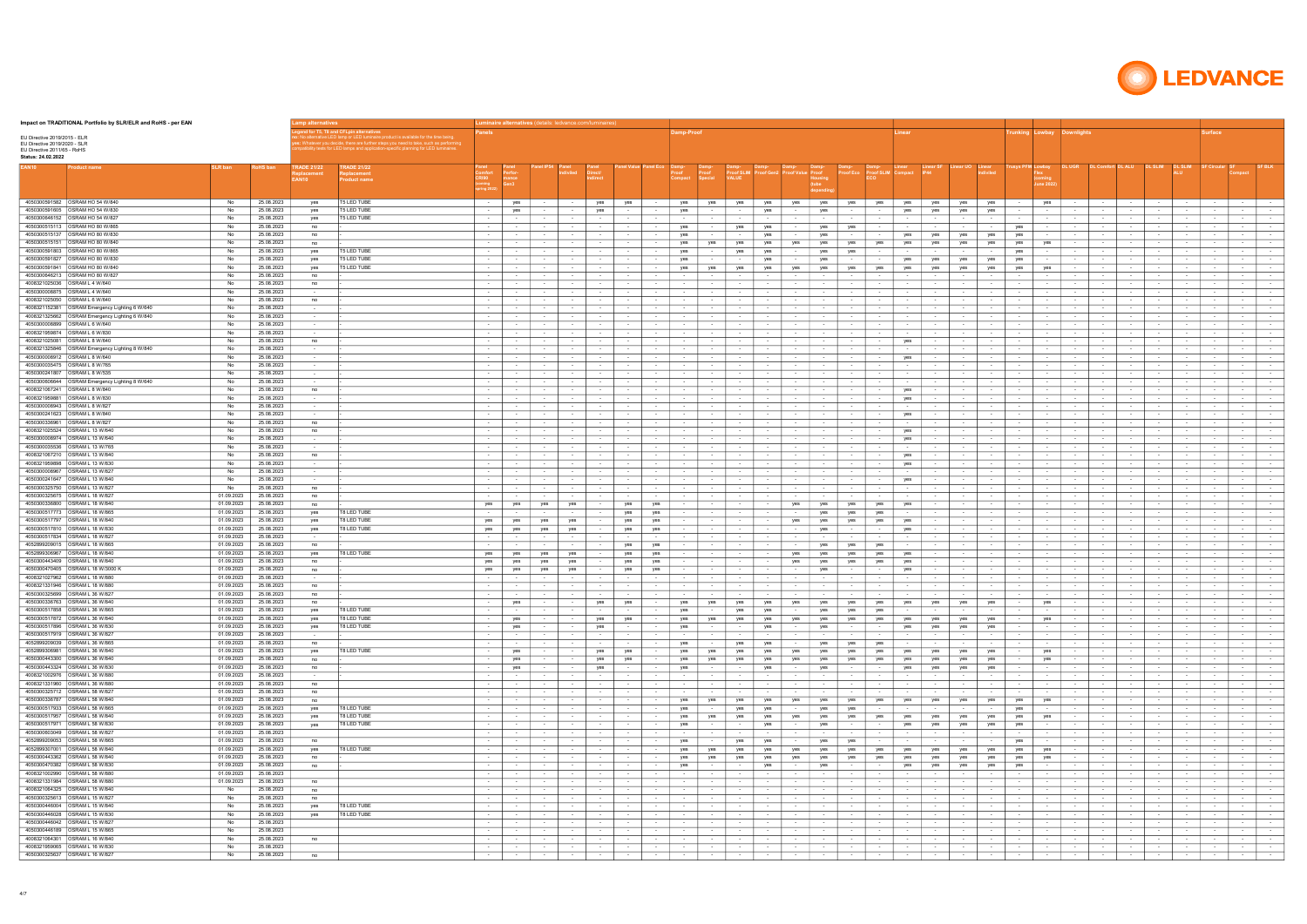| Impact on TRADITIONAL Portfolio by SLR/ELR and RoHS - per EAN                                                     |                          |                          |                                               |                                                                                                                                                                                                                                                                                                  |                                      |                                 |                                    | uminaire alternatives (details: ledvance.com/luminaire |                                                   |                                                        |                                                      |                          |                                |                                       |                                   |                                |                                       |                                          |                                                                 |                               |                            |                                        |                                            |                                      |                                            |                                              |                                        |                              |                                              |                                        |                                             |
|-------------------------------------------------------------------------------------------------------------------|--------------------------|--------------------------|-----------------------------------------------|--------------------------------------------------------------------------------------------------------------------------------------------------------------------------------------------------------------------------------------------------------------------------------------------------|--------------------------------------|---------------------------------|------------------------------------|--------------------------------------------------------|---------------------------------------------------|--------------------------------------------------------|------------------------------------------------------|--------------------------|--------------------------------|---------------------------------------|-----------------------------------|--------------------------------|---------------------------------------|------------------------------------------|-----------------------------------------------------------------|-------------------------------|----------------------------|----------------------------------------|--------------------------------------------|--------------------------------------|--------------------------------------------|----------------------------------------------|----------------------------------------|------------------------------|----------------------------------------------|----------------------------------------|---------------------------------------------|
| EU Directive 2019/2015 - ELR<br>EU Directive 2019/2020 - SLR<br>EU Directive 2011/65 - RoHS<br>Status: 24.02.2022 |                          |                          |                                               | d for T5. T8 and CFLpin alternative<br>alternative LED lamp or LED luminaire product is available for the time being.<br>: Whatever you decide, there are further steps you need to take, such as performin<br>tibility tests for LED lamps and application-specific planning for LED luminaires |                                      |                                 |                                    |                                                        |                                                   |                                                        | amp-Proof                                            |                          |                                |                                       |                                   |                                |                                       |                                          |                                                                 |                               |                            |                                        | <b>Frunking Lowbay Downlights</b>          |                                      |                                            |                                              |                                        |                              | urface                                       |                                        |                                             |
| EAN10<br>oduct name                                                                                               | <b>SLR</b> ban           | <b>coHS</b> ban          | <b>RADE 21/22</b><br>placement<br><b>AN10</b> | <b>TRADE 21/22</b><br><b>Replacement</b><br><b>Product name</b>                                                                                                                                                                                                                                  | Comfort<br>CRI90                     | nance                           |                                    |                                                        |                                                   |                                                        |                                                      | Damp-<br>Proof           | roof SLIM                      |                                       |                                   | Proof                          | roof Ec                               | roof SLIM                                | Compact<br><b>IP44</b>                                          |                               | diviled                    | usys PFM Lowbay                        | une 2022                                   | <b>DL UGR</b>                        |                                            |                                              |                                        |                              |                                              |                                        |                                             |
| 4050300591582 OSRAM HO 54 W/840                                                                                   | No                       | 25.08.2023               | yes                                           | <b>T5 LED TUBE</b>                                                                                                                                                                                                                                                                               | $\sim$ 100 $\pm$                     | yes                             | $\sim$                             | $\sim$                                                 | yes                                               | yes<br>$\sim$ 100 $\pm$                                | yes                                                  | yes                      | yes                            | yes                                   | yes                               | yes                            | yes                                   | yes                                      | yes<br>yes                                                      | yes                           | yes                        | $\sim$                                 | yes                                        | $\sim$                               |                                            | $\sim$                                       | $\sim$ 100 $\pm$                       | $\sim$ $-$                   | $\sim$                                       | <b>Service</b>                         | $\sim$ 100 $\mu$                            |
| 4050300591605 OSRAM HO 54 W/830<br>4050300646152 OSRAM HO 54 W/827                                                | No<br>No                 | 25.08.2023<br>25.08.2023 | ves                                           | <b>T5 LED TUBE</b><br><b>T5 LED TUBE</b>                                                                                                                                                                                                                                                         | $\sim$ 100 $\pm$                     | yes                             | $\sim$                             | $\sim$                                                 | yes<br>$\sim$                                     | $\sim$                                                 | yes                                                  |                          | $\sim$                         | yes                                   | $\sim$                            | yes                            | $\sim$                                | $\sim$                                   | yes<br>yes                                                      | yes                           | yes                        | $\sim$                                 | $\sim$                                     | $\sim$                               |                                            | $\sim$                                       |                                        | $\sim$                       |                                              | $\sim$                                 | $\sim$ $\sim$                               |
| 4050300515113   OSRAM HO 80 W/865                                                                                 | No                       | 25.08.2023               | yes<br>no                                     |                                                                                                                                                                                                                                                                                                  | $\sim$                               | $\sim$                          | $\sim$                             | $\sim$                                                 | $\sim$<br>$\sim$                                  | $\sim$                                                 | $\sim$<br>yes                                        | $\overline{\phantom{a}}$ | $\sim$<br>yes                  | $\sim$<br>yes                         | $\sim$                            | $\sim$<br>yes                  | $\sim$<br>yes                         | $\sim$                                   | $\sim$<br>$\sim$                                                | $\sim$                        | $\sim$                     | yes                                    | $\sim$                                     | $\sim$                               |                                            | $\sim$                                       | $\sim$                                 | $\sim$                       | $\sim$                                       | $\sim$<br>$\sim$                       | $\sim$<br>$\sim$                            |
| 4050300515137<br><b>OSRAM HO 80 W/830</b>                                                                         | No                       | 25.08.2023               | no                                            |                                                                                                                                                                                                                                                                                                  |                                      |                                 | $\sim$                             |                                                        |                                                   |                                                        | yes                                                  |                          |                                | yes                                   |                                   | yes                            |                                       |                                          | yes<br>yes                                                      | yes                           | yes                        | yes                                    |                                            |                                      |                                            |                                              |                                        |                              |                                              | $\sim$                                 | $\sim$                                      |
| 4050300515151<br>OSRAM HO 80 W/840                                                                                | No                       | 25.08.2023               | no                                            |                                                                                                                                                                                                                                                                                                  | $\sim$                               | $\sim$                          | $\sim$                             |                                                        |                                                   | $\sim$                                                 | yes                                                  | yes                      | yes                            | yes                                   | yes                               | yes                            | yes                                   | yes                                      | yes<br>yes                                                      | yes                           | yes                        | yes                                    | yes                                        |                                      |                                            |                                              |                                        | $\sim$                       |                                              | $\sim$                                 | $\sim$                                      |
| 4050300591803<br>OSRAM HO 80 W/865<br>4050300591827<br><b>OSRAM HO 80 W/830</b>                                   | No<br>No                 | 25.08.2023<br>25.08.2023 | yes<br>yes                                    | <b>T5 LED TUBE</b><br><b>T5 LED TUBE</b>                                                                                                                                                                                                                                                         | $\sim$<br>$\sim$                     | $\sim$                          | $\sim$<br>$\sim$                   | $\sim$                                                 | $\sim$                                            | $\sim$                                                 | yes<br>yes                                           | $\sim$                   | yes                            | yes<br>yes                            | $\sim$                            | yes<br>yes                     | yes<br>$\sim$                         | $\sim$                                   | $\sim$<br>yes<br>yes                                            | $\sim$<br>yes                 | $\sim$<br>yes              | yes<br>yes                             | $\sim$                                     | $\sim$                               |                                            | $\sim$                                       |                                        | $\sim$                       | $\sim$                                       | $\sim$<br>$\sim$                       | $\sim$<br>$\sim$                            |
| <b>OSRAM HO 80 W/840</b><br>4050300591841                                                                         | No                       | 25.08.2023               | yes                                           | <b>T5 LED TUBE</b>                                                                                                                                                                                                                                                                               |                                      |                                 |                                    |                                                        |                                                   |                                                        | yes                                                  | yes                      | yes                            | yes                                   | yes                               | yes                            | yes                                   | yes                                      | yes<br>yes                                                      | yes                           | yes                        | yes                                    | yes                                        |                                      |                                            |                                              |                                        |                              |                                              |                                        |                                             |
| OSRAM HO 80 W/827<br>4050300646213                                                                                | No                       | 25.08.2023               | no                                            |                                                                                                                                                                                                                                                                                                  | $\sim$                               |                                 | $\sim$                             | $\sim$                                                 | $\sim$                                            | $\sim$                                                 | $\sim$                                               | $\sim$                   | $\sim$                         | $\sim$                                | $\sim$                            |                                | $\sim$                                |                                          | $\sim$<br>$\sim$                                                |                               |                            |                                        | $\sim$                                     |                                      |                                            | $\sim$                                       |                                        |                              | $\sim$                                       | $\sim$ $-$                             | $\sim$                                      |
| 4008321025036<br>OSRAM L 4 W/640<br>4050300008875<br>OSRAM L 4 W/640                                              | No<br>No                 | 25.08.2023<br>25.08.2023 | no                                            |                                                                                                                                                                                                                                                                                                  | $\sim$<br>$\sim$ 100 $\pm$           | $\sim$ $-$                      | $\sim$<br>$\sim$                   | $\sim$<br>$\sim$                                       | $\sim$<br>$\sim$                                  | $\sim$ 100 $\mu$                                       | $\sim$ $-$                                           | $\sim$                   | $\sim$                         | $\sim$                                | $\sim$<br>$\sim$                  | $\sim$                         | $\sim$                                | $\sim$ $-$                               | $\sim$<br>$\sim$<br>$\sim$<br>$\sim$ $-$                        |                               | $\sim$                     |                                        | $\sim$<br>$\sim$                           | $\sim$<br>$\sim$                     |                                            | $\sim$                                       | $\sim$                                 | $\sim$                       | $\sim$<br>$\sim$                             | $\sim$ $-$                             | $\sim$<br>$\sim$ 100 $\pm$                  |
| 4008321025050<br>OSRAM L 6 W/640                                                                                  | No                       | 25.08.2023               | no                                            |                                                                                                                                                                                                                                                                                                  |                                      |                                 |                                    |                                                        |                                                   |                                                        |                                                      |                          |                                |                                       |                                   |                                |                                       |                                          |                                                                 |                               |                            |                                        |                                            |                                      |                                            |                                              |                                        |                              |                                              |                                        |                                             |
| 4008321152381<br>OSRAM Emergency Lighting 6 W/640                                                                 | No                       | 25.08.2023               | $\sim$                                        |                                                                                                                                                                                                                                                                                                  | $\sim$ 100 $\pm$                     | $\sim$ $-$                      | $\sim$                             | $\sim$                                                 | $\sim$                                            | $\sim$                                                 | $\sim$                                               |                          |                                | $\sim$                                |                                   |                                | $\sim$                                |                                          | $\sim$<br>$\sim$                                                |                               |                            |                                        | $\sim$                                     | $\sim$                               |                                            | $\sim$                                       |                                        |                              | $\sim$                                       | $\sim$ $-$                             | $\sim$                                      |
| OSRAM L 6 W/640<br>4050300008899                                                                                  | No<br>No                 | 25.08.2023<br>25.08.2023 | $\sim$                                        |                                                                                                                                                                                                                                                                                                  | $\sim$<br>$\sim$ 100 $\pm$           | $\sim$<br>$\sim$ 100 $\mu$      | $\sim$<br>$\sim$                   | $\sim$<br>$\sim$ 100 $\pm$                             | $\sim$<br>$\sim$ $-$<br>$\sim$                    | $\sim$<br>$\sim$                                       | $\sim$<br>$\sim$ $-$                                 | $\sim$<br>$\sim$         | $\sim$ 100 $\mu$               | $\sim$<br>$\sim$                      | $\sim$<br>$\sim$ $-$              | $\sim$<br>$\sim$               | $\sim$<br>$\sim$                      | $\sim$ $-$                               | $\sim$<br>$\sim$<br>$\sim$<br>$\sim$ 100 $\mu$                  | $\sim$ $-$                    | $\sim$ $\sim$              | $\sim$                                 | $\sim$<br>$\sim$                           | $\sim$<br>$\sim$                     | $\sim$                                     | $\sim$                                       | $\sim$ 100 $\mu$                       | $\sim$<br>$\sim$             | $\sim$ 100 $\pm$                             | $\sim$<br>$\sim$ $-$                   | $\sim$<br>$\sim$                            |
| OSRAM L 6 W/830<br>4008321959874                                                                                  | No                       | 25.08.2023               | $\sim$                                        |                                                                                                                                                                                                                                                                                                  |                                      | $\sim$ 100 $\mu$                | $\sim$                             |                                                        | $\sim$ $-$<br>$\sim$                              |                                                        | <b>Service</b>                                       |                          |                                | $\sim$                                |                                   |                                | $\sim$                                | $\sim$ 100 $\mu$                         | $\sim$                                                          |                               |                            |                                        | $\sim$                                     | $\sim$                               |                                            |                                              |                                        | $\sim$                       |                                              | $\sim$ $-$                             | $\sim$                                      |
| OSRAM L 8 W/640<br>4008321025081                                                                                  | No                       | 25.08.2023               | no                                            |                                                                                                                                                                                                                                                                                                  | $\sim$ 100 $\pm$                     | $\sim$ $-$                      | $\sim$                             | $\sim$                                                 | $\sim$<br>$\sim$                                  | $\sim$                                                 | $\sim$                                               | $\sim$                   | $\sim$                         | $\sim$                                | $\sim$ $-$                        | $\sim$                         | $\sim$                                | $\sim$                                   | yes<br>$\sim$                                                   |                               | $\sim$                     | $\sim$                                 | $\sim$                                     | $\sim$                               | $\sim$                                     | $\sim$                                       | $\sim$ 100 $\mu$                       | $\sim$                       | $\sim$                                       | $\sim$                                 | $\sim$                                      |
| 4008321325846<br>OSRAM Emergency Lighting 8 W/840                                                                 | No                       | 25.08.2023               | $\sim$ 100 $\mu$                              |                                                                                                                                                                                                                                                                                                  | $\sim$                               | $\sim$ 100 $\mu$                | $\sim$                             | $\sim$                                                 | $\sim$<br>$\sim$                                  | $\sim$ 100 $\mu$                                       | $\sim$                                               | $\sim$                   |                                | $\sim$                                | $\sim$                            | $\sim$                         | $\sim$                                | $\sim$                                   | $\sim$<br>$\sim$                                                |                               | $\sim$                     |                                        | $\sim$                                     | $\sim$                               |                                            | $\sim$                                       | $\sim$ $-$                             | $\sim$                       | $\sim$                                       | $\sim$                                 | $\sim$                                      |
| 4050300008912 OSRAM L 8 W/640<br>4050300035475<br>IOSRAM L 8 W/765                                                | No.<br>No.               | 25.08.2023<br>25.08.2023 | $\sim$ 100 $\mu$<br>$\sim$ 100 $\mu$          |                                                                                                                                                                                                                                                                                                  | $\sim$ 100 $\pm$                     | $\sim$<br>$\sim$ 100 $\mu$      | $\sim$<br>$\sim$                   | $\sim$ 100 $\pm$                                       | $\sim$ $-$<br>$\sim$<br>$\sim$ $-$                | $\sim$ $-$                                             | $\sim$<br>$\sim$                                     | $\sim$                   | $\sim$ 100 $\pm$               | $\sim$<br>$\sim$                      | $\sim$<br>$\sim$                  | $\sim$<br>$\sim$               | $\sim$<br>$\sim$                      | $\sim$ $-$<br>$\sim$                     | yes<br>$\sim$ 100 $\mu$<br>$\sim$                               | $\sim$ $-$                    | $\sim$                     | $\sim$                                 | $\sim$<br>$\sim$                           | $\sim$<br>$\sim$                     | $\sim$                                     | $\sim$                                       | $\sim$ $-$<br><b>STATE</b>             | $\sim$<br>$\sim$             | $\sim$                                       | $\sim$<br>$\sim$                       | $\sim$<br>$\sim$                            |
| 4050300241807<br>OSRAM L 8 W/535                                                                                  | No                       | 25.08.2023               | $\sim$ 100 $\mu$                              |                                                                                                                                                                                                                                                                                                  | $\sim$ 100 $\pm$                     | $\sim$ $-$                      | $\sim$                             | $\sim$                                                 | $\sim$<br>$\sim$                                  | $\sim$ 100 $\pm$                                       | $\sim$                                               | $\sim$                   | $\sim$                         | $\sim$                                | $\sim$                            | $\sim$                         | $\sim$                                | $\sim$                                   | $\sim$<br>$\sim$                                                | $\sim$                        | $\sim$                     | $\sim$                                 | $\sim$                                     | $\sim$                               | $\sim$                                     | $\sim$                                       | $\sim$                                 | $\sim$                       | $\sim$                                       | $\sim$                                 | $\sim$                                      |
| 4050300606644 OSRAM Emergency Lighting 8 W/640                                                                    | No                       | 25.08.2023               | $\sim$                                        |                                                                                                                                                                                                                                                                                                  | $\sim$                               | $\sim$ 100 $\mu$                | $\sim$                             | $\sim$                                                 | $\sim$<br>$\sim$                                  | $\sim$                                                 | $\sim$                                               | $\overline{\phantom{a}}$ |                                | $\sim$                                | $\sim$                            | $\sim$                         | $\sim$                                |                                          | $\sim$<br>$\sim$                                                |                               | $\sim$                     |                                        | $\sim$                                     | $\sim$                               | $\sim$                                     | $\overline{\phantom{a}}$                     | $\sim$                                 | $\sim$                       |                                              | $\sim$                                 | $\sim$                                      |
| 4008321067241<br>OSRAM L 8 W/840<br>4008321959881<br>OSRAM L 8 W/830                                              | No<br>No                 | 25.08.2023<br>25.08.2023 | no<br>$\sim$                                  |                                                                                                                                                                                                                                                                                                  | $\sim$ 100 $\pm$                     | $\sim$<br>$\sim$                | $\sim$<br>$\sim$                   | $\sim$ 100 $\pm$                                       | $\sim$<br>$\sim$<br>$\sim$                        | $\sim$ 100 $\pm$                                       | $\sim$<br>$\sim$                                     | $\sim$                   | $\sim$<br>$\sim$               | $\sim$<br>$\overline{\phantom{a}}$    | $\sim$                            | $\sim$<br>$\sim$               | $\sim$<br>$\sim$                      | $\sim$<br>$\sim$                         | yes<br>$\sim$<br>yes<br>$\sim$                                  | $\sim$                        | $\sim$                     | $\sim$                                 | <b>Service</b><br>$\sim$                   | $\sim$<br>$\sim$                     | $\sim$<br>$\sim$                           | $\sim$                                       | $\sim$                                 | $\sim$<br>$\sim$             | $\sim$                                       | $\sim$<br>$\sim$                       | $\sim$<br>$\sim$                            |
| 4050300008943<br>OSRAM L 8 W/827                                                                                  | No                       | 25.08.2023               | $\sim$                                        |                                                                                                                                                                                                                                                                                                  | $\sim$ 100 $\pm$                     | $\sim$ $-$                      | $\sim$                             | $\sim$                                                 | $\sim$<br>$\sim$                                  | $\sim$ 100 $\pm$                                       | $\sim$                                               | $\sim$                   | $\sim$                         | $\sim$                                | $\sim$                            | $\sim$                         | $\sim$                                | $\sim$                                   | $\sim$<br>$\sim$                                                | $\sim$                        | $\sim$                     | $\sim$                                 | $\sim$                                     | $\sim$                               | $\sim$                                     | $\sim$                                       | $\sim$                                 | $\sim$                       | $\sim$                                       | $\sim$                                 | $\sim$                                      |
| 4050300241623<br>OSRAM L 8 W/840                                                                                  | No                       | 25.08.2023               | $\sim$ 100 $\mu$                              |                                                                                                                                                                                                                                                                                                  | $\sim$                               | $\sim$ 100 $\mu$                | $\sim$                             | $\sim$                                                 | $\sim$                                            | $\sim$                                                 | $\sim$                                               |                          | $\sim$                         | $\sim$                                |                                   | $\sim$                         | $\sim$                                |                                          | yes<br>$\sim$                                                   |                               |                            |                                        | $\sim$                                     | $\sim$                               |                                            |                                              | $\sim$                                 | $\sim$                       |                                              | $\sim$                                 | $\sim$                                      |
| 4050300336961<br>OSRAM L 8 W/827<br>4008321025524<br>OSRAM L 13 W/640                                             | No<br>No                 | 25.08.2023<br>25.08.2023 | no<br>no                                      |                                                                                                                                                                                                                                                                                                  | $\sim$                               | $\sim$<br>$\sim$                | $\sim$<br>$\sim$                   |                                                        | $\sim$                                            |                                                        | $\sim$<br>$\sim$                                     |                          |                                | $\sim$                                |                                   | $\sim$<br>$\sim$               | $\sim$<br>$\sim$                      |                                          | yes                                                             |                               |                            |                                        | $\sim$<br>$\sim$                           | $\sim$                               |                                            | $\sim$                                       |                                        | $\sim$<br>$\sim$             | $\sim$                                       | $\sim$<br>$\sim$                       | $\sim$<br>$\sim$                            |
| 4050300008974<br><b>OSRAM L 13 W/640</b>                                                                          | No                       | 25.08.2023               | $\sim$                                        |                                                                                                                                                                                                                                                                                                  | $\sim$                               | $\sim$                          | $\sim$                             | $\sim$                                                 | $\sim$<br>$\sim$                                  | $\sim$                                                 | $\sim$                                               |                          | $\sim$                         | $\sim$                                |                                   | $\sim$                         | $\sim$                                |                                          | yes                                                             |                               | $\sim$                     |                                        | $\sim$                                     | $\sim$                               |                                            | $\sim$                                       |                                        | $\sim$                       |                                              | $\sim$                                 | $\sim$                                      |
| 4050300035536<br>OSRAM L 13 W/765                                                                                 | No                       | 25.08.2023               |                                               |                                                                                                                                                                                                                                                                                                  | $\sim$                               | $\sim$                          | $\sim$                             |                                                        |                                                   |                                                        | $\sim$                                               |                          |                                |                                       |                                   | $\sim$                         |                                       |                                          |                                                                 |                               |                            |                                        | $\sim$                                     | $\sim$                               |                                            |                                              |                                        | $\sim$                       |                                              | $\sim$                                 | $\sim$                                      |
| 4008321067210 OSRAM L 13 W/840<br>4008321959898<br>OSRAM L 13 W/830                                               | No<br>No                 | 25.08.2023<br>25.08.2023 | no                                            |                                                                                                                                                                                                                                                                                                  | $\sim$                               | $\sim$                          | $\sim$<br>$\sim$                   |                                                        | $\sim$<br>$\sim$                                  |                                                        | $\sim$<br>$\sim$                                     |                          |                                | $\sim$                                |                                   | $\sim$<br>$\sim$               | $\sim$<br>$\sim$                      |                                          | yes<br>yes                                                      |                               |                            |                                        | $\sim$<br>$\sim$                           | $\sim$                               |                                            | $\sim$                                       |                                        | $\sim$<br>$\sim$             |                                              | $\sim$                                 | $\sim$<br>$\sim$                            |
| 4050300008967<br>OSRAM L 13 W/827                                                                                 | No                       | 25.08.2023               | $\sim$                                        |                                                                                                                                                                                                                                                                                                  | $\sim$                               | $\sim$                          | $\sim$                             | $\sim$                                                 | $\sim$<br>$\sim$                                  |                                                        | $\sim$                                               |                          | $\sim$                         | $\sim$                                |                                   | $\sim$                         | $\sim$                                |                                          | $\sim$                                                          |                               | $\sim$                     |                                        | $\sim$                                     | $\sim$                               |                                            | $\sim$                                       | $\sim$                                 | $\sim$                       |                                              | $\sim$                                 | $\sim$                                      |
| 4050300241647<br><b>OSRAM L 13 W/840</b>                                                                          | No                       | 25.08.2023               | $\sim$                                        |                                                                                                                                                                                                                                                                                                  | $\sim$ 100 $\pm$                     | $\sim$ $-$                      | $\sim$                             | $\sim$                                                 | $\sim$                                            | $\sim$ $-$                                             | $\sim$                                               |                          |                                | $\sim$                                | $\sim$                            | $\sim$                         | $\sim$                                |                                          | yes<br>$\sim$                                                   |                               |                            |                                        | $\sim$                                     | $\sim$                               |                                            | $\sim$                                       | $\sim$                                 | $\sim$                       |                                              | $\sim$ $-$                             | $\sim$                                      |
| 4050300325750<br><b>OSRAM L 13 W/827</b>                                                                          | No                       | 25.08.2023               | no                                            |                                                                                                                                                                                                                                                                                                  |                                      |                                 |                                    |                                                        |                                                   |                                                        |                                                      |                          |                                |                                       |                                   |                                |                                       |                                          |                                                                 |                               |                            |                                        |                                            |                                      |                                            |                                              |                                        |                              |                                              |                                        |                                             |
| <b>OSRAM L 18 W/827</b><br>4050300325675<br>4050300336800<br><b>OSRAM L 18 W/840</b>                              | 01.09.2023<br>01.09.2023 | 25.08.2023<br>25.08.2023 | no<br>no                                      |                                                                                                                                                                                                                                                                                                  | $\sim$<br>yes                        | yes                             | $\sim$<br>yes                      | $\sim$<br>yes                                          | $\sim$<br>yes                                     | yes                                                    | $\sim$<br>$\sim$                                     |                          |                                | $\sim$                                | yes                               | yes                            | $\sim$<br>yes                         | yes                                      | yes                                                             |                               |                            |                                        | $\sim$                                     | $\sim$                               |                                            | $\sim$                                       |                                        | $\sim$<br>$\sim$             | $\sim$                                       |                                        | $\sim$<br>$\sim$                            |
| 4050300517773 <b>OSRAM L 18 W/865</b>                                                                             | 01.09.2023               | 25.08.2023               | yes                                           | <b>T8 LED TUBE</b>                                                                                                                                                                                                                                                                               | $\sim$ 100 $\pm$                     | $\sim$ $-$                      | $\sim$                             | $\sim$ 100 $\pm$                                       | $\sim$ $-$                                        | yes<br>yes                                             | $\sim$                                               | $\sim$                   | $\sim$ $-$                     | $\sim$ 100 $\pm$                      | $\sim$ $-$                        | yes                            | yes                                   | yes                                      | $\sim$<br>$\sim$ $-$                                            |                               | $\sim$                     | $\sim$                                 | $\sim$ 100 $\pm$                           | $\sim$ 100 $\pm$                     | $\sim$                                     | $\sim$                                       | $\sim$ $-$                             | $\sim$                       | $\sim$                                       | $\sim$                                 | $\sim$                                      |
| 4050300517797<br><b>OSRAM L 18 W/840</b><br>4050300517810 OSRAM L 18 W/830                                        | 01.09.2023               | 25.08.2023               | yes                                           | T8 LED TUBE                                                                                                                                                                                                                                                                                      | yes                                  | yes                             | yes                                | yes                                                    |                                                   | yes<br>yes                                             |                                                      |                          |                                |                                       | yes                               | yes                            | yes                                   | yes                                      | yes                                                             |                               |                            |                                        |                                            |                                      |                                            |                                              |                                        |                              |                                              |                                        | $\sim$                                      |
| 4050300517834<br>IOSRAM L 18 W/827                                                                                | 01.09.2023<br>01.09.2023 | 25.08.2023<br>25.08.2023 | yes                                           | T8 LED TUBE                                                                                                                                                                                                                                                                                      | yes                                  | yes<br>$\sim$                   | yes<br>$\sim$                      | yes<br>$\sim$                                          | yes<br>$\sim$<br>$\sim$ $-$<br>$\sim$             | yes                                                    | $\sim$<br>$\sim$                                     | $\sim$<br>$\sim$         | $\sim$                         | $\sim$<br>$\sim$                      | $\sim$<br>$\sim$ $-$              | yes<br>$\sim$                  | $\sim$<br>$\sim$                      | $\sim$ $-$<br>$\sim$                     | yes<br>$\sim$<br>$\sim$                                         | $\sim$                        | $\sim$                     | $\sim$                                 | $\sim$<br>$\sim$                           | $\sim$<br>$\sim$                     | $\sim$<br>$\sim$                           | $\sim$                                       | $\sim$<br>$\sim$ 100 $\mu$             | $\sim$<br>$\sim$             | $\sim$                                       | $\sim$<br>$\sim$                       | $\sim$<br>$\sim$ $-$                        |
| <b>OSRAM L 18 W/865</b><br>4052899209015                                                                          | 01.09.2023               | 25.08.2023               | no                                            |                                                                                                                                                                                                                                                                                                  | $\sim$                               | $\sim$                          | $\sim$                             | $\sim$ 100 $\pm$                                       | $\sim$ $-$                                        | yes<br>yes                                             | $\sim$                                               | $\sim$                   | $\sim$                         | $\sim$                                | $\sim$ $-$                        | yes                            | yes                                   | yes                                      | $\sim$<br>$\sim$                                                |                               | $\sim$                     | $\sim$                                 | $\sim$                                     | $\sim$                               | $\sim$                                     | $\sim$                                       | $\sim$ 100 $\pm$                       | $\sim$                       | $\sim$ 100 $\pm$                             | $\sim$ $-$                             | $\sim$                                      |
| 4052899306967<br><b>OSRAM L 18 W/840</b>                                                                          | 01.09.2023               | 25.08.2023               | yes                                           | T8 LED TUBE                                                                                                                                                                                                                                                                                      | yes                                  | yes                             | yes                                | yes                                                    | $\sim$                                            | yes<br>yes                                             | $\sim$                                               | $\sim$                   |                                | $\sim$                                | yes                               | yes                            | yes                                   | yes                                      | yes<br>$\sim$                                                   |                               |                            | $\sim$                                 | $\sim$                                     | $\sim$                               |                                            | $\sim$                                       | $\sim$ 100 $\pm$                       | $\sim$                       |                                              | $\sim$                                 | $\sim$                                      |
| 4050300470405<br><b>OSRAM L 18 W/3000 K</b>                                                                       | 01.09.2023<br>01.09.2023 | 25.08.2023<br>25.08.2023 | no<br>no                                      |                                                                                                                                                                                                                                                                                                  | yes<br>yes                           | yes<br>yes                      | yes<br>yes                         | yes<br>yes                                             | yes<br>$\sim$<br>$\sim$ $-$                       | yes<br>yes<br>yes                                      | $\sim$<br>$\sim$                                     | $\sim$<br>$\sim$         | $\sim$ 100 $\pm$               | $\sim$<br>$\sim$                      | yes<br>$\sim$ $-$                 | yes<br>yes                     | yes<br>$\sim$                         | yes<br>$\sim$                            | yes<br>$\sim$<br>yes<br>$\sim$                                  | $\sim$                        | $\sim$<br>$\sim$           | $\sim$                                 | $\sim$ $-$<br>$\sim$                       | $\sim$<br>$\sim$                     | $\sim$<br>$\sim$                           | $\sim$<br>$\sim$                             | $\sim$ 100 $\pm$<br>$\sim$ 100 $\pm$   | $\sim$<br>$\sim$             | $\sim$                                       | $\sim$<br>$\sim$ $-$                   | $\sim$<br>$\sim$ 100 $\mu$                  |
| 4008321027962 OSRAM   18 W/880                                                                                    | 01.09.2023               | 25.08.2023               | $\sim$ 100 $\mu$                              |                                                                                                                                                                                                                                                                                                  | $\sim$                               | $\sim$ 100 $\mu$                | $\sim$                             | $\sim$ 100 $\pm$                                       | $\sim$ $-$<br>$\sim$ $-$                          | $\sim$ 100 $\pm$                                       | $\sim$                                               | $\sim$                   | $\sim$ 100 $\pm$               | $\sim$                                | $\sim$                            | $\sim$ 100 $\pm$               | $\sim$                                | $\sim$ 100 $\mu$                         | $\sim$<br>$\sim$                                                | $\sim$                        | $\sim$ $-$                 | $\sim$                                 | $\sim$                                     | $\sim$                               | $\sim$                                     | $\sim$                                       | $\sim$ 100 $\pm$                       | $\sim$                       | $\sim$ 100 $\pm$                             | $\sim$ $-$                             | $\sim$                                      |
| 4008321331946<br><b>OSRAM L 18 W/880</b>                                                                          | 01.09.2023               | 25.08.2023               | no                                            |                                                                                                                                                                                                                                                                                                  | $\sim$                               | $\sim$                          | $\sim$                             | $\sim$                                                 | $\sim$<br>$\sim$                                  | $\sim$                                                 | $\sim$                                               | $\sim$                   | $\sim$                         | $\sim$                                |                                   | $\sim$                         | $\sim$                                |                                          | $\sim$<br>$\sim$                                                | $\sim$                        | $\sim$                     | $\sim$                                 | $\sim$                                     | $\sim$                               |                                            |                                              |                                        | $\sim$                       |                                              | $\sim$                                 | $\sim$                                      |
| 4050300325699   OSRAM L 36 W/827<br>4050300336763 OSRAM L 36 W/840                                                | 01.09.2023<br>01.09.2023 | 25.08.2023<br>25.08.2023 | no<br>no                                      |                                                                                                                                                                                                                                                                                                  | $\sim$ 100 $\pm$<br>$\sim$ 100 $\pm$ | $\sim$<br>yes                   | $\sim$<br>$\sim$                   | $\sim$<br>$\sim$                                       | $\sim$<br>$\sim$<br>yes<br>yes                    | $\sim$ 100 $\pm$<br>$\sim$ 100 $\pm$                   | $\sim$ $-$<br>yes                                    | $\sim$<br>yes            | $\sim$<br>yes                  | $\sim$<br>yes                         | $\sim$<br>yes                     | $\sim$<br>yes                  | $\sim$<br>yes                         | $\sim$<br>yes                            | $\sim$<br>$\sim$<br>yes<br>yes                                  | $\sim$<br>yes                 | $\sim$<br>yes              | $\sim$<br>$\sim$                       | $\sim$ $-$<br>yes                          | $\sim$<br>$\sim$                     | $\sim$<br>$\sim$ $-$                       | $\sim$<br>$\sim$                             | $\sim$<br>$\sim$ $-$                   | $\sim$<br>$\sim$             | $\sim$<br>$\sim$                             | $\sim$<br>$\sim$                       | $\sim$<br>$\sim$                            |
| 4050300517858 OSRAM L 36 W/865                                                                                    |                          | 01.09.2023 25.08.2023    | yes                                           | II8 LED IUBE                                                                                                                                                                                                                                                                                     |                                      |                                 |                                    |                                                        |                                                   |                                                        | yes                                                  |                          | yes                            | yes                                   |                                   | yes                            | yes                                   | yes                                      |                                                                 |                               |                            |                                        |                                            |                                      |                                            |                                              |                                        |                              |                                              |                                        |                                             |
| 4050300517872 OSRAM L 36 W/840                                                                                    | 01.09.2023               | 25.08.2023               | yes                                           | T8 LED TUBE                                                                                                                                                                                                                                                                                      | $\sim$                               | yes                             |                                    | $\sim$                                                 | yes<br>yes                                        | $\sim$                                                 | yes                                                  | yes                      | yes                            | yes                                   | yes                               | yes                            | yes                                   | yes                                      | yes<br>yes                                                      | yes                           | yes                        | $\sim$ 100 $\mu$                       | yes                                        | $\sim$                               | $\sim$                                     | $\sim$                                       | $\sim$ 100 $\pm$                       | $\sim$                       | $\sim$                                       | $\sim$                                 | $\sim$ 100 $\mu$                            |
| 4050300517896 OSRAM L 36 W/830<br>4050300517919 OSRAM L 36 W/827                                                  | 01.09.2023<br>01.09.2023 | 25.08.2023<br>25.08.2023 | yes<br>$\sim$                                 | T8 LED TUBE                                                                                                                                                                                                                                                                                      | $\sim$<br>$\sim$                     | yes<br>$\sim$                   | $\sim$<br>$\sim$                   | $\sim$ 100 $\pm$<br>$\sim$                             | yes<br>$\sim$ $-$<br>$\sim$                       | $\sim$<br>$\sim$                                       | yes<br>$\sim$                                        | $\sim$                   | $\sim$<br>$\sim$               | yes<br>$\sim$                         | $\sim$                            | yes<br>$\sim$                  | $\sim$<br>$\sim$                      | $\sim$<br>$\sim$                         | yes<br>yes<br>$\sim$<br>$\sim$                                  | yes                           | yes<br>$\sim$              | $\sim$ 100 $\sim$<br>$\sim$            | <b>Service</b><br>$\sim$ $-$               | $\sim$<br>$\sim$                     | <b>Service</b><br>$\sim$                   | <b>Service</b><br>$\sim$                     | $\sim$<br>$\sim$                       | $\sim$<br>$\sim$             | $\sim$                                       | $\sim$<br>$\sim$ $-$                   | $\sim$ 100 $\sim$<br><b>Contract</b>        |
| 4052899209039 OSRAM L 36 W/865                                                                                    | 01.09.2023               | 25.08.2023               | no                                            |                                                                                                                                                                                                                                                                                                  | $\sim$                               | $\sim$                          | $\sim$                             | $\sim$                                                 | $\sim$<br>$\sim$                                  | $\sim$ 100 $\pm$                                       | yes                                                  | $\sim$                   | yes                            | yes                                   | $\sim$                            | yes                            | yes                                   | yes                                      | $\sim$<br>$\sim$                                                |                               | $\sim$                     | $\sim$                                 | $\sim$                                     | $\sim$                               |                                            | $\sim$                                       | $\sim$                                 | $\sim$                       |                                              | $\sim$                                 | $\sim$                                      |
| 4052899306981 OSRAM L 36 W/840                                                                                    | 01.09.2023               | 25.08.2023               | yes                                           | T8 LED TUBE                                                                                                                                                                                                                                                                                      | $\sim$ $-$                           | yes                             | $\sim$                             | $\sim 10^{-1}$                                         | yes                                               | yes<br>$\sim$ 100 $\mu$                                | yes                                                  | yes                      | yes                            | yes                                   | yes                               | yes                            | yes                                   | yes                                      | yes<br>yes                                                      | yes                           | yes                        | $\sim$                                 | yes                                        | $\sim$ $\sim$                        | $\sim$                                     | $\sim$                                       | $\sim$ $-$                             | $\sim$                       | $\sim$                                       | $\sim$ $-$                             | $\sim$ $-$                                  |
| 4050300443300 OSRAM L 36 W/840<br>4050300443324 OSRAM L 36 W/830                                                  | 01.09.2023<br>01.09.2023 | 25.08.2023<br>25.08.2023 | no<br>no                                      |                                                                                                                                                                                                                                                                                                  | $\sim$<br>$\sim$ $\sim$              | yes<br>yes                      | $\sim$<br>$\sim$                   | $\sim$<br>$\sim$                                       | yes<br>yes<br>$\sim$                              | yes<br>$\sim$<br>$\sim$ 100 $\mu$                      | yes<br>yes                                           | yes                      | yes<br>$\sim$                  | yes<br>yes                            | yes<br>$\sim$                     | yes<br>yes                     | yes<br>$\sim$                         | yes<br>$\sim$                            | yes<br>yes<br>yes<br>yes                                        | yes<br>yes                    | yes<br>yes                 | $\sim$ 100 $\sim$<br>$\sim$            | yes<br>$\sim$ $-$                          | $\sim$<br>$\sim$ $\sim$              | $\sim$<br>$\sim$                           | $\sim$<br>$\sim$                             | $\sim$<br>$\sim$                       | $\sim$<br>$\sim$             | $\sim$ $-$<br>$\sim$                         | $\sim$ $-$<br>$\sim$ $-$               | $\sim$ 100 $\pm$<br><b>Contract</b>         |
| 4008321002976 OSRAM L 36 W/880                                                                                    | 01.09.2023               | 25.08.2023               | $\sim$                                        |                                                                                                                                                                                                                                                                                                  | $\sim$                               | $\sim$                          | $\sim$                             | $\sim$                                                 | $\sim$<br>$\sim$                                  | $\sim$                                                 | $\sim$                                               | $\sim$                   | $\sim$                         | $\sim$                                | $\sim$                            | $\sim$                         | $\sim$                                | $\sim$                                   | $\sim$<br>$\sim$                                                | $\sim$                        | $\sim$                     | $\sim$                                 | $\sim$ $-$                                 | $\sim$                               |                                            | $\sim$                                       | $\sim$                                 | $\sim$                       | $\sim$                                       | $\sim$                                 | $\sim$                                      |
| 4008321331960 OSRAM L 36 W/880<br>4050300325712 OSRAM L 58 W/827                                                  | 01.09.2023               | 25.08.2023               | no                                            |                                                                                                                                                                                                                                                                                                  | $\sim$ $\sim$                        | $\sim$ $-$                      | $\sim$                             | $\sim$ 100 $\pm$                                       | $\sim$<br>$\sim$                                  | $\sim$                                                 | $\sim$ $-$                                           | $\sim$                   | $\sim$                         | $\sim$                                | $\sim$                            | $\sim$                         | $\sim$                                | $\sim$ $-$                               | $\sim$<br>$\sim$                                                | $\sim$                        | $\sim$                     | $\sim$                                 | $\sim$ $-$                                 | $\sim$                               | $\sim$                                     | $\sim$                                       | $\sim$                                 | $\sim$                       | $\sim$ $\sim$                                | $\sim$ $-$                             | $\sim$ $-$                                  |
| 4050300336787 OSRAM L 58 W/840                                                                                    | 01.09.2023<br>01.09.2023 | 25.08.2023<br>25.08.2023 | no<br>no                                      |                                                                                                                                                                                                                                                                                                  | $\sim$<br>$\sim$ $-$                 | $\sim$ 100 $\pm$                | $\sim$<br>$\sim$                   | $\sim$ 100 $\pm$<br>$\sim$ 100 $\pm$                   | $\sim$ 100 $\pm$                                  | $\sim$<br>$\sim$<br>$\sim$<br>$\sim$ 100 $\pm$         | $\sim$<br>yes                                        | $\sim$<br>yes            | $\sim$<br>yes                  | $\sim$<br>yes                         | $\sim$<br>yes                     | $\sim$<br>yes                  | $\sim$<br>yes                         | $\sim$<br>yes                            | $\sim$<br>$\sim$<br>yes<br>yes                                  | yes                           | $\sim$<br>yes              | $\sim$<br>yes                          | $\sim$<br>yes                              | $\sim$ $-$<br>$\sim$                 | $\sim$<br>$\sim$ $-$                       | $\sim$<br>$\sim$ 100 $\pm$                   | $\sim$<br><b>Contract</b>              | $\sim$<br>$\sim$             | $\sim$<br>$\sim$ 100 $\pm$                   | $\sim$<br><b>Contract</b>              | <b>Contract</b><br><b>Contract</b>          |
| 4050300517933 OSRAM L 58 W/865                                                                                    | 01.09.2023               | 25.08.2023               | yes                                           | T8 LED TUBE                                                                                                                                                                                                                                                                                      |                                      |                                 | $\sim$                             |                                                        | $\sim$                                            |                                                        | yes                                                  | $\sim$ $-$               | yes                            | yes                                   | $\sim$                            | yes                            | yes                                   | $\sim$ $-$                               | $\sim$ $-$<br>$\sim$                                            | $\sim$ 100 $\pm$              | $\sim$                     | yes                                    | $\sim 10^{-11}$                            | $\sim$                               |                                            |                                              | $\sim$ $-$                             | $\sim$                       |                                              | $\sim$                                 | <b>Contract</b>                             |
| 4050300517957 OSRAM L 58 W/840                                                                                    | 01.09.2023               | 25.08.2023               | yes                                           | T8 LED TUBE                                                                                                                                                                                                                                                                                      | $\sim$ 100 $\pm$                     | $\sim$ 100 $\pm$                | $\sim$                             | $\sim$ 100 $\pm$                                       | $\sim$ 100 $\pm$                                  | $\sim$<br>$\sim$ 100 $\pm$                             | yes                                                  | yes                      | yes                            | yes                                   | yes                               | yes                            | yes                                   | yes                                      | yes<br>yes                                                      | yes                           | yes                        | yes                                    | yes                                        | $\sim$ 100 $\pm$                     | $\sim$                                     | $\sim$ 100 $\pm$                             | <b>Contract</b>                        | $\sim$                       | $\sim$ 100 $\pm$                             | <b>Contract</b>                        | <b>Contract</b>                             |
| 4050300517971 OSRAM L 58 W/830<br>4050300603049 OSRAM L 58 W/827                                                  | 01.09.2023<br>01.09.2023 | 25.08.2023<br>25.08.2023 | yes                                           | <b>T8 LED TUBE</b>                                                                                                                                                                                                                                                                               | $\sim$ 100 $\pm$<br><b>Contract</b>  | $\sim$ $-$<br>$\sim$ 100 $\pm$  | $\sim$<br><b>Service</b>           | $\sim 10^{-1}$<br><b>Contract</b>                      | $\sim$ $-$<br>$\sim$ 100 $\pm$<br>$\sim$ $-$      | $\sim$<br>$\sim$ $-$<br>$\sim$ 100 $\pm$               | yes<br><b>Contract</b>                               | $\sim$ $-$<br>$\sim$     | $\sim$<br>$\sim$               | yes<br>$\sim$ 100 $\pm$               | $\sim$<br>$\sim$                  | yes<br>$\sim$ $-$              | $\sim$ $-$<br><b>Contract</b>         | $\sim 10^{-11}$<br>$\sim$ 100 $\pm$      | yes<br>yes<br>$\sim 10^{-1}$<br>$\sim$ 100 $\pm$                | yes<br>$\sim 10^{-11}$        | yes<br>$\sim$ 100 $\pm$    | yes<br>$\sim$ 100 $\pm$                | $\sim 10^{-11}$<br><b>Contract</b>         | <b>Contract</b><br>$\sim$ 100 $\pm$  | <b>College</b><br><b>Contract Contract</b> | $\sim$ 100 $\pm$<br>$\sim$ 100 $\pm$         | $\sim$ $-$<br><b>Contract</b>          | <b>College</b><br>$\sim$ $-$ | $\sim 10^{-11}$<br>$\sim 10^{-1}$            | <b>Contract</b><br><b>Contractor</b>   | <b>Contract</b><br><b>Contract Contract</b> |
| 4052899209053 OSRAM L 58 W/865                                                                                    | 01.09.2023               | 25.08.2023               | no                                            |                                                                                                                                                                                                                                                                                                  |                                      |                                 | $\sim$                             |                                                        | $\sim$                                            |                                                        | yes                                                  | $\sim$                   | yes                            | yes                                   | $\sim$                            | yes                            | yes                                   |                                          | $\sim$<br>$\sim$ $-$                                            |                               | $\sim$                     | yes                                    | <b>Service</b>                             | $\sim$                               | $\sim$ 100 $\pm$                           | $\sim$ 100 $\pm$                             | $\sim$ $-$                             | $\sim$                       |                                              | <b>Contract</b>                        | <b>Contract</b>                             |
| 4052899307001 OSRAM L 58 W/840                                                                                    | 01.09.2023               | 25.08.2023               | yes                                           | T8 LED TUBE                                                                                                                                                                                                                                                                                      | $\sim$ 100 $\pm$                     | $\sim$ 100 $\pm$                | <b>Service</b>                     | <b>Contract</b>                                        | $\sim$ 100 $\pm$<br>$\sim$ $-$                    | <b>Contract</b>                                        | yes                                                  | yes                      | yes                            | yes                                   | yes                               | yes                            | yes                                   | yes                                      | yes<br>yes                                                      | yes                           | yes                        | yes                                    | yes                                        | $\sim 100$                           | <b>Service</b>                             | <b>Contract</b>                              | $\sim$ 100 $\pm$                       | <b>Contract</b>              | $\sim 10^{-1}$                               | <b>Contract</b>                        | <b>Contract</b>                             |
| 4050300443362 OSRAM L 58 W/840<br>4050300470382 OSRAM L 58 W/830                                                  | 01.09.2023<br>01.09.2023 | 25.08.2023<br>25.08.2023 | no<br>no                                      |                                                                                                                                                                                                                                                                                                  | $\sim$ 100 $\pm$<br>$\sim 10^{-1}$   | $\sim$ $-$<br>$\sim$ 100 $\pm$  | $\sim$<br><b>Contract Contract</b> | $\sim$ 100 $\pm$<br><b>Contract</b>                    | $\sim$ $-$<br>$\sim$<br><b>Contract</b><br>$\sim$ | $\sim$ 100 $\pm$<br>$\sim$ 100 $\pm$                   | yes<br>yes                                           | yes<br>$\sim$ $-$        | yes<br>$\sim$ 100 $\pm$        | yes<br>yes                            | yes<br><b>Contract</b>            | yes<br>yes                     | yes<br>$\sim 10^{-1}$                 | yes<br>$\sim$ 100 $\pm$                  | yes<br>yes<br>yes<br>yes                                        | yes<br>yes                    | yes<br>yes                 | yes<br>yes                             | yes<br><b>Contract</b>                     | $\sim$ $-$<br>$\sim$ 100 $\pm$       | $\sim$ 100 $\pm$                           | $\sim$<br><b>Contract</b>                    | $\sim$ $-$<br><b>Contract</b>          | $\sim$<br>$\sim$ $-$         | $\sim$ 100 $\pm$<br><b>Contract</b>          | <b>Contract</b><br><b>Contractor</b>   | <b>Contract</b><br><b>Contract Contract</b> |
| 4008321002990 OSRAM L 58 W/880                                                                                    | 01.09.2023               | 25.08.2023               |                                               |                                                                                                                                                                                                                                                                                                  | $\sim$ 100 $\mu$                     | $\sim$ $-$                      | $\sim 100$                         | $\sim$ 100 $\mu$                                       | $\sim 100$<br>$\sim$ $-$                          | $\sim$ 100 $\mu$                                       | $\sim$ $-$                                           | $\sim$                   | $\sim$                         | $\sim$ $-$                            | <b>Contract</b>                   | $\sim$                         | <b>Contract Contract</b>              | $\sim$ 100 $\pm$                         | $\sim$<br>$\sim$ $-$                                            | $\sim$                        | $\sim$                     | <b>Contract</b>                        | <b>Service</b>                             | $\sim$ 100 $\pm$                     | <b>Service</b>                             | $\sim$ 100 $\pm$                             | <b>Contract</b>                        | $\sim$ $-$                   | $\sim$ 100 $\mu$                             | <b>Contract Contract</b>               | <b>Contract Contract</b>                    |
| 4008321331984 OSRAM L 58 W/880                                                                                    | 01.09.2023               | 25.08.2023               | no                                            |                                                                                                                                                                                                                                                                                                  | $\sim$ 100 $\pm$                     | $\sim$ 100 $\pm$                | $\sim$                             | $\sim$ 100 $\pm$                                       | $\sim$ 100 $\pm$                                  | $\sim$ 100 $\pm$<br>$\sim$                             | <b>Contract</b>                                      | $\sim$                   | $\sim$ 100 $\pm$               | <b>Contract</b>                       | $\sim$ 100 $\pm$                  | $\sim$ 100 $\pm$               | <b>Contract</b>                       | $\sim$ 100 $\pm$                         | $\sim$ 100 $\pm$<br>$\sim 10^{-1}$                              | $\sim$ 100 $\pm$              | $\sim$ 100 $\pm$           | <b>Contract</b>                        | $\sim 10^{-10}$                            | $\sim$ 100 $\pm$                     | <b>Contract Contract</b>                   | <b>Contract</b>                              | $\sim 10^{-1}$                         | $\sim$                       | $\sim$ 100 $\pm$                             | <b>Contractor</b>                      | <b>Contract</b>                             |
| 4008321064325 OSRAM L 15 W/840<br>4050300325613 OSRAM L 15 W/827                                                  | No<br>No                 | 25.08.2023<br>25.08.2023 | no<br>no                                      |                                                                                                                                                                                                                                                                                                  | $\sim$ 100 $\pm$<br>$\sim$ 100 $\pm$ | $\sim$ $-$<br>$\sim$ 100 $\sim$ | $\sim$<br>$\sim$                   | $\sim$ 100 $\pm$<br>$\sim$                             | $\sim 100$<br>$\sim$<br><b>State Street</b>       | $\sim$ 100 $\mu$<br><b>Service</b><br>$\sim$ 100 $\pm$ | <b>Contract Contract</b><br><b>Contract Contract</b> | $\sim$<br>$\sim$         | $\sim$ $-$<br>$\sim$ 100 $\pm$ | $\sim$ 100 $\pm$<br><b>STATISTICS</b> | <b>Contract</b><br><b>Service</b> | $\sim$ $-$<br>$\sim$ 100 $\pm$ | <b>Contract</b><br><b>State State</b> | $\sim$ 100 $\sim$<br><b>State Street</b> | $\sim$ 100 $\pm$<br>$\sim$ $-$<br>$\sim$ $-$<br><b>Contract</b> | $\sim$<br><b>State Street</b> | $\sim$<br>$\sim$ 100 $\pm$ | $\sim 100$<br><b>Contract Contract</b> | <b>Contract</b><br><b>Service</b>          | $\sim$ 100 $\pm$<br>$\sim$ 100 $\pm$ | $\sim$ $-$                                 | $\sim$ 100 $\pm$<br><b>Contract Contract</b> | $\sim 100$<br><b>Contract Contract</b> | $\sim$<br>$\sim$ 100 $\pm$   | $\sim$ 100 $\pm$<br><b>Contract Contract</b> | <b>Contract</b><br><b>State Street</b> | <b>Contract</b><br>$\sim$ 100 $\sim$        |
| 4050300446004 OSRAM L 15 W/840                                                                                    | No                       | 25.08.2023               | yes                                           | <b>T8 LED TUBE</b>                                                                                                                                                                                                                                                                               | $\sim$ 100 $\pm$                     | $\sim$ $-$                      | $\sim$                             | $\sim$ 100 $\pm$                                       | $\sim$ 100 $\pm$<br>$\sim$                        | $\sim$ $-$                                             | <b>Service</b>                                       | $\sim$                   | $\sim$                         | $\sim$                                | $\sim$ $-$                        | $\sim$                         | <b>Contract</b>                       | $\sim$ 100 $\mu$                         | $\sim$<br>$\sim$ 100 $\pm$                                      | $\sim$                        | $\sim$ $-$                 | $\sim$ 100 $\mu$                       | <b>Service</b>                             | $\sim$                               | $\sim$                                     | $\sim$                                       | $\sim$ 100 $\pm$                       | $\sim$                       | $\sim$                                       | $\sim$ 100 $\sim$                      | <b>Contract</b>                             |
| 4050300446028 OSRAM L 15 W/830                                                                                    | No                       | 25.08.2023               | yes                                           | T8 LED TUBE                                                                                                                                                                                                                                                                                      | $\sim$                               | $\sim$ 100 $\sim$               | $\sim$                             | $\sim$                                                 | $\sim$ 100 $\sim$<br>$\sim$                       | $\sim$ 100 $\pm$                                       | $\sim$                                               | $\sim$                   | $\sim$ 100 $\mu$               | $\sim$ 100 $\sim$                     | $\sim$ $-$                        | $\sim$ 100 $\pm$               | <b>Contractor</b>                     | $\sim$ 100 $\sim$                        | $\sim$<br>$\sim$                                                | $\sim$ 100 $\pm$              | $\sim$ 100 $\pm$           | <b>Contract</b>                        | <b>Service</b>                             | $\sim$                               | the company                                | $\sim$                                       | $\sim$ 100 $\pm$                       | $\sim$                       | $\sim$ $-$                                   | $\sim$                                 | <b>Service</b>                              |
| 4050300446042 <b>OSRAM L 15 W/827</b><br>4050300446189 OSRAM L 15 W/865                                           | No<br>No                 | 25.08.2023<br>25.08.2023 |                                               |                                                                                                                                                                                                                                                                                                  | $\sim$ 100 $\pm$<br>$\sim$ 100 $\pm$ | $\sim$ $-$<br>$\sim$ 100 $\sim$ | $\sim$<br>$\sim$                   | $\sim$ 100 $\pm$<br>$\sim$ 100 $\mu$                   | $\sim$ $-$<br>$\sim$<br><b>Service</b><br>$\sim$  | $\sim$ $-$<br>$\sim$ 100 $\pm$                         | $\sim$ $-$<br><b>Service</b>                         | $\sim$<br>$\sim$         | $\sim$<br>$\sim$               | $\sim$<br>$\sim$ 100 $\sim$           | $\sim$<br><b>Service</b>          | $\sim$<br>$\sim$ 100 $\pm$     | $\sim$ $-$<br><b>State State</b>      | $\sim$ $-$<br>$\sim$ 100 $\sim$          | $\sim$ $-$<br>$\sim$<br>$\sim$<br>$\sim$ 100 $\pm$              | $\sim$ $-$<br><b>Service</b>  | $\sim$ $-$<br>$\sim$       | $\sim$<br><b>Contract</b>              | <b>Contract Contract</b><br>the control of | $\sim$ 100 $\pm$<br>$\sim$           | $\sim$                                     | $\sim$<br><b>Contract Contract</b>           | $\sim$ $-$<br><b>STATE</b>             | $\sim$<br>$\sim$ 100 $\pm$   | $\sim$ 100 $\pm$<br><b>Service</b>           | $\sim$ 100 $\pm$<br>and the con-       | <b>Contract</b><br><b>Contract Contract</b> |
| 4008321064301 OSRAM L 16 W/840                                                                                    | No                       | 25.08.2023               | no                                            |                                                                                                                                                                                                                                                                                                  | $\sim$                               | $\sim$ $-$                      | $\sim$                             | $\sim$                                                 | $\sim$ $-$<br>$\sim$                              | $\sim$ 100 $\pm$                                       | <b>Contract Contract</b>                             | $\sim$                   | $\sim$                         | $\sim$                                | $\sim$                            | $\sim$                         | <b>Contract</b>                       | $\sim$                                   | $\sim$ $-$<br>$\sim$                                            | $\sim$ 100 $\pm$              | $\sim$ $-$                 | $\sim$ 100 $\mu$                       | $\sim$ $-$                                 | $\sim$                               | $\sim$ $-$                                 | $\sim$                                       | $\sim$ 100 $\pm$                       | $\sim$ $-$                   | $\sim$ 100 $\pm$                             | <b>Contract</b>                        | <b>Contract Contract</b>                    |
| 4008321959065 OSRAM L 16 W/830                                                                                    | No                       | 25.08.2023               |                                               |                                                                                                                                                                                                                                                                                                  | $\sim$ 100 $\pm$                     | $\sim$ 100 $\sim$               | $\sim$                             | $\sim$                                                 | <b>State Street</b><br>$\sim$ $-$                 | $\sim$ 100 $\pm$                                       | <b>Contract Contract</b>                             | $\sim$ 100 $\pm$         | $\sim$ $-$                     | <b>State Street</b>                   | <b>Contract</b>                   | $\sim$ 100 $\pm$               | <b>State State</b>                    | $\sim$ 100 $\sim$                        | $\sim$ 100 $\sim$<br><b>Service</b>                             | <b>State Street</b>           | $\sim$ 100 $\sim$          | <b>Contract Contract</b>               | <b>Contract Contract</b>                   | $\sim$ 100 $\mu$                     | <b>Service</b>                             | <b>Contract Contract</b>                     | <b>STATE</b>                           | $\sim$                       | <b>Contract</b>                              | <b>State Street</b>                    | $\sim$ 100 $\sim$                           |
| 4050300325637 OSRAM L 16 W/827                                                                                    | No                       | 25.08.2023               | no                                            |                                                                                                                                                                                                                                                                                                  | $\sim 10^{-11}$                      | $\sim$ 100 $\pm$                | <b>Contract</b>                    | $\sim 10^{-1}$                                         | $\sim$ 100 $\pm$                                  | $\sim 10^{-11}$<br>$\sim$ $-$                          | $\sim 10^{-10}$                                      | $\sim$ $-$               | <b>Contract</b>                | $\sim 10^{-1}$                        | <b>Contract</b>                   | $\sim$ $-$                     | <b>Contract</b>                       | <b>Contract</b>                          | $\sim 10^{-1}$<br>$\sim 10^{-1}$                                | <b>Contract</b>               | $\sim 10^{-1}$             | $\sim 10^{-1}$                         | <b>Contract</b>                            | $\sim 100$                           | - 1                                        | <b>Contract</b>                              | <b>Contract</b>                        | <b>Contract</b>              | <b>Contract</b>                              | <b>Contract</b>                        | <b>Contract</b>                             |

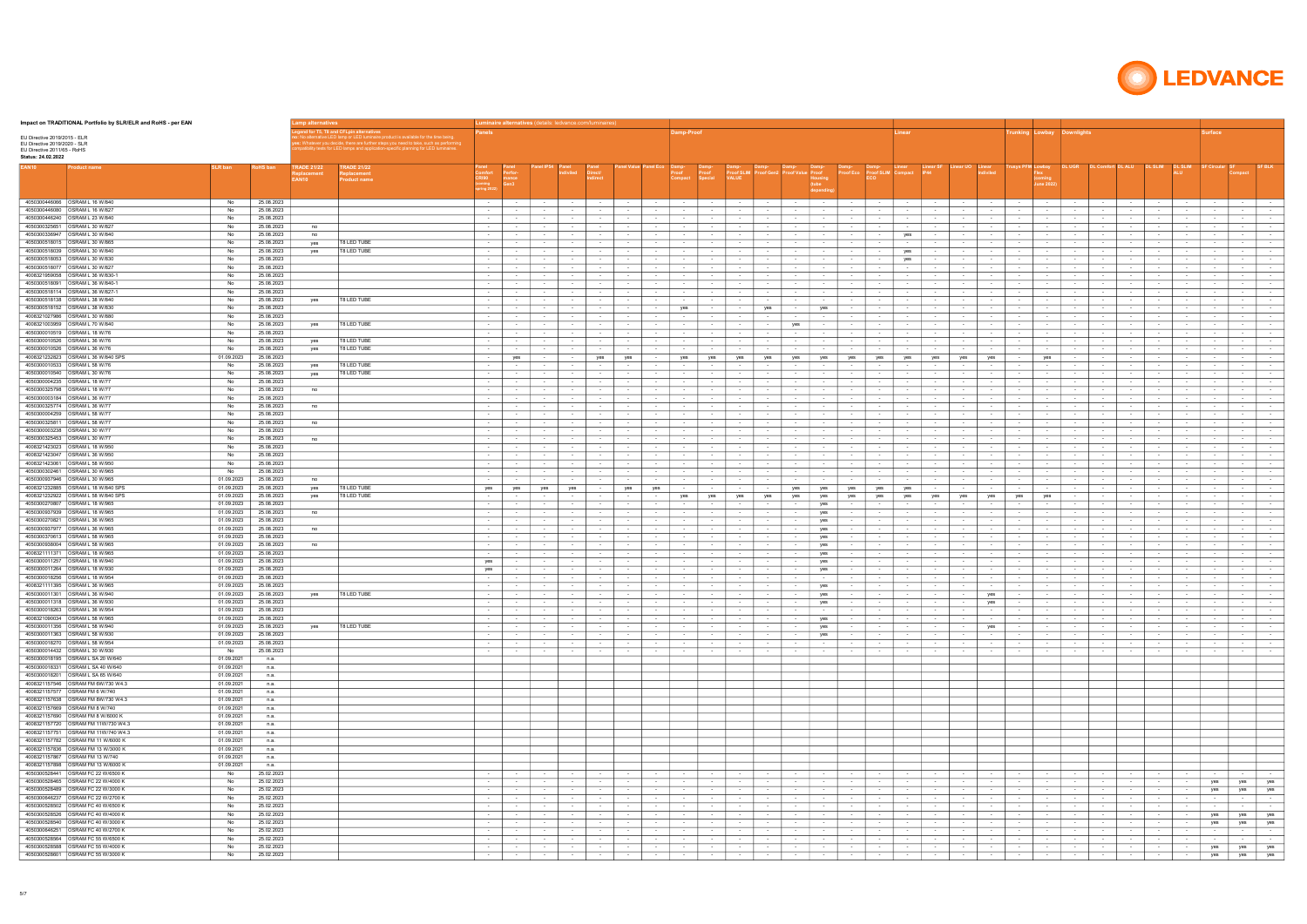| Impact on TRADITIONAL Portfolio by SLR/ELR and RoHS - per EAN                                                     |                          |                          | .amp alternatives           |                                                                                                                                                                                                                                                            |                                      |                                |                  |                               | L <b>uminaire alternatives</b> (details: ledvance.com/luminaires) |                          |                                |                                       |                            |                                      |                                                         |                            |                                     |                             |                      |                            |                                                    |                                     |                                       |                            |                              |                                |                              |                            |                                      |                                       |                                             |
|-------------------------------------------------------------------------------------------------------------------|--------------------------|--------------------------|-----------------------------|------------------------------------------------------------------------------------------------------------------------------------------------------------------------------------------------------------------------------------------------------------|--------------------------------------|--------------------------------|------------------|-------------------------------|-------------------------------------------------------------------|--------------------------|--------------------------------|---------------------------------------|----------------------------|--------------------------------------|---------------------------------------------------------|----------------------------|-------------------------------------|-----------------------------|----------------------|----------------------------|----------------------------------------------------|-------------------------------------|---------------------------------------|----------------------------|------------------------------|--------------------------------|------------------------------|----------------------------|--------------------------------------|---------------------------------------|---------------------------------------------|
| EU Directive 2019/2015 - ELR<br>EU Directive 2019/2020 - SLR<br>EU Directive 2011/65 - RoHS<br>Status: 24.02.2022 |                          |                          |                             | ernative LED lamp or LED luminaire product is available for the time being.<br>: Whatever you decide, there are further steps you need to take, such as performing<br>patibility tests for LED lamps and application-specific planning for LED luminaires. | anels                                |                                |                  |                               |                                                                   |                          |                                | amp-Proof                             |                            |                                      |                                                         |                            |                                     |                             | inear                |                            |                                                    |                                     |                                       | unking Lowbay Downlights   |                              |                                |                              |                            | urface                               |                                       |                                             |
| EAN10<br><b>Product name</b>                                                                                      | <b>SLR ban</b>           | RoHS ban                 | <b>TRADE 21/22</b><br>EAN10 | <b>TRADE 21/22</b><br><b>Product name</b>                                                                                                                                                                                                                  | CRI90<br>oming<br>»ring 202:         | erfor-<br>nance<br>Gen3        |                  |                               |                                                                   |                          |                                | Proof                                 |                            |                                      |                                                         | lousing                    |                                     | Proof SLIM                  |                      |                            | diviled                                            |                                     | rusys PFM Lowbay<br>oming:<br>une 20: | <b>DL UGR</b>              |                              |                                |                              | <b>DL SLIM</b>             |                                      |                                       |                                             |
| 4050300446066 <b>OSRAM L 16 W/840</b>                                                                             | No                       | 25.08.2023               |                             |                                                                                                                                                                                                                                                            | $\sim 100$                           | $\sim$ $-$                     |                  | $\sim$ 100 $\pm$              | $\sim$ 100 $\pm$                                                  | $\sim$                   | $\sim$ 100 $\pm$               | <b>Service</b>                        | $\sim$                     | $\sim$ 100 $\pm$                     | $\sim$                                                  | $\sim$                     | <b>Contract</b>                     |                             | $\sim$               | $\sim$                     | $\sim$ 100 $\pm$                                   | $\sim$                              | $\sim$ 100 $\pm$                      | $\sim$                     | $\sim$                       | $\sim$ 100 $\pm$               | $\sim$ $-$                   | $\sim$                     | $\sim$ 100 $\pm$                     | <b>Contract</b>                       | $\sim 100$                                  |
| 4050300446080 OSRAM L 16 W/827                                                                                    | No                       | 25.08.2023               |                             |                                                                                                                                                                                                                                                            | $\sim 100$                           | $\sim$                         |                  | $\sim$                        | $\sim$ 100 $\pm$                                                  | $\sim$                   | $\sim$ $-$                     |                                       | $\sim$                     | $\sim$                               | $\sim$<br>$\sim$                                        | $\sim$                     | $\sim$                              | $\sim$                      | $\sim$               | $\sim$                     | $\sim$                                             | $\sim$ 100 $\mu$                    | $\sim$                                | $\sim$                     | $\sim$                       | $\sim$                         | $\sim$ $\sim$                | $\sim$                     | $\sim$                               | $\sim$ 100 $\pm$                      | $\sim$ 100 $\pm$                            |
| 4050300446240 OSRAM L 23 W/840<br>4050300325651 OSRAM L 30 W/827                                                  | No<br>No                 | 25.08.2023<br>25.08.2023 | no                          |                                                                                                                                                                                                                                                            | <b>Contract</b><br>$\sim$            | $\sim$<br>$\sim$               | $\sim$           | $\sim$ 100 $\pm$              | $\sim$ 100 $\pm$                                                  | <b>Service</b><br>$\sim$ | $\sim$ 100 $\pm$               | $\sim$ 100 $\sim$<br>$\sim$ 100 $\mu$ | $\sim$<br>$\sim$           | $\sim$ 100 $\pm$                     | <b>Contract</b><br>$\sim$<br>$\sim$                     | $\sim$                     | <b>Contract</b><br>$\sim$           | $\sim$ 100 $\sim$           | $\sim$ $-$<br>$\sim$ | $\sim$                     | <b>Service</b><br>$\sim$ 100 $\pm$                 | <b>Contract</b><br>$\sim$ 100 $\mu$ | $\sim$ 100 $\pm$<br>$\sim$            | $\sim$                     | $\sim$ $-$                   | $\sim$                         | $\sim$ $-$                   | $\sim$                     | $\sim$ 100 $\pm$                     | $\sim$ 100 $\pm$<br>$\sim$ $-$        | <b>Contract</b><br>$\sim$ 100 $\pm$         |
| 4050300336947   OSRAM L 30 W/840                                                                                  | No                       | 25.08.2023               | no                          |                                                                                                                                                                                                                                                            | $\sim$ 100 $\pm$                     | $\sim$                         | $\sim$           | $\sim$                        | $\sim$ 100 $\pm$                                                  | $\sim$                   | $\sim$ $-$                     | $\sim$ $-$                            | $\sim$                     | $\sim$ $-$<br>$\sim$                 | $\sim$                                                  | $\sim$                     | $\sim$                              | $\sim$ 100 $\sim$           | yes                  | $\sim$                     | $\sim$<br>$\sim$                                   | $\sim$ $-$                          | $\sim$                                | $\sim$                     | $\sim$                       | $\sim$                         | $\sim$                       | $\sim$                     | $\sim$                               | $\sim$ 100 $\pm$                      | $\sim$                                      |
| 4050300518015 <b>OSRAM L 30 W/865</b>                                                                             | No                       | 25.08.2023               | yes                         | T8 LED TUBE                                                                                                                                                                                                                                                | $\sim 100$                           | $\sim$                         |                  | $\sim$                        | $\sim$                                                            | $\sim$                   | $\sim$                         | $\sim$                                | $\sim$                     | $\sim$                               | $\sim$<br>$\sim$                                        |                            | $\sim$                              | $\sim$                      | $\sim$               | $\sim$                     | $\sim$<br>$\sim$                                   | $\sim$ 100 $\mu$                    | $\sim$                                | $\sim$                     | $\sim$                       | $\sim$                         | $\sim$                       | $\sim$                     | $\sim$                               | $\sim$ $-$                            | $\sim$                                      |
|                                                                                                                   | No<br>No                 | 25.08.2023               | yes                         | T8 LED TUBE                                                                                                                                                                                                                                                | $\sim 100$                           | $\sim$                         | $\sim$           | $\sim$                        | $\sim$                                                            | $\sim$                   | $\sim$ 100 $\pm$               | $\sim$                                | $\sim$                     | $\sim$                               | $\sim$<br>$\sim$                                        | $\sim$ 100 $\mu$           | $\sim$ $-$                          | $\sim$ 100 $\sim$           | yes                  | $\sim$                     | $\sim$<br>$\sim$                                   | $\sim$                              | $\sim$ $-$                            | $\sim$                     | $\sim$                       | $\sim$                         | $\sim$                       | $\sim$                     | $\sim$                               | $\sim$ 100 $\pm$                      | $\sim$                                      |
| 4050300518053 OSRAM L 30 W/830<br>4050300518077   OSRAM L 30 W/827                                                | No                       | 25.08.2023<br>25.08.2023 |                             |                                                                                                                                                                                                                                                            | $\sim$<br>$\sim$ 100 $\pm$           | $\sim$<br>$\sim$               | $\sim$<br>$\sim$ | $\sim$<br>$\sim$              | $\sim$<br>$\sim$                                                  | $\sim$<br>$\sim$         | $\sim$                         | $\sim$<br>$\sim$                      | $\sim$<br>$\sim$           | $\sim$<br>$\sim$                     | $\sim$<br>$\sim$<br>$\sim$ 100 $\pm$<br>$\sim$          | $\sim$<br>$\sim$           | $\sim$<br>$\sim$ $-$                | $\sim$<br>$\sim$            | yes<br>$\sim$        | $\sim$<br>$\sim$           | $\sim$<br>$\sim$<br>$\sim$<br>$\sim$               | $\sim$<br>$\sim$                    | $\sim$<br>$\sim$ $-$                  | $\sim$<br>$\sim$           | $\sim$<br>$\sim$             | $\sim$<br>$\sim$               | $\sim$<br>$\sim$             | $\sim$<br>$\sim$           | $\sim$<br>$\sim$                     | $\sim$ $-$<br>$\sim$ $-$              | $\sim$<br>$\sim$                            |
| 4008321959058 OSRAM L 36 W/830-1                                                                                  | No                       | 25.08.2023               |                             |                                                                                                                                                                                                                                                            | $\sim$ 100 $\pm$                     | $\sim$                         | $\sim$           | $\sim$                        | $\sim$                                                            | $\sim$                   | $\sim$                         | $\sim$ 100 $\sim$                     | $\sim$                     | $\sim$                               | $\sim$<br>$\sim$                                        | $\sim$                     | $\sim$                              | $\sim$                      | $\sim$               | $\sim$                     | $\sim$<br>$\sim$                                   | $\sim$ 100 $\mu$                    | $\sim$                                | $\sim$                     | $\sim$                       | $\sim$                         | $\sim$                       | $\sim$                     | $\sim$                               | $\sim$ $-$                            | $\sim$                                      |
| 4050300518091 OSRAM L 36 W/840-1                                                                                  | No                       | 25.08.2023               |                             |                                                                                                                                                                                                                                                            | $\sim$ 100 $\pm$                     | $\sim$                         | $\sim$           | $\sim$                        | $\sim$                                                            | $\sim$                   | $\sim$ 100 $\pm$               | $\sim$                                | $\sim$                     | $\sim$                               | $\sim$<br>$\sim$                                        | $\sim$                     | $\sim$                              | $\sim$                      | $\sim$               | $\sim$                     | $\sim$<br>$\sim$                                   | $\sim$                              | $\sim$ $-$                            | $\sim$                     | $\sim$                       | $\sim$                         | $\sim$                       | $\sim$                     | $\sim$                               | $\sim$ $-$                            | $\sim$                                      |
| 4050300518114 OSRAM L 36 W/827-1<br>4050300518138   OSRAM L 38 W/840                                              | No<br>No                 | 25.08.2023<br>25.08.2023 | yes                         | T8 LED TUBE                                                                                                                                                                                                                                                | $\sim$<br>$\sim$ 100 $\pm$           | $\sim$<br>$\sim$               | $\sim$           | $\sim$<br>$\sim$              | $\sim$<br>$\sim$                                                  | $\sim$<br>$\sim$         | $\sim$                         | $\sim$ 100 $\sim$<br>$\sim$           | $\sim$<br>$\sim$           | $\sim$<br>$\sim$                     | $\sim$<br>$\sim$<br>$\sim$<br>$\sim$                    | $\sim$<br>$\sim$           | $\sim$<br>$\sim$ 100 $\pm$          |                             | $\sim$<br>$\sim$     | $\sim$<br>$\sim$           | $\sim$<br>$\sim$<br>$\sim$<br>$\sim$               | $\sim$ 100 $\mu$<br>$\sim$ $-$      | $\sim$<br>$\sim$ $-$                  | $\sim$<br>$\sim$           | $\sim$<br>$\sim$             | $\sim$                         | $\sim$<br>$\sim$             | $\sim$<br>$\sim$           | $\sim$<br>$\sim$                     | $\sim$ $-$<br>$\sim$ $-$              | $\sim$<br>$\sim$                            |
| 4050300518152 OSRAM L 38 W/830                                                                                    | No                       | 25.08.2023               |                             |                                                                                                                                                                                                                                                            | $\sim$ 100 $\pm$                     | $\sim$                         |                  | $\sim$                        | $\sim$                                                            | $\sim$                   | $\sim$                         | yes                                   | $\sim$                     | yes<br>$\sim$                        | $\sim$                                                  | yes                        | $\sim$                              |                             | $\sim$               | $\sim$                     | $\sim$                                             | $\sim$ 100 $\mu$                    | $\sim$                                | $\sim$                     | $\sim$                       | $\sim$                         | $\sim$                       | $\sim$                     | $\sim$                               | $\sim$                                | $\sim$                                      |
| 4008321027986 OSRAM L 30 W/880                                                                                    | No                       | 25.08.2023               |                             |                                                                                                                                                                                                                                                            | $\sim$                               | $\sim$                         |                  | $\sim$                        |                                                                   | $\sim$                   | $\sim$                         | $\sim$                                | $\sim$                     | $\sim$<br>$\sim$                     | $\sim$                                                  | $\sim$                     | $\sim$                              | $\sim$                      | $\sim$               |                            | $\sim$                                             | $\sim$                              | $\sim$                                | $\overline{\phantom{a}}$   |                              | $\sim$                         | $\sim$                       | $\sim$                     | $\sim$                               | $\sim$                                | $\sim$                                      |
| 4008321003959 OSRAM L 70 W/840<br>4050300010519   OSRAM L 18 W/76                                                 | No                       | 25.08.2023<br>25.08.2023 | yes                         | T8 LED TUBE                                                                                                                                                                                                                                                | $\sim$ 100 $\pm$                     | $\sim$                         |                  | $\sim$                        | $\sim$                                                            | $\sim$                   |                                | $\sim$                                | $\sim$                     | $\sim$                               | $\sim$<br>yes                                           |                            | $\sim$                              |                             | $\sim$               | $\sim$                     | $\sim$                                             | $\sim$                              | $\sim$                                |                            | $\sim$                       | $\sim$                         |                              | $\sim$                     | $\sim$                               | $\sim$ $-$                            | $\sim$                                      |
| 4050300010526 OSRAM L 36 W/76                                                                                     | No<br>No                 | 25.08.2023               | yes                         | T8 LED TUBE                                                                                                                                                                                                                                                | $\sim$<br>$\sim$                     | $\sim$<br>$\sim$               |                  | $\sim$<br>$\sim$              | $\sim$                                                            | $\sim$<br>$\sim$         |                                | $\sim$                                | $\sim$<br>$\sim$           | $\sim$<br>$\sim$<br>$\sim$           | $\sim$<br>$\sim$                                        |                            | $\sim$<br>$\sim$                    |                             | $\sim$<br>$\sim$     |                            | $\sim$<br>$\sim$                                   | $\sim$<br>$\sim$                    | $\sim$<br>$\sim$                      | $\sim$                     |                              | $\sim$<br>$\sim$               | $\sim$                       |                            | $\sim$<br>$\sim$                     | $\sim$<br>$\sim$ $-$                  | $\sim$<br>$\sim$                            |
| 4050300010526 OSRAM L 36 W/76                                                                                     | No                       | 25.08.2023               | yes                         | T8 LED TUBE                                                                                                                                                                                                                                                | $\sim$                               | $\sim$                         |                  | $\sim$                        | $\sim$                                                            | $\sim$                   | $\sim$                         | $\sim$                                | $\sim$                     | $\sim$<br>$\sim$                     | $\sim$                                                  | $\sim$                     | $\sim$                              | $\sim$                      | $\sim$               |                            | $\sim$                                             | $\sim$                              | $\sim$                                | $\sim$                     | $\sim$                       | $\sim$                         | $\sim$                       | $\sim$                     | $\sim$                               | $\sim$                                | $\sim$                                      |
| 4008321232823 OSRAM L 36 W/840 SPS                                                                                | 01.09.2023               | 25.08.2023               |                             |                                                                                                                                                                                                                                                            | $\sim$                               | yes                            |                  | $\sim$                        | yes                                                               | yes                      |                                | yes                                   | yes                        | yes                                  | yes<br>yes                                              | yes                        | yes                                 | yes                         | yes                  | yes                        | yes<br>yes                                         | $\sim$                              | yes                                   |                            | $\sim$                       | $\sim$                         |                              |                            | $\sim$                               | $\sim$ $-$                            | $\sim$                                      |
| 4050300010533 OSRAM L 58 W/76<br>4050300010540   OSRAM L 30 W/76                                                  | No<br>No                 | 25.08.2023<br>25.08.2023 | yes<br>yes                  | T8 LED TUBE<br>T8 LED TUBE                                                                                                                                                                                                                                 | $\sim$ 100 $\pm$<br>$\sim$           | $\sim$<br>$\sim$               |                  | $\sim$<br>$\sim$              | $\sim$                                                            | $\sim$<br>$\sim$         | $\sim$                         | $\sim$                                | $\sim$<br>$\sim$           | $\sim$<br>$\sim$<br>$\sim$           | $\sim$<br>$\sim$                                        |                            | $\sim$<br>$\sim$                    | $\sim$                      | $\sim$<br>$\sim$     |                            | $\sim$<br>$\sim$<br>$\sim$                         | $\sim$<br>$\sim$                    | $\sim$<br>$\sim$                      | $\sim$                     | $\sim$                       | $\sim$<br>$\sim$               | $\sim$                       | $\sim$                     | $\sim$<br>$\sim$                     | $\sim$<br>$\sim$ $-$                  | $\sim$<br>$\sim$                            |
| 4050300004235 <b>OSRAM L 18 W/77</b>                                                                              | No                       | 25.08.2023               |                             |                                                                                                                                                                                                                                                            | $\sim$                               | $\sim$                         |                  | $\sim$                        |                                                                   | $\sim$                   |                                |                                       | $\sim$                     |                                      |                                                         |                            |                                     |                             | $\sim$               |                            | $\sim$                                             |                                     | $\sim$                                |                            |                              |                                |                              |                            |                                      |                                       | $\sim$                                      |
| 4050300325798 <b>OSRAM L 18 W/77</b>                                                                              | No                       | 25.08.2023               | no                          |                                                                                                                                                                                                                                                            | <b>Contract</b>                      | $\sim$ 100 $\mu$               | $\sim$           | $\sim$ 100 $\pm$              | $\sim 10^{-1}$                                                    | $\sim$                   | $\sim$ 100 $\pm$               | $\sim$ $-$                            | $\sim$ $-$                 | $\sim$ 100 $\pm$                     | <b>Contract</b><br>$\sim$                               | $\sim$                     | $\sim$ 100 $\pm$                    | $\sim$                      | $\sim$               | $\sim$ $-$                 | $\sim$ $-$<br>$\sim$ $-$                           | $\sim$ $-$                          | $\sim$ 100 $\pm$                      | $\sim$                     | $\sim$ $-$                   | $\sim$                         | $\sim$ $-$                   | $\sim$                     | $\sim$ 100 $\pm$                     | <b>Service</b>                        | $\sim$ 100 $\pm$                            |
| 4050300003184   OSRAM L 36 W/77<br>4050300325774   OSRAM L 36 W/77                                                | No                       | 25.08.2023               |                             |                                                                                                                                                                                                                                                            |                                      | $\sim$                         |                  |                               | $\sim$ $-$                                                        | $\sim$                   | $\sim$ $-$                     | $\sim$                                | $\sim$                     |                                      | $\sim$<br>$\sim$                                        |                            |                                     |                             | $\sim$               | $\sim$                     |                                                    |                                     |                                       |                            | $\sim$                       |                                | $\sim$                       | $\sim$                     |                                      |                                       | $\sim$                                      |
| 4050300004259 <b>OSRAM L 58 W/77</b>                                                                              | No<br>No                 | 25.08.2023<br>25.08.2023 | no                          |                                                                                                                                                                                                                                                            | $\sim$ 100 $\pm$<br>$\sim$           | $\sim$                         |                  | $\sim$<br>$\sim$              |                                                                   | $\sim$<br>$\sim$         | $\sim$                         |                                       | $\sim$<br>$\sim$           | $\sim$ 100 $\pm$<br>$\sim$           | $\sim$<br>$\sim$                                        |                            | $\sim$<br>$\sim$                    |                             | $\sim$<br>$\sim$     |                            | $\sim$<br>$\sim$                                   | $\sim$<br>$\sim$                    | $\sim$ 100 $\pm$<br>$\sim$            |                            |                              | $\sim$<br>$\sim$               | $\sim$                       |                            | $\sim$<br>$\sim$                     | $\sim$ $-$<br>$\sim$                  | $\sim$<br>$\sim$                            |
| 4050300325811   OSRAM L 58 W/77                                                                                   | No                       | 25.08.2023               | no                          |                                                                                                                                                                                                                                                            | <b>Contract</b>                      | $\sim$ 100 $\mu$               | $\sim$ $-$       | $\sim$ 100 $\pm$              | $\sim$ 100 $\pm$                                                  | $\sim$                   | $\sim$ 100 $\pm$               | $\sim$ $-$                            | $\sim$                     | $\sim$ 100 $\pm$                     | <b>Contract</b><br>$\sim$ 100 $\pm$                     | $\sim$ 100 $\mu$           | $\sim 100$                          | $\sim$ 100 $\mu$            | $\sim$               | $\sim$                     | $\sim$ 100 $\pm$<br>$\sim$                         | $\sim 100$                          | $\sim 10^{-1}$                        | $\sim$                     | $\sim$ 100 $\pm$             | $\sim$                         | $\sim$ 100 $\pm$             | $\sim$                     | $\sim$ 100 $\pm$                     | <b>Service</b>                        | $\sim$ 100 $\mu$                            |
| 4050300003238 OSRAM L 30 W/77                                                                                     | No                       | 25.08.2023               |                             |                                                                                                                                                                                                                                                            | $\sim$                               | $\sim$                         |                  | $\sim$                        | $\sim$                                                            | $\sim$                   |                                | $\sim$                                | $\sim$                     | $\sim$                               | $\sim$<br>$\sim$                                        |                            | $\sim$ 100 $\pm$                    |                             | $\sim$               | $\sim$                     | $\sim$<br>$\sim$                                   | $\sim$ 100 $\mu$                    | $\sim$                                | $\sim$                     | $\sim$                       | $\sim$                         | $\sim$ $-$                   | $\sim$                     | $\sim$                               | $\sim$ 100 $\mu$                      | $\sim$ 100 $\mu$                            |
| 4050300325453 <b>OSRAM L 30 W/77</b><br>4008321423023 <b>OSRAM L 18 W/950</b>                                     | No<br>No                 | 25.08.2023<br>25.08.2023 | no                          |                                                                                                                                                                                                                                                            | $\sim$ 100 $\pm$<br>$\sim 100$       | $\sim$<br>$\sim$               | $\sim$           | $\sim$<br>$\sim$              | $\sim$ 100 $\pm$<br>$\sim$ 100 $\pm$                              | $\sim$<br>$\sim$         | $\sim$ $-$<br>$\sim$           | $\sim$ $-$<br>$\sim$                  | $\sim$<br>$\sim$           | $\sim$<br>$\sim$                     | $\sim$<br>$\sim$<br>$\sim$<br>$\sim$                    | $\sim$                     | $\sim$<br>$\sim$                    | $\sim$ 100 $\sim$<br>$\sim$ | $\sim$<br>$\sim$     | $\sim$<br>$\sim$           | $\sim$<br>$\sim$<br>$\sim$<br>$\sim$               | $\sim$<br>$\sim$ 100 $\mu$          | $\sim$<br>$\sim$                      | $\sim$<br>$\sim$           | $\sim$<br>$\sim$             | $\sim$<br>$\sim$               | $\sim$ 100 $\mu$<br>$\sim$   | $\sim$<br>$\sim$           | $\sim$<br>$\sim$                     | $\sim$ $-$<br>$\sim$ $-$              | $\sim$<br>$\sim$                            |
| 4008321423047   OSRAM L 36 W/950                                                                                  | No                       | 25.08.2023               |                             |                                                                                                                                                                                                                                                            | <b>Contract</b>                      | $\sim$                         | $\sim$ $-$       | $\sim$                        | $\sim$ 100 $\pm$                                                  | $\sim$                   | $\sim$ 100 $\pm$               | $\sim$ 100 $\mu$                      | $\sim$                     | $\sim$ 100 $\pm$                     | $\sim$<br>$\sim$                                        | $\sim$ 100 $\mu$           | $\sim$ 100 $\pm$                    | $\sim$                      | $\sim$               | $\sim$                     | $\sim$ 100 $\pm$<br>$\sim$                         | <b>State Street</b>                 | $\sim$                                | $\sim$                     | $\sim$ $-$                   | $\sim$                         | $\sim$ $-$                   | $\sim$                     | $\sim$ 100 $\pm$                     | $\sim$ 100 $\pm$                      | $\sim$                                      |
| 4008321423061   OSRAM L 58 W/950                                                                                  | No                       | 25.08.2023               |                             |                                                                                                                                                                                                                                                            | $\sim$                               | $\sim$                         |                  |                               | $\sim$                                                            | $\sim$                   |                                | $\sim$ 100 $\sim$                     | $\sim$                     | $\sim$                               | $\sim$<br>$\sim$                                        |                            | $\sim$                              |                             | $\sim$               | $\sim$                     | $\sim$                                             | $\sim$ 100 $\mu$                    | $\sim$                                | $\sim$                     | $\sim$                       |                                | $\sim$                       | $\sim$                     |                                      | $\sim$ $-$                            | $\sim$                                      |
| 4050300302461   OSRAM L 30 W/965<br>4050300937946   OSRAM L 30 W/965                                              | No<br>01.09.2023         | 25.08.2023<br>25.08.2023 | no                          |                                                                                                                                                                                                                                                            | $\sim$ 100 $\pm$<br>$\sim$           | $\sim$<br>$\sim$               | $\sim$           | $\sim$<br>$\sim$              | $\sim$<br>$\sim$                                                  | $\sim$<br>$\sim$         | $\sim$<br>$\sim$               | $\sim$<br>$\sim$ 100 $\mu$            | $\sim$<br>$\sim$           | $\sim$<br>$\sim$                     | <b>Contract</b><br>$\sim$<br>$\sim$<br>$\sim$           | $\sim$<br>$\sim$           | $\sim 10^{-1}$<br>$\sim$            | $\sim$ 100 $\sim$           | $\sim$<br>$\sim$     | $\sim$<br>$\sim$           | $\sim$<br>$\sim$<br>$\sim$                         | $\sim$ $-$<br>$\sim$                | $\sim$ $-$<br>$\sim$                  | $\sim$<br>$\sim$           | $\sim$<br>$\sim$             | $\sim$<br>$\sim$               | $\sim$<br>$\sim$ 100 $\mu$   | $\sim$<br>$\sim$           | $\sim$<br>$\sim$                     | $\sim$ $-$<br>$\sim$ $-$              | $\sim$<br>$\sim$                            |
| 4008321232885 OSRAM L 18 W/840 SPS                                                                                | 01.09.2023               | 25.08.2023               | yes                         | <b>T8 LED TUBE</b>                                                                                                                                                                                                                                         | yes                                  | yes                            | yes              | yes                           | $\sim$                                                            | yes                      | yes                            | $\sim$                                | $\overline{\phantom{a}}$   | $\sim$                               | $\sim$<br>yes                                           | yes                        | yes                                 | yes                         | yes                  | $\sim$                     | $\sim$<br>$\sim$                                   | $\sim$                              | $\sim$ $-$                            | $\sim$                     | $\sim$                       | $\sim$                         | $\sim$                       | $\sim$                     | $\sim$                               | $\sim$ $-$                            | $\sim$                                      |
| 4008321232922 OSRAM L 58 W/840 SPS                                                                                | 01.09.2023               | 25.08.2023               | yes                         | T8 LED TUBE                                                                                                                                                                                                                                                | $\sim$                               | $\sim$                         | $\sim$           | $\sim$                        | $\sim$                                                            | $\sim$                   |                                | yes                                   | yes                        | yes                                  | yes<br>yes                                              | yes                        | yes                                 | yes                         | yes                  | yes                        | yes<br>yes                                         | yes                                 | yes                                   |                            | $\sim$                       | $\sim$                         | $\sim$                       | $\sim$                     | $\sim$                               | $\sim$ $-$                            | $\sim$                                      |
| 4050300270807   OSRAM L 18 W/965                                                                                  | 01.09.2023               | 25.08.2023               |                             |                                                                                                                                                                                                                                                            | $\sim$                               | $\sim$                         | $\sim$           | $\sim$                        | $\sim$                                                            | $\sim$                   | $\sim$                         | $\sim$ $-$                            | $\sim$                     | $\sim$                               | $\sim$ 100 $\pm$<br>$\sim$                              | yes                        | $\sim$ 100 $\pm$                    | $\sim$                      | $\sim$               | $\sim$                     | $\sim$ $-$<br>$\sim$                               | $\sim$                              | $\sim$ 100 $\mu$                      | $\sim$                     | $\sim$                       | $\sim$                         | $\sim$                       | $\sim$                     | $\sim$                               | $\sim$ $-$                            | $\sim$                                      |
| 4050300937939 OSRAM L 18 W/965<br>4050300270821 OSRAM L 36 W/965                                                  | 01.09.2023<br>01.09.2023 | 25.08.2023<br>25.08.2023 | no                          |                                                                                                                                                                                                                                                            | $\sim$ 100 $\pm$<br>$\sim$ 100 $\pm$ | $\sim$<br>$\sim$               | $\sim$<br>$\sim$ | $\sim$<br>$\sim$              | $\sim$<br>$\sim$                                                  | $\sim$<br>$\sim$         | $\sim$<br>$\sim$               | $\sim$ 100 $\mu$<br>$\sim$            | $\sim$<br>$\sim$           | $\sim$<br>$\sim$                     | $\sim$<br>$\sim$<br>$\sim$<br>$\sim$                    | yes<br>yes                 | $\sim$<br>$\sim$                    | $\sim$<br>$\sim$            | $\sim$<br>$\sim$     | $\sim$                     | $\sim$<br>$\sim$<br>$\sim$                         | $\sim$ 100 $\mu$<br>$\sim$          | $\sim$<br>$\sim$ 100 $\pm$            | $\sim$<br>$\sim$           | $\sim$<br>$\sim$             | $\sim$<br>$\sim$               | $\sim$<br>$\sim$             | $\sim$<br>$\sim$           | $\sim$<br>$\sim$                     | $\sim$ $-$<br>$\sim$ $-$              | $\sim$<br>$\sim$                            |
| 4050300937977 OSRAM L 36 W/965                                                                                    | 01.09.2023               | 25.08.2023               | no                          |                                                                                                                                                                                                                                                            | $\sim$                               | $\sim$                         |                  | $\sim$                        | $\sim$                                                            | $\sim$                   |                                | $\sim$                                | $\sim$                     | $\sim$                               | $\sim$                                                  | yes                        | $\sim$                              |                             | $\sim$               |                            | $\sim$                                             | $\sim$                              | $\sim$                                |                            | $\sim$                       | $\sim$                         |                              | $\sim$                     | $\sim$                               | $\sim$ $-$                            | $\sim$ 100 $\pm$                            |
| 4050300370613 OSRAM L 58 W/965                                                                                    | 01.09.2023               | 25.08.2023               |                             |                                                                                                                                                                                                                                                            | $\sim$                               | $\sim$                         |                  | $\sim$                        |                                                                   | $\sim$                   |                                | $\sim$                                | $\sim$                     | $\sim$                               | $\sim$                                                  | yes                        | $\sim$                              |                             | $\sim$               |                            | $\sim$                                             | $\sim$                              | $\sim$                                | $\sim$                     |                              | $\sim$                         | $\sim$                       |                            | $\sim$                               | $\sim$                                | $\sim$                                      |
| 4050300938004 OSRAM L 58 W/965<br>4008321111371   OSRAM L 18 W/965                                                | 01.09.2023<br>01.09.2023 | 25.08.2023<br>25.08.2023 | no                          |                                                                                                                                                                                                                                                            | $\sim$ 100 $\pm$<br>$\sim$           | $\sim$<br>$\sim$               |                  | $\sim$<br>$\sim$              |                                                                   | $\sim$<br>$\sim$         | $\sim$                         |                                       | $\sim$<br>$\sim$           | $\sim$<br>$\sim$<br>$\sim$<br>$\sim$ |                                                         | yes<br>yes                 | $\sim$<br>$\sim$                    | $\sim$                      | $\sim$<br>$\sim$     |                            | $\sim$<br>$\sim$                                   | $\sim$<br>$\sim$                    | $\sim$<br>$\sim$                      |                            |                              | $\sim$<br>$\sim$               | $\sim$                       | $\sim$                     | $\sim$                               | $\sim$<br>$\sim$                      | $\sim$<br>$\sim$                            |
| 4050300011257   OSRAM L 18 W/940                                                                                  | 01.09.2023               | 25.08.2023               |                             |                                                                                                                                                                                                                                                            | yes                                  | $\sim$                         | $\sim$           | $\sim$                        | $\sim$                                                            | $\sim$                   | $\sim$                         | $\sim$                                | $\sim$                     | $\sim$                               | $\sim$                                                  | yes                        | $\sim$                              | $\sim$                      | $\sim$               | $\sim$                     | $\sim$<br>$\sim$                                   | $\sim$                              | $\sim$ $-$                            | $\sim$                     | $\sim$                       | $\sim$                         | $\sim$ $\sim$                | $\sim$                     | $\sim$                               | $\sim$ $-$                            | $\sim 10^{-11}$                             |
| 4050300011264 OSRAM L 18 W/930                                                                                    | 01.09.2023               | 25.08.2023               |                             |                                                                                                                                                                                                                                                            | yes                                  | $\sim$                         |                  | $\sim$                        | $\sim$                                                            | $\sim$                   | $\sim$                         | $\sim$                                | $\sim$                     | $\sim$                               | $\sim$                                                  | yes                        | $\sim$                              |                             | $\sim$               |                            | $\sim$                                             | $\sim$                              | $\sim$                                | $\sim$                     | $\sim$                       | $\sim$                         | $\sim$                       | $\sim$                     | $\sim$                               | $\sim$                                | $\sim$                                      |
| 4050300018256 OSRAM L 18 W/954<br>4008321111395 OSRAM L 36 W/965                                                  | 01.09.2023<br>01.09.2023 | 25.08.2023<br>25.08.2023 |                             |                                                                                                                                                                                                                                                            | $\sim$                               | $\sim$                         |                  | $\sim$                        |                                                                   | $\sim$<br>$\sim$         |                                |                                       | $\sim$<br>$\sim$           | $\sim$<br>$\sim$<br>$\sim$           |                                                         | yes                        | $\sim$<br>$\sim$                    |                             | $\sim$<br>$\sim$     |                            | $\sim$<br>$\sim$                                   | $\sim$                              | $\sim$<br>$\sim$                      |                            |                              | $\sim$<br>$\sim$               |                              |                            | $\sim$                               | $\sim$ $-$                            | $\sim$<br>$\sim$                            |
| 4050300011301 OSRAM L 36 W/940                                                                                    | 01.09.2023               | 25.08.2023               | yes                         | T8 LED TUBE                                                                                                                                                                                                                                                | <b>Contract</b>                      | $\sim$ 100 $\pm$               | $\sim$           | $\sim$ 100 $\pm$              | $\sim 100$                                                        | $\sim$ $-$               | $\sim$ 100 $\pm$               | $\sim$                                | $\sim$ $-$                 | $\sim$ 100 $\pm$                     | <b>Contract</b><br>$\sim$                               | yes                        | $\sim$ 100 $\pm$                    | $\sim$                      | $\sim$               | $\sim$                     | $\sim$ $-$<br>yes                                  | $\sim 10^{-1}$                      | $\sim$ 100 $\pm$                      | $\sim$                     | $\sim$ $-$                   | $\sim$ 100 $\pm$               | $\sim$ $-$                   | $\sim$                     | $\sim$ 100 $\pm$                     | <b>Contract</b>                       | <b>Contract</b>                             |
| 4050300011318 OSRAM L 36 W/930                                                                                    | 01.09.2023               | 25.08.2023               |                             |                                                                                                                                                                                                                                                            | <b>Contract</b>                      | $\sim$ 100 $\pm$               |                  | <b>Contract</b>               |                                                                   | <b>College</b>           | $\sim$ 100 $\pm$               |                                       | $\sim$                     |                                      | <b>Contract</b>                                         | yes                        | <b>Contract</b>                     | <b>Service</b>              | $\sim$ $-$           | $\sim$ 100 $\pm$           | yes<br><b>Contract</b>                             | <b>Contractor</b>                   | <b>Contract</b>                       | $\sim$ $-$                 | $\sim$ 100 $\pm$             | <b>Contract</b>                | $\sim$                       | $\sim$ $-$                 | $\sim$ $-$                           | <b>Contract</b>                       | $\sim 10^{-1}$                              |
| 4050300018263 <b>OSRAM L 36 W/954</b><br>4008321090034 OSRAM L 58 W/965                                           |                          | 01.09.2023 25.08.2023    |                             |                                                                                                                                                                                                                                                            | <b>Contract</b>                      | $\sim$ 100 $\pm$               |                  |                               |                                                                   |                          | $\sim 10^{-1}$                 |                                       | $\sim$                     | $\sim$ 100 $\mu$                     | $\sim$                                                  |                            | <b>Contractor</b>                   | $\sim$ 100 $\mu$            |                      |                            | $\sim 10^{-1}$                                     |                                     |                                       |                            |                              | <b>Contract</b>                | $\sim$ $-$                   |                            |                                      | $\sim$ 100 $\sim$                     | $\sim$ 100 $\pm$                            |
| 4050300011356 OSRAM L 58 W/940                                                                                    | 01.09.2023<br>01.09.2023 | 25.08.2023<br>25.08.2023 | yes                         | T8 LED TUBE                                                                                                                                                                                                                                                | $\sim$ $-$<br><b>Contractor</b>      | $\sim$ $-$<br>$\sim$ 100 $\pm$ | $\sim$           | $\sim$<br><b>Contract</b>     | <b>Contract</b>                                                   | $\sim$<br>$\sim$ $-$     | $\sim$<br>$\sim 100$           | $\sim$ 100 $\pm$                      | $\sim$<br>$\sim$ 100 $\pm$ | $\sim$ 100 $\pm$<br>$\sim$ 100 $\pm$ | $\sim$<br>$\sim$<br><b>Contract</b><br>$\sim$ 100 $\pm$ | yes<br>yes                 | <b>Contract</b><br><b>Contract</b>  | $\sim$<br>$\sim$ 100 $\pm$  | $\sim$<br>$\sim$ $-$ | $\sim$ 100 $\pm$           | $\sim$<br>$\sim$<br>yes                            | $\sim$<br><b>Contract</b>           | $\sim$<br>$\sim$ 100 $\pm$            | $\sim$<br>$\sim$ 100 $\pm$ | $\sim$ $-$                   | $\sim$ $-$<br>$\sim$ 100 $\pm$ | $\sim$ $-$<br>$\sim 10^{-1}$ | $\sim$<br>$\sim$ 100 $\pm$ | $\sim$<br>$\sim 10^{-1}$             | $\sim$ 100 $\pm$<br><b>Contractor</b> | <b>Contract</b><br><b>Contract Contract</b> |
| 4050300011363 OSRAM L 58 W/930                                                                                    | 01.09.2023               | 25.08.2023               |                             |                                                                                                                                                                                                                                                            | <b>Contractor</b>                    | $\sim$ 100 $\pm$               | $\sim$           | $\sim$ 100 $\pm$              | $\sim$ 100 $\pm$                                                  | <b>Contract</b>          | $\sim$ 100 $\pm$               | <b>Contract</b>                       | $\sim$ 100 $\pm$           | $\sim$                               | <b>Contract</b><br>$\sim$                               | yes                        | <b>Contract Contract</b>            | $\sim$                      | $\sim$ 10 $\pm$      | $\sim$ 100 $\pm$           | $\sim$ $-$<br>$\sim$                               | <b>Contract Contract</b>            | $\sim$ 100 $\pm$                      | $\sim$                     | $\sim$ 100 $\sim$            | $\sim$ 100 $\mu$               | $\sim$                       | $\sim$                     |                                      | <b>Contract</b>                       | <b>Contract</b>                             |
| 4050300018270 OSRAM L 58 W/954<br>4050300014432 OSRAM L 30 W/930                                                  | 01.09.2023               | 25.08.2023               |                             |                                                                                                                                                                                                                                                            | <b>Contract</b>                      | $\sim$ 100 $\pm$               | $\sim$<br>$\sim$ | $\sim$ 10 $\pm$               | $\sim$                                                            | <b>College</b>           | $\sim$ 100 $\pm$               | $\sim$ $-$<br>$\sim$                  | $\sim$ 100 $\pm$           | <b>Contract</b><br>$\sim$ 100 $\pm$  | <b>Contract</b><br>$\sim$                               | $\sim$ 100 $\pm$<br>$\sim$ | <b>Contract</b>                     | $\sim$ $-$                  | $\sim$ 10 $\pm$      | $\sim$                     | $\sim$ $-$<br>$\sim$                               | $\sim 10^{-11}$                     | <b>Contract</b>                       | $\sim$                     | <b>Service</b><br>$\sim$ $-$ | <b>Contract</b>                | $\sim$                       | $\sim$                     | $\sim$ 100 $\pm$<br>$\sim$ 100 $\pm$ | <b>Contract</b>                       | <b>State Street</b>                         |
| 4050300018195 OSRAM L SA 20 W/640                                                                                 | No<br>01.09.2021         | 25.08.2023<br>n.a.       |                             |                                                                                                                                                                                                                                                            | <b>Contract</b>                      | $\sim$ $-$                     |                  | $\sim$ $-$                    | $\sim$ 100 $\pm$                                                  | <b>College</b>           | $\sim$ 100 $\pm$               |                                       | $\sim$ $-$                 |                                      | $\sim$<br>$\sim$                                        |                            | <b>Contract</b>                     | <b>Service</b>              | $\sim$ $-$           | $\sim$ 100 $\pm$           | $\sim$<br>$\sim$ 100 $\pm$                         | $\sim$ $-$                          | <b>Contract</b>                       | $\sim$                     |                              | <b>Contract</b>                | $\sim$ $-$                   | $\sim$                     |                                      | <b>Service</b>                        | <b>Contract</b>                             |
| 4050300018331 OSRAM L SA 40 W/640                                                                                 | 01.09.2021               | n.a.                     |                             |                                                                                                                                                                                                                                                            |                                      |                                |                  |                               |                                                                   |                          |                                |                                       |                            |                                      |                                                         |                            |                                     |                             |                      |                            |                                                    |                                     |                                       |                            |                              |                                |                              |                            |                                      |                                       |                                             |
| 4050300018201 OSRAM L SA 65 W/640                                                                                 | 01.09.2021               | n.a.                     |                             |                                                                                                                                                                                                                                                            |                                      |                                |                  |                               |                                                                   |                          |                                |                                       |                            |                                      |                                                         |                            |                                     |                             |                      |                            |                                                    |                                     |                                       |                            |                              |                                |                              |                            |                                      |                                       |                                             |
| 4008321157546 OSRAM FM 6W/730 W4.3<br>4008321157577 OSRAM FM 6 W/740                                              | 01.09.2021<br>01.09.2021 | n.a.<br>n.a.             |                             |                                                                                                                                                                                                                                                            |                                      |                                |                  |                               |                                                                   |                          |                                |                                       |                            |                                      |                                                         |                            |                                     |                             |                      |                            |                                                    |                                     |                                       |                            |                              |                                |                              |                            |                                      |                                       |                                             |
| 4008321157638 OSRAM FM 8W/730 W4.3                                                                                | 01.09.2021               | n.a.                     |                             |                                                                                                                                                                                                                                                            |                                      |                                |                  |                               |                                                                   |                          |                                |                                       |                            |                                      |                                                         |                            |                                     |                             |                      |                            |                                                    |                                     |                                       |                            |                              |                                |                              |                            |                                      |                                       |                                             |
| 4008321157669 OSRAM FM 8 W/740                                                                                    | 01.09.2021               | n.a.                     |                             |                                                                                                                                                                                                                                                            |                                      |                                |                  |                               |                                                                   |                          |                                |                                       |                            |                                      |                                                         |                            |                                     |                             |                      |                            |                                                    |                                     |                                       |                            |                              |                                |                              |                            |                                      |                                       |                                             |
| 4008321157690 OSRAM FM 8 W/6000 K<br>4008321157720 OSRAM FM 11W/730 W4.3                                          | 01.09.2021<br>01.09.2021 | n.a.<br>n.a.             |                             |                                                                                                                                                                                                                                                            |                                      |                                |                  |                               |                                                                   |                          |                                |                                       |                            |                                      |                                                         |                            |                                     |                             |                      |                            |                                                    |                                     |                                       |                            |                              |                                |                              |                            |                                      |                                       |                                             |
| 4008321157751 OSRAM FM 11W/740 W4.3                                                                               | 01.09.2021               | n.a.                     |                             |                                                                                                                                                                                                                                                            |                                      |                                |                  |                               |                                                                   |                          |                                |                                       |                            |                                      |                                                         |                            |                                     |                             |                      |                            |                                                    |                                     |                                       |                            |                              |                                |                              |                            |                                      |                                       |                                             |
| 4008321157782 OSRAM FM 11 W/6000 K                                                                                | 01.09.2021               | n.a.                     |                             |                                                                                                                                                                                                                                                            |                                      |                                |                  |                               |                                                                   |                          |                                |                                       |                            |                                      |                                                         |                            |                                     |                             |                      |                            |                                                    |                                     |                                       |                            |                              |                                |                              |                            |                                      |                                       |                                             |
| 4008321157836 OSRAM FM 13 W/3000 K<br>4008321157867 OSRAM FM 13 W/740                                             | 01.09.2021               | n.a.                     |                             |                                                                                                                                                                                                                                                            |                                      |                                |                  |                               |                                                                   |                          |                                |                                       |                            |                                      |                                                         |                            |                                     |                             |                      |                            |                                                    |                                     |                                       |                            |                              |                                |                              |                            |                                      |                                       |                                             |
|                                                                                                                   | 01.09.2021<br>01.09.2021 | n.a.<br>n.a.             |                             |                                                                                                                                                                                                                                                            |                                      |                                |                  |                               |                                                                   |                          |                                |                                       |                            |                                      |                                                         |                            |                                     |                             |                      |                            |                                                    |                                     |                                       |                            |                              |                                |                              |                            |                                      |                                       |                                             |
| 4050300528441   OSRAM FC 22 W/6500 K                                                                              | No                       | 25.02.2023               |                             |                                                                                                                                                                                                                                                            | <b>Service</b>                       | $\sim$                         |                  | $\sim$                        | $\sim$                                                            | $\sim$                   | $\sim$                         | $\sim$                                | $\sim$                     | $\sim$                               | $\sim$ 100 $\sim$<br>$\sim$                             | $\sim$                     | <b>Service</b>                      | $\sim$                      | $\sim$               | $\sim$                     | $\sim$<br>$\sim$                                   | <b>Service</b>                      | <b>Service</b>                        | $\sim$                     | $\sim$                       | $\sim$                         | $\sim$ 100 $\pm$             | $\sim$                     | $\sim$                               | $\sim$ 100 $\pm$                      | $\sim$                                      |
| 4050300528465 OSRAM FC 22 W/4000 K                                                                                | No                       | 25.02.2023               |                             |                                                                                                                                                                                                                                                            | $\sim 10^{-1}$                       | $\sim$ 100 $\mu$               |                  | $\sim$ $\sim$                 | $\sim 10^{-1}$                                                    | $\sim$                   | $\sim$ $-$                     | $\sim$                                | $\sim$ $-$                 | $\sim 10^{-1}$                       | $\sim$<br>$\sim$                                        | $\sim$                     | $\sim 10^{-1}$                      | $\sim$                      | $\sim 10^{-1}$       | $\sim$                     | $\sim 100$                                         | <b>Contract</b>                     | $\sim 10^{-1}$                        | $\sim$                     | $\sim$ $-$                   | $\sim$ 100 $\mu$               | $\sim$                       | $\sim$                     | yes                                  | yes                                   | yes                                         |
| 4050300646237 OSRAM FC 22 W/2700 K                                                                                | No<br>No                 | 25.02.2023<br>25.02.2023 |                             |                                                                                                                                                                                                                                                            | $\sim$<br><b>Contract</b>            | $\sim$<br>$\sim$ 100 $\pm$     | $\sim$<br>$\sim$ | $\sim$<br>$\sim$ 100 $\pm$    | $\sim$<br>$\sim$ 100 $\pm$                                        | $\sim$<br>$\sim$ $-$     | $\sim$<br>$\sim$ 100 $\pm$     | $\sim$<br>$\sim$ 100 $\pm$            | $\sim$<br>$\sim$ 100 $\pm$ | $\sim$<br>$\sim$ 100 $\pm$           | $\sim$<br>$\sim$<br><b>Contract</b><br>$\sim$ 100 $\pm$ | $\sim$<br>$\sim$           | $\sim$ $-$<br>$\sim$ 100 $\pm$      | $\sim$<br>$\sim$            | $\sim$<br>$\sim$ $-$ | $\sim$<br>$\sim$ 100 $\pm$ | $\sim$<br>$\sim$<br>$\sim$ $-$<br>$\sim$ 100 $\pm$ | $\sim$<br>$\sim 10^{-1}$            | $\sim$<br>$\sim$ 100 $\pm$            | $\sim$<br>$\sim$ 100 $\pm$ | $\sim$<br>$\sim$ $-$         | $\sim$<br>$\sim$ 100 $\pm$     | $\sim$<br>$\sim$ $-$         | $\sim$<br>$\sim$ 100 $\pm$ | yes<br>$\sim$ 100 $\pm$              | yes<br><b>Contract</b>                | yes<br><b>Contract</b>                      |
| 4050300528502 OSRAM FC 40 W/6500 K                                                                                | No                       | 25.02.2023               |                             |                                                                                                                                                                                                                                                            |                                      | $\sim$                         |                  |                               |                                                                   | $\sim$                   |                                |                                       | $\sim$                     |                                      | <b>Contract</b>                                         |                            | $\sim$                              |                             | $\sim$               |                            | $\sim$                                             |                                     | $\sim$ $-$                            | $\sim$                     |                              |                                | $\sim$                       | $\sim$                     |                                      |                                       | <b>Contract</b>                             |
| 4050300528526 OSRAM FC 40 W/4000 K                                                                                | No                       | 25.02.2023               |                             |                                                                                                                                                                                                                                                            | <b>Contract</b>                      | $\sim$ 100 $\pm$               | $\sim$           | $\sim 10^{-1}$                | <b>Contract</b>                                                   | $\sim$ $-$               | $\sim$ 100 $\pm$               | $\sim$ 100 $\pm$                      | $\sim$                     | $\sim 100$                           | $\sim 10^{-11}$<br>$\sim$                               | $\sim$                     | $\sim 10^{-1}$                      | $\sim$ $-$                  | $\sim$ 100 $\pm$     | $\sim$                     | $\sim 10^{-11}$<br>$\sim$ 100 $\pm$                | <b>Contract</b>                     | $\sim$ 100 $\pm$                      | $\sim$                     | $\sim$ $-$                   | <b>Contract</b>                | $\sim$ 100 $\pm$             | $\sim$                     | yes                                  | yes                                   | yes                                         |
| 4050300528540 OSRAM FC 40 W/3000 K<br>4050300646251 OSRAM FC 40 W/2700 K                                          | No<br>No                 | 25.02.2023               |                             |                                                                                                                                                                                                                                                            | <b>Contract</b><br><b>Contract</b>   | $\sim$ $-$<br>$\sim$ 100 $\pm$ | $\sim$           | $\sim$ $-$<br>$\sim 10^{-11}$ | $\sim$ 100 $\pm$<br><b>Contract</b>                               | $\sim$<br>$\sim$         | $\sim$ 100 $\pm$<br>$\sim 100$ | $\sim$ 100 $\pm$                      | $\sim$<br>$\sim 10^{-11}$  | $\sim$ 100 $\pm$<br>$\sim$ 100 $\pm$ | $\sim$<br>$\sim$<br><b>Contract</b><br>$\sim$ 100 $\pm$ | $\sim$<br>$\sim$ $-$       | $\sim$ 100 $\pm$<br>$\sim 10^{-11}$ | $\sim$<br>$\sim$ 100 $\pm$  | $\sim$<br>$\sim$ $-$ | $\sim$<br>$\sim 10^{-1}$   | $\sim$<br>$\sim$<br>$\sim$<br>$\sim 100$           | $\sim$ $-$<br>$\sim 10^{-11}$       | $\sim$ 100 $\pm$<br><b>Contract</b>   | $\sim$<br>$\sim$ 100 $\pm$ | $\sim$<br>$\sim$ $-$         | $\sim$ $-$<br><b>Contract</b>  | $\sim$<br>$\sim 10^{-1}$     | $\sim$<br>$\sim$ 100 $\pm$ | yes<br>$\sim$ $-$                    | yes<br><b>Contract</b>                | yes<br><b>Contract</b>                      |
| 4050300528564 OSRAM FC 55 W/6500 K                                                                                | No                       | 25.02.2023<br>25.02.2023 |                             |                                                                                                                                                                                                                                                            | <b>Contract</b>                      | $\sim$ $-$                     |                  | $\sim$ 100 $\pm$              |                                                                   | <b>Contract</b>          |                                | $\sim$ 100 $\pm$                      | $\sim$                     | $\sim$ 100 $\pm$                     | <b>Contract</b><br>$\sim$                               |                            | <b>Contractor</b>                   | $\sim$                      | $\sim$ 10 $\pm$      | $\sim$ 100 $\pm$           | $\sim$ 100 $\pm$                                   |                                     | $\sim$ 100 $\pm$                      | $\sim$                     | <b>Contract</b>              | $\sim$ 100 $\pm$               | <b>Contract</b>              | $\sim$ 100 $\pm$           | $\sim$                               | <b>Contract</b>                       | <b>Contract</b>                             |
| 4050300528588 OSRAM FC 55 W/4000 K                                                                                | No                       | 25.02.2023               |                             |                                                                                                                                                                                                                                                            | <b>Contract</b>                      | $\sim$ 100 $\pm$               | $\sim$           | <b>Contract</b>               | <b>Contract</b>                                                   | <b>Contract</b>          | $\sim$ 100 $\pm$               | $\sim$ 100 $\pm$                      | <b>Contract</b>            | $\sim 100$                           | <b>Contract</b><br>$\sim$ 100 $\pm$                     | $\sim 10^{-1}$             | <b>Contract</b>                     | <b>Contract</b>             | $\sim$ 100 $\pm$     | $\sim$ 100 $\pm$           | <b>Contract</b><br>$\sim 100$                      | <b>Contract</b>                     | <b>Contract</b>                       | $\sim$ 100 $\pm$           | $\sim 10^{-1}$               | <b>Contract</b>                | $\sim 10^{-1}$               | $\sim$ 100 $\pm$           | yes                                  | yes                                   | yes                                         |
| 4050300528601 OSRAM FC 55 W/3000 K                                                                                | No                       | 25.02.2023               |                             |                                                                                                                                                                                                                                                            | <b>Contract</b>                      | <b>Contract</b>                | $\sim$           | <b>Contract</b>               | <b>Contract</b>                                                   | <b>Contract</b>          | $\sim 100$                     | <b>Contract</b>                       | <b>Contract</b>            | <b>Contract</b>                      | <b>Contract</b><br><b>Contract</b>                      | $\sim$                     | <b>Contract Contract</b>            | <b>Contract</b>             | <b>Contract</b>      | $\sim$ $\sim$              | <b>Contract</b><br>$\sim 10^{-1}$                  | <b>Contract</b>                     | <b>Contract</b>                       | <b>Contract</b>            | <b>Contract</b>              | <b>Contract</b>                | <b>Contract</b>              | <b>Contract</b>            | yes                                  | yes                                   | yes                                         |

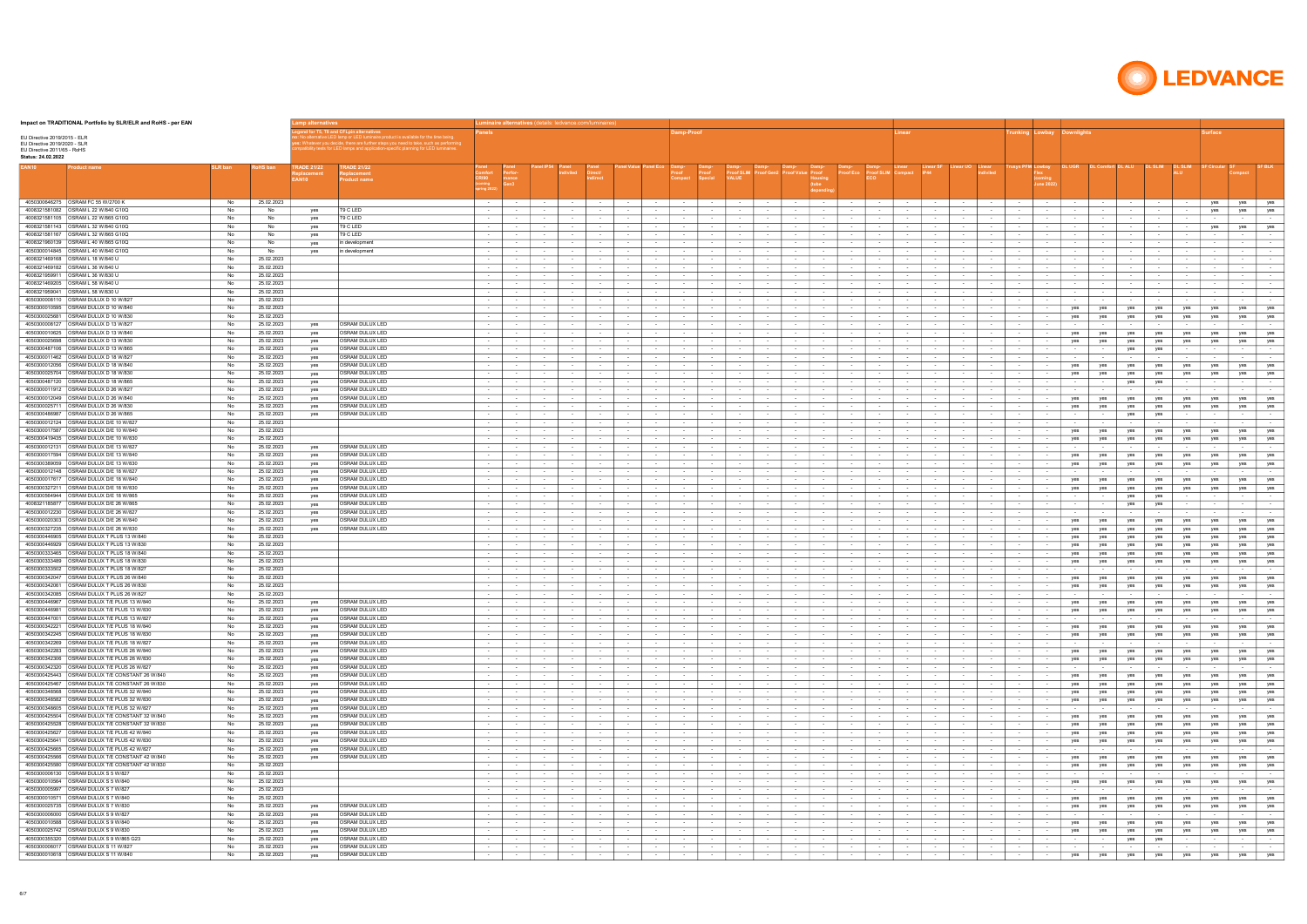| Impact on TRADITIONAL Portfolio by SLR/ELR and RoHS - per EAN                                |                 |                          |                                                |                                                                                                                                                                                                                                                                                                  |                                    |                                       |                            | <b>uminaire alternatives</b> (details: ledvance.com/luminaire. |                            |                                                          |                                            |                  |                      |                            |                          |                      |                                                        |                                    |                          |                                                 |                                      |                                     |                  |               |                  |                         |                  |                            |                   |                                      |
|----------------------------------------------------------------------------------------------|-----------------|--------------------------|------------------------------------------------|--------------------------------------------------------------------------------------------------------------------------------------------------------------------------------------------------------------------------------------------------------------------------------------------------|------------------------------------|---------------------------------------|----------------------------|----------------------------------------------------------------|----------------------------|----------------------------------------------------------|--------------------------------------------|------------------|----------------------|----------------------------|--------------------------|----------------------|--------------------------------------------------------|------------------------------------|--------------------------|-------------------------------------------------|--------------------------------------|-------------------------------------|------------------|---------------|------------------|-------------------------|------------------|----------------------------|-------------------|--------------------------------------|
| EU Directive 2019/2015 - ELR<br>EU Directive 2019/2020 - SLR<br>EU Directive 2011/65 - RoHS  |                 |                          |                                                | d for T5. T8 and CFLpin alternative<br>alternative LED lamp or LED luminaire product is available for the time being.<br>: Whatever you decide, there are further steps you need to take, such as performin<br>tibility tests for LED lamps and application-specific planning for LED luminaires |                                    |                                       |                            |                                                                |                            |                                                          | amp-Proof                                  |                  |                      |                            |                          |                      |                                                        |                                    |                          |                                                 |                                      | <b>Trunking Lowbay Downlights</b>   |                  |               |                  |                         |                  | urface                     |                   |                                      |
| Status: 24.02.2022<br>EAN <sub>10</sub><br>roduct name                                       |                 | <b>ໄoHS ban</b>          | <b>FRADE 21/22</b><br>placement<br><b>AN10</b> | <b>TRADE 21/22</b><br><b>Replacement</b><br><b>Product name</b>                                                                                                                                                                                                                                  | Comfort<br>CRI90                   |                                       |                            |                                                                |                            |                                                          |                                            | Proof            |                      |                            |                          | Proof                | roof Ed                                                | roof SLIM Compact                  |                          |                                                 |                                      | rusys PFM Lowbay<br>une 202         | DL UGR           |               |                  |                         |                  |                            |                   |                                      |
|                                                                                              |                 |                          |                                                |                                                                                                                                                                                                                                                                                                  |                                    |                                       |                            |                                                                |                            |                                                          |                                            |                  |                      |                            |                          |                      |                                                        |                                    |                          |                                                 |                                      |                                     |                  |               |                  |                         |                  |                            |                   |                                      |
| 4050300646275 OSRAM FC 55 W/2700 K                                                           | No              | 25.02.2023               |                                                |                                                                                                                                                                                                                                                                                                  | <b>Contract Contract Contract</b>  | $\sim$ 100 $\sim$                     | $\sim$                     | $\sim$                                                         | $\sim$                     | $\sim$<br>$\sim$                                         | <b>Contract Contract</b>                   | $\sim$           | $\sim$ 100 $\pm$     | $\sim$                     | $\sim$                   | $\sim$ 100 $\pm$     | $\sim$<br>$\sim$                                       | $\sim$ 100 $\pm$                   | <b>Service</b>           | $\sim$<br>$\sim$                                | $\sim$ 100 $\pm$                     | $\sim$                              | $\sim$           | $\sim$        | $\sim$           | $\sim$                  | $\sim$           | yes                        |                   | yes   yes                            |
| 4008321581105 OSRAM L 22 W/865 G10Q                                                          | No<br>No        | No<br>No                 | ves<br>ves                                     | T9 C LED<br>T9 C LED                                                                                                                                                                                                                                                                             | $\sim$<br>$\sim$                   | $\sim$<br>$\sim$                      | $\sim$<br>$\sim$           | $\sim$<br>$\sim$                                               | $\sim$                     | $\sim$<br>$\sim$<br>$\sim$                               | $\sim$<br>$\sim$                           | $\sim$           | $\sim$<br>$\sim$     | $\sim$<br>$\sim$           | $\sim$                   | $\sim$<br>$\sim$     | $\sim$                                                 | $\sim$<br>$\overline{\phantom{a}}$ | $\sim$<br>$\sim$         | $\sim$<br>$\sim$<br>$\sim$                      | $\sim$<br>$\sim$                     | $\sim$<br>$\sim$                    | $\sim$<br>$\sim$ |               | $\sim$<br>$\sim$ | $\sim$                  | $\sim$<br>$\sim$ | yes<br>$\sim$              | yes<br>$\sim$     | yes<br>$\sim$                        |
|                                                                                              | No              | No                       | yes                                            | T9 C LED                                                                                                                                                                                                                                                                                         |                                    |                                       |                            |                                                                |                            |                                                          | $\sim$                                     |                  |                      |                            |                          |                      |                                                        |                                    |                          |                                                 |                                      |                                     |                  |               |                  |                         |                  | yes                        | yes               | yes                                  |
| 4008321581167   OSRAM L 32 W/865 G10Q                                                        | No              | <b>No</b>                | yes                                            | T9 C LED                                                                                                                                                                                                                                                                                         |                                    |                                       | $\sim$                     |                                                                |                            |                                                          | $\sim$                                     |                  |                      |                            |                          |                      |                                                        |                                    |                          |                                                 |                                      |                                     |                  |               |                  |                         | $\sim$           |                            | $\sim$            | $\sim$                               |
| 4008321960139 OSRAM L 40 W/865 G10Q                                                          | No<br>No        | No<br>No                 | yes                                            | in development<br>in development                                                                                                                                                                                                                                                                 | $\sim$                             |                                       | $\sim$                     |                                                                |                            |                                                          | $\sim$                                     |                  |                      | $\sim$                     |                          | $\sim$               |                                                        | $\sim$                             |                          |                                                 |                                      | $\sim$                              | $\sim$           |               |                  |                         | $\sim$           |                            |                   | $\sim$<br>$\sim$                     |
| 4008321469168 OSRAM L 18 W/840 U                                                             | No              | 25.02.2023               | yes                                            |                                                                                                                                                                                                                                                                                                  | $\sim$                             | $\sim$                                | $\sim$<br>$\sim$           | $\sim$                                                         |                            | $\sim$                                                   | $\sim$<br>$\sim$                           | $\sim$           |                      | $\sim$<br>$\sim$           |                          | $\sim$               |                                                        | $\sim$                             |                          |                                                 |                                      | $\sim$<br>$\sim$                    | $\sim$           |               |                  |                         | $\sim$<br>$\sim$ | $\sim$                     |                   | $\sim$ 100 $\pm$                     |
| 4008321469182 OSRAM L 36 W/840 U                                                             | No              | 25.02.2023               |                                                |                                                                                                                                                                                                                                                                                                  |                                    |                                       |                            |                                                                |                            |                                                          |                                            |                  |                      |                            |                          |                      |                                                        |                                    |                          |                                                 |                                      |                                     |                  |               |                  |                         |                  |                            |                   | $\sim$                               |
| 4008321959911 <b>OSRAM L 36 W/830 U</b>                                                      | No              | 25.02.2023               |                                                |                                                                                                                                                                                                                                                                                                  | $\sim$                             |                                       | $\sim$                     | $\sim$                                                         |                            |                                                          | $\sim$                                     |                  |                      | $\sim$                     |                          |                      |                                                        | $\sim$                             |                          |                                                 |                                      | $\sim$                              | $\sim$           |               | $\sim$           |                         | $\sim$           | $\sim$ $-$                 |                   | $\sim$ 100 $\pm$                     |
| 4008321469205   OSRAM L 58 W/840 U<br>4008321959041 OSRAM L 58 W/830 U                       | No<br>No        | 25.02.2023<br>25.02.2023 |                                                |                                                                                                                                                                                                                                                                                                  | $\sim$ 100 $\pm$                   | $\sim$ $\sim$                         | $\sim$<br>$\sim$           | $\sim$<br>$\sim$                                               |                            | $\sim$<br>$\sim$<br>$\sim$ $-$                           | $\sim$ $-$                                 | $\sim$           |                      | $\sim$                     |                          | $\sim$<br>$\sim$     | $\sim$                                                 | $\sim$<br>$\sim$                   | $\sim$ $\sim$            |                                                 |                                      | $\sim$<br>$\sim$                    | $\sim$<br>$\sim$ |               | $\sim$<br>$\sim$ |                         | $\sim$<br>$\sim$ | $\sim$<br>$\sim$ 100 $\pm$ | $\sim$ $-$        | $\sim$ 100 $\pm$<br>$\sim$ 100 $\pm$ |
| 4050300008110   OSRAM DULUX D 10 W/827                                                       | No              | 25.02.2023               |                                                |                                                                                                                                                                                                                                                                                                  |                                    |                                       |                            |                                                                |                            |                                                          |                                            |                  |                      |                            |                          |                      |                                                        |                                    |                          |                                                 |                                      |                                     |                  |               |                  |                         |                  |                            |                   | $\sim$                               |
| 4050300010595   OSRAM DULUX D 10 W/840                                                       | No              | 25.02.2023               |                                                |                                                                                                                                                                                                                                                                                                  | $\sim$ 100 $\pm$                   | $\sim$ $-$                            | $\sim$                     | $\sim$                                                         |                            | $\sim$<br>$\sim$                                         | $\sim$                                     |                  |                      | $\sim$                     |                          |                      | $\sim$                                                 | $\sim$                             | $\sim$                   |                                                 |                                      | $\sim$                              | yes              | yes           | yes              | yes                     | yes              | yes                        | yes               | yes                                  |
| OSRAM DULUX D 10 W/830<br>4050300025681                                                      | No              | 25.02.2023               |                                                |                                                                                                                                                                                                                                                                                                  | $\sim$                             | $\sim$                                | $\sim$                     | $\sim$                                                         |                            | $\sim$<br>$\sim$                                         | $\sim$                                     | $\sim$           |                      | $\sim$                     | $\sim$                   | $\sim$               | $\sim$                                                 | $\sim$                             | $\sim$                   |                                                 | $\sim$                               | $\sim$                              | yes              | yes           | yes              | yes                     | yes              | yes                        | yes               | yes                                  |
| 4050300008127 OSRAM DULUX D 13 W/827<br>4050300010625   OSRAM DULUX D 13 W/840               | No.<br>No       | 25.02.2023<br>25.02.2023 | yes<br>yes                                     | <b>OSRAM DULUX LED</b><br><b>OSRAM DULUX LED</b>                                                                                                                                                                                                                                                 | $\sim$ 100 $\pm$                   | $\sim$<br>$\sim$ 100 $\mu$            | $\sim$ $-$<br>$\sim$       | $\sim$ 100 $\pm$                                               | $\sim$ 100 $\pm$           | $\sim$<br>$\sim$ $-$                                     | $\sim$ $-$<br>$\sim$                       | $\sim$           | $\sim$ 100 $\pm$     | $\sim$<br>$\sim$           | $\sim$                   | $\sim$<br>$\sim$     | $\sim$<br>$\sim$                                       | $\sim$                             | $\sim$                   | $\sim$ $-$<br>$\sim$                            | $\sim$ 100 $\pm$<br>$\sim$           | $\sim$<br>$\sim$                    | $\sim$<br>yes    | $\sim$<br>yes | $\sim$<br>yes    | $\sim$ 100 $\pm$<br>yes | $\sim$<br>yes    | $\sim$<br>yes              | $\sim$<br>yes     | $\sim$ 100 $\pm$<br>yes              |
| 4050300025698 <b>OSRAM DULUX D 13 W/830</b>                                                  | No              | 25.02.2023               | yes                                            | <b>OSRAM DULUX LED</b>                                                                                                                                                                                                                                                                           | $\sim$ 100 $\pm$                   | $\sim$                                | $\sim$                     | $\sim$ 100 $\pm$                                               | $\sim$                     | $\sim$<br>$\sim$ $-$                                     | $\sim$                                     | $\sim$           | $\sim$               | $\sim$                     |                          | $\sim$               | $\sim$<br>$\sim$                                       | $\sim$                             | $\sim$                   | $\sim$<br>$\sim$                                | $\sim$                               | $\sim$                              | yes              | yes           | yes              | yes                     | yes              | yes                        | yes               | yes                                  |
| 4050300487106   OSRAM DULUX D 13 W/865                                                       | No              | 25.02.2023               | yes                                            | <b>OSRAM DULUX LED</b>                                                                                                                                                                                                                                                                           | $\sim$                             | $\sim$ 100 $\mu$                      | $\sim$                     | $\sim$ 100 $\mu$                                               | $\sim$                     | $\sim$<br>$\sim$ 100 $\mu$                               | $\sim$                                     | $\sim$           |                      | $\sim$                     | $\sim$                   | $\sim$               | $\sim$<br>$\sim$                                       | $\sim$                             | $\sim$                   | $\sim$<br>$\sim$                                | $\sim$                               | $\sim$                              | $\sim$           | $\sim$        | yes              | yes                     | $\sim$           | $\sim$                     | $\sim$            | $\sim$ $-$                           |
|                                                                                              | No.             | 25.02.2023               | yes                                            | <b>OSRAM DULUX LED</b>                                                                                                                                                                                                                                                                           | $\sim$ 100 $\pm$                   | $\sim$ 100 $\mu$                      | $\sim$                     | $\sim$ 100 $\pm$                                               | $\sim$ 100 $\pm$           | $\sim$<br>$\sim$ 100 $\pm$                               | $\sim$                                     | $\sim$           | $\sim$               | $\sim$                     | $\sim$                   | $\sim$               | $\sim$<br>$\sim$                                       | $\sim$                             | $\sim$                   | $\sim$<br>$\sim$                                | $\sim$                               | $\sim$                              | $\sim$           |               | $\sim$           | $\sim$ 100 $\pm$        | $\sim$           | $\sim$                     | $\sim$            | $\sim$                               |
| 4050300012056 OSRAM DULUX D 18 W/840<br>4050300025704   OSRAM DULUX D 18 W/830               | No.<br>No       | 25.02.2023<br>25.02.2023 | yes<br>yes                                     | OSRAM DULUX LED<br>OSRAM DULUX LED                                                                                                                                                                                                                                                               | $\sim$ 100 $\pm$                   | $\sim$ 100 $\mu$<br>$\sim$            | $\sim$<br>$\sim$           | $\sim$                                                         | $\sim$<br>$\sim$           | $\sim$<br>$\sim$ 100 $\pm$                               | $\sim$<br>$\sim$                           | $\sim$           | $\sim$               | $\sim$<br>$\sim$           | $\sim$                   | $\sim$               | $\sim$<br>$\sim$                                       | $\sim$                             | $\sim$<br>$\sim$         | $\sim$<br>$\sim$                                | $\sim$<br>$\sim$                     | $\sim$<br>$\sim$                    | yes<br>yes       | yes<br>yes    | yes<br>yes       | yes<br>yes              | yes<br>yes       | yes<br>yes                 | yes<br>yes        | yes<br>yes                           |
| 4050300487120 OSRAM DULUX D 18 W/865                                                         | No              | 25.02.2023               | yes                                            | OSRAM DULUX LED                                                                                                                                                                                                                                                                                  | $\sim$                             | $\sim$ 100 $\mu$                      | $\sim$                     | $\sim$                                                         | $\sim$                     | $\sim$<br>$\sim$                                         | $\sim$                                     | $\sim$           |                      | $\sim$                     |                          | $\sim$               | $\sim$                                                 | $\sim$                             | $\sim$                   | $\sim$                                          | $\sim$                               | $\sim$                              | $\sim$           | $\sim$        | yes              | yes                     | $\sim$           | $\sim$                     | $\sim$            | $\sim$ $-$                           |
| 4050300011912 OSRAM DULUX D 26 W/827                                                         | No              | 25.02.2023               | ves                                            | OSRAM DULUX LED                                                                                                                                                                                                                                                                                  | $\sim$ 100 $\pm$                   | $\sim$                                | $\sim$                     | $\sim$                                                         | $\sim$                     | $\sim$<br>$\sim$ 100 $\pm$                               | $\sim$                                     | $\sim$           | $\sim$               | $\sim$                     | $\sim$                   | $\sim$               | $\sim$<br>$\sim$                                       | $\sim$                             | $\sim$                   | $\sim$<br>$\sim$                                | $\sim$                               | $\sim$                              | $\sim$           | $\sim$        | $\sim$           | $\sim$                  | $\sim$           | $\sim$                     | $\sim$            | $\sim$                               |
| 4050300012049   OSRAM DULUX D 26 W/840                                                       | No.             | 25.02.2023               | ves                                            | OSRAM DULUX LED                                                                                                                                                                                                                                                                                  |                                    | $\sim$                                | $\sim$                     |                                                                | $\sim$                     |                                                          | $\sim$                                     |                  |                      | $\overline{\phantom{a}}$   |                          |                      | $\sim$                                                 |                                    |                          |                                                 | $\sim$                               | $\sim$                              | yes              | yes           | yes              | yes                     | yes              | yes                        | yes               | yes                                  |
| 4050300025711 OSRAM DULUX D 26 W/830<br>4050300486987   OSRAM DULUX D 26 W/865               | No<br>No        | 25.02.2023<br>25.02.2023 | yes<br>yes                                     | OSRAM DULUX LED<br>OSRAM DULUX LED                                                                                                                                                                                                                                                               | $\sim$<br>$\sim$                   | $\sim$<br>$\sim$ 100 $\mu$            | $\sim$<br>$\sim$           | $\sim$<br>$\sim$                                               | $\sim$<br>$\sim$           | $\sim$<br>$\sim$                                         | $\sim$<br>$\sim$                           | $\sim$           | $\sim$               | $\sim$<br>$\sim$           |                          | $\sim$<br>$\sim$     | $\sim$<br>$\sim$<br>$\sim$                             | $\sim$<br>$\sim$                   | $\sim$<br>$\sim$         | $\sim$<br>$\sim$                                | $\sim$<br>$\sim$                     | $\sim$<br>$\sim$                    | yes<br>$\sim$    | yes           | yes<br>yes       | yes<br>yes              | yes<br>$\sim$    | yes<br>$\sim$              | yes<br>$\sim$     | yes<br>$\sim$ $\sim$                 |
| 4050300012124   OSRAM DULUX D/E 10 W/827                                                     | No              | 25.02.2023               |                                                |                                                                                                                                                                                                                                                                                                  | $\sim$                             | $\sim$                                | $\sim$                     | $\sim$                                                         |                            |                                                          | $\sim$                                     |                  |                      | $\sim$                     |                          | $\sim$               |                                                        | $\sim$                             |                          |                                                 |                                      | $\sim$                              |                  |               | $\sim$           |                         | $\sim$           | $\sim$                     |                   | $\sim$                               |
| 4050300017587   OSRAM DULUX D/E 10 W/840                                                     | No              | 25.02.2023               |                                                |                                                                                                                                                                                                                                                                                                  |                                    |                                       | $\sim$                     |                                                                |                            |                                                          | $\sim$                                     |                  |                      |                            |                          |                      |                                                        |                                    |                          |                                                 | $\sim$                               | $\sim$                              | yes              | yes           | yes              | yes                     | yes              | yes                        | yes               | yes                                  |
| 4050300419435   OSRAM DULUX D/E 10 W/830                                                     | No              | 25.02.2023               |                                                |                                                                                                                                                                                                                                                                                                  | $\sim$                             | $\sim$                                | $\sim$                     | $\sim$                                                         | $\sim$                     | $\sim$                                                   | $\sim$                                     |                  | $\sim$               | $\sim$                     |                          | $\sim$               | $\sim$                                                 | $\sim$                             |                          | $\sim$                                          |                                      | $\sim$                              | yes              | yes           | yes              | yes                     | yes              | yes                        | yes               | yes                                  |
| 4050300012131   OSRAM DULUX D/E 13 W/827<br>4050300017594   OSRAM DULUX D/E 13 W/840         | No<br>No        | 25.02.2023<br>25.02.2023 | yes<br>yes                                     | OSRAM DULUX LED<br>OSRAM DULUX LED                                                                                                                                                                                                                                                               | $\sim$<br>$\sim$                   | $\sim$                                | $\sim$<br>$\sim$           |                                                                |                            | $\sim$                                                   | $\sim$<br>$\sim$                           |                  |                      | $\sim$                     |                          | $\sim$<br>$\sim$     |                                                        | $\sim$<br>$\sim$                   |                          |                                                 |                                      | $\sim$<br>$\sim$                    | yes              | yes           | yes              | yes                     | $\sim$<br>yes    | yes                        | yes               | $\sim$<br>yes                        |
|                                                                                              | No              | 25.02.2023               | yes                                            | OSRAM DULUX LED                                                                                                                                                                                                                                                                                  |                                    |                                       | $\sim$                     |                                                                |                            |                                                          | $\sim$                                     |                  |                      |                            |                          |                      |                                                        |                                    |                          |                                                 |                                      | $\sim$                              | yes              | yes           | yes              | yes                     | yes              | yes                        | yes               | yes                                  |
| 4050300012148   OSRAM DULUX D/E 18 W/827                                                     | No              | 25.02.2023               | yes                                            | <b>OSRAM DULUX LED</b>                                                                                                                                                                                                                                                                           | $\sim$                             | $\sim$                                | $\sim$                     |                                                                |                            | $\sim$                                                   | $\sim$                                     |                  |                      | $\sim$                     |                          | $\sim$               |                                                        | $\sim$                             |                          | $\sim$                                          |                                      | $\sim$                              |                  |               | $\sim$           |                         | $\sim$           |                            | $\sim$            | $\sim$                               |
| OSRAM DULUX D/E 18 W/840<br>4050300017617                                                    | No              | 25.02.2023               | yes                                            | <b>OSRAM DULUX LED</b>                                                                                                                                                                                                                                                                           |                                    | $\sim$ $-$                            | $\sim$                     | $\sim$                                                         |                            | $\sim$ 100 $\pm$                                         | $\sim$                                     |                  |                      | $\sim$                     |                          | $\sim$               |                                                        | $\sim$                             | $\sim$                   |                                                 |                                      | $\sim$                              | yes              | yes           | yes              | yes                     | yes              | yes                        | yes               | yes                                  |
| OSRAM DULUX D/E 18 W/830<br>4050300327211<br>4050300564944   OSRAM DULUX D/E 18 W/865        | No<br>No        | 25.02.2023<br>25.02.2023 | yes<br>yes                                     | <b>OSRAM DULUX LED</b><br><b>OSRAM DULUX LED</b>                                                                                                                                                                                                                                                 | $\sim$                             |                                       | $\sim$                     | $\sim$                                                         |                            | $\sim$                                                   | $\sim$                                     |                  |                      | $\sim$                     |                          |                      | $\sim$                                                 | $\sim$                             |                          |                                                 |                                      | $\sim$                              | yes              | yes           | yes              | yes                     | yes<br>$\sim$    | yes<br>$\sim$              | yes<br>$\sim$     | yes<br>$\sim$ 100 $\pm$              |
| 4008321185877   OSRAM DULUX D/E 26 W/865                                                     | No              | 25.02.2023               | yes                                            | <b>OSRAM DULUX LED</b>                                                                                                                                                                                                                                                                           |                                    |                                       | $\sim$                     |                                                                |                            |                                                          |                                            |                  |                      |                            |                          |                      |                                                        |                                    |                          |                                                 |                                      |                                     |                  |               | yes<br>yes       | yes<br>yes              | $\sim$           |                            |                   | $\sim$ 100 $\pm$                     |
| 4050300012230 <b>OSRAM DULUX D/E 26 W/827</b>                                                | No              | 25.02.2023               | yes                                            | <b>OSRAM DULUX LED</b>                                                                                                                                                                                                                                                                           | $\sim$ 100 $\pm$                   | $\sim$ 100 $\mu$                      | $\sim$ 100 $\pm$           | $\sim$ 100 $\mu$                                               | $\sim$ $-$                 | $\sim$<br>$\sim$ 100 $\pm$                               | $\sim$ $-$                                 | $\sim$           | $\sim$ $-$           | $\sim$                     | $\sim$ 100 $\mu$         | $\sim$               | $\sim$<br>$\sim$ $-$                                   | $\sim$ 100 $\pm$                   | $\sim$ $-$               | $\sim$<br>$\sim$                                | $\sim$ $-$                           | $\sim$ 100 $\pm$                    | $\sim$           |               | $\sim$           | $\sim$ 100 $\pm$        | $\sim$           | $\sim$                     | $\sim$ $-$        | $\sim$ 100 $\pm$                     |
| 4050300020303 <b>OSRAM DULUX D/E 26 W/840</b>                                                | No              | 25.02.2023               | yes                                            | OSRAM DULUX LED                                                                                                                                                                                                                                                                                  |                                    |                                       |                            |                                                                |                            |                                                          |                                            |                  |                      |                            |                          |                      |                                                        |                                    |                          |                                                 |                                      |                                     | yes              | yes           | yes              | yes                     | yes              | yes                        | yes               | yes                                  |
| 4050300446905   OSRAM DULUX T PLUS 13 W/840                                                  | - No<br>No      | 25.02.2023<br>25.02.2023 | yes                                            | OSRAM DULUX LED                                                                                                                                                                                                                                                                                  | $\sim$ 100 $\pm$                   | $\sim$<br>$\sim$                      | $\sim$<br>$\sim$           | $\sim$<br>$\sim$                                               | $\sim$ 100 $\pm$<br>$\sim$ | $\sim$<br>$\sim$ $-$<br>$\sim$                           | $\sim$<br>$\sim$                           | $\sim$<br>$\sim$ | $\sim$               | $\sim$<br>$\sim$           | $\sim$                   | $\sim$<br>$\sim$     | $\sim$<br>$\sim$<br>$\sim$                             | $\sim$<br>$\sim$                   | $\sim$<br>$\sim$         | $\sim$<br>$\sim$                                | $\sim$<br>$\sim$                     | $\sim$<br>$\sim$                    | yes              | yes           | yes              | yes                     | yes              | yes                        | yes               | yes                                  |
| 4050300446929 OSRAM DULUX T PLUS 13 W/830                                                    | - No            | 25.02.2023               |                                                |                                                                                                                                                                                                                                                                                                  | $\sim$ 100 $\pm$                   | $\sim$ 100 $\pm$                      | $\sim$ $-$                 | $\sim$ 100 $\mu$                                               | $\sim$                     | $\sim$<br>$\sim$ 100 $\pm$                               | $\sim$ $-$                                 | $\sim$           | $\sim$               | $\sim$                     | $\sim$                   | $\sim$               | $\sim$<br>$\sim$                                       | $\sim$                             | $\sim$                   | $\sim$<br>$\sim$                                | $\sim$ 100 $\mu$                     | $\sim$                              | yes<br>yes       | yes<br>yes    | yes<br>yes       | yes<br>yes              | yes<br>yes       | yes<br>yes                 | yes<br>yes        | yes<br>yes                           |
| 4050300333465   OSRAM DULUX T PLUS 18 W/840                                                  | No              | 25.02.2023               |                                                |                                                                                                                                                                                                                                                                                                  | $\sim$                             | $\sim$ 100 $\mu$                      | $\sim$                     | $\sim$                                                         |                            | $\sim$<br>$\sim$                                         | $\sim$                                     | $\sim$           |                      | $\sim$                     | $\sim$                   | $\sim$               | $\sim$                                                 | $\sim$                             |                          |                                                 | $\sim$                               | $\sim$                              | yes              | yes           | yes              | yes                     | yes              | yes                        | yes               | yes                                  |
| 4050300333489 OSRAM DULUX T PLUS 18 W/830                                                    | No              | 25.02.2023               |                                                |                                                                                                                                                                                                                                                                                                  | $\sim$ 100 $\pm$                   | $\sim$                                | $\sim$                     | $\sim$ 100 $\pm$                                               | $\sim$ 100 $\pm$           | $\sim$<br>$\sim$ $-$                                     | $\sim$                                     | $\sim$           | $\sim$               | $\sim$                     | $\sim$                   | $\sim$               | $\sim$<br>$\sim$                                       | $\sim$                             | $\sim$                   | $\sim$<br>$\sim$                                | $\sim$                               | $\sim$                              | yes              | yes           | yes              | yes                     | yes              | yes                        | yes               | yes                                  |
| 4050300342047 CSRAM DUI UX T PLUS 26 W/840                                                   | - No<br>- No    | 25.02.2023               |                                                |                                                                                                                                                                                                                                                                                                  | $\sim$                             | $\sim$ 100 $\mu$                      | $\sim$                     | $\sim$                                                         | $\sim$ 100 $\pm$           | $\sim$                                                   | $\sim$ $-$                                 | $\sim$           |                      | $\sim$                     | $\sim$                   | $\sim$               | $\sim$                                                 | $\sim$                             | $\sim$                   | $\sim$                                          | $\sim$                               | $\sim$                              | $\sim$           |               |                  |                         | $\sim$           |                            | $\sim$            | $\sim$                               |
| 4050300342061   OSRAM DULUX T PLUS 26 W/830                                                  |                 | 25.02.2023<br>25.02.2023 |                                                |                                                                                                                                                                                                                                                                                                  | $\sim$ 100 $\pm$                   | $\sim$ 100 $\pm$<br>$\sim$            | $\sim$<br>$\sim$           | $\sim$ 100 $\pm$                                               | $\sim$<br>$\sim$           | $\sim$<br>$\sim$ $-$<br>$\sim$                           | $\sim$ $-$<br>$\sim$                       | $\sim$           | $\sim$               | $\sim$<br>$\sim$           | $\sim$                   | $\sim$<br>$\sim$     | $\sim$<br>$\sim$<br>$\sim$                             | $\sim$<br>$\sim$                   | $\sim$<br>$\sim$         | $\sim$ $-$<br>$\sim$<br>$\sim$<br>$\sim$        | $\sim$<br>$\sim$                     | $\sim$<br>$\sim$                    | yes<br>yes       | yes<br>yes    | yes<br>yes       | yes<br>yes              | yes<br>yes       | yes<br>yes                 | yes<br>yes        | yes<br>yes                           |
| 4050300342085   OSRAM DULUX T PLUS 26 W/827                                                  | - No            | 25.02.2023               |                                                |                                                                                                                                                                                                                                                                                                  | $\sim$ 100 $\pm$                   | $\sim$                                | $\sim$                     | $\sim$                                                         | $\sim$                     | $\sim$<br>$\sim$ 100 $\pm$                               | $\sim$                                     | $\sim$           | $\sim$               | $\sim$                     | $\sim$                   | $\sim$               | $\sim$<br>$\sim$                                       | $\sim$                             | $\sim$                   | $\sim$ 100 $\pm$<br>$\sim$                      | $\sim$ 100 $\pm$                     | $\sim$                              | $\sim$           | $\sim$        | $\sim$           | $\sim$                  | $\sim$           | $\sim$                     | $\sim$ $-$        | $\sim$                               |
| 4050300446967 OSRAM DULUX T/E PLUS 13 W/840                                                  | No              | 25.02.2023               | yes                                            | <b>OSRAM DULUX LED</b>                                                                                                                                                                                                                                                                           | $\sim 100$                         | $\sim$ 100 $\sim$                     | $\sim 100$                 | $\sim$ 100 $\pm$                                               | $\sim 100$                 | $\sim$ 100 $\pm$<br>$\sim$ 100 $\mu$                     | <b>Contract Contract</b>                   | $\sim$           | $\sim$               | $\sim$ 100 $\pm$           | $\sim$ 100 $\mu$         | $\sim$ $-$           | $\sim$ 100 $\pm$<br>$\sim$ $-$                         | $\sim$ 100 $\pm$                   | $\sim 100$               | <b>Contract Contract</b><br>$\sim$ 100 $\pm$    | $\sim$ $-$                           | <b>State Street</b>                 | yes              | yes           | yes              | yes                     | yes              | yes                        | yes               | yes                                  |
| 4050300446981 OSRAM DULUX T/E PLUS 13 W/830<br>4050300447001 OSRAM DULUX T/E PLUS 13 W/827   | <b>NO</b><br>No | 25.02.2023<br>25.02.2023 | ves                                            | <b>JOSRAM DULUX LED</b><br>OSRAM DULUX LED                                                                                                                                                                                                                                                       |                                    | $\sim$                                |                            |                                                                |                            |                                                          |                                            |                  |                      | $\sim$                     |                          |                      |                                                        |                                    |                          |                                                 |                                      |                                     | yes              | yes           | yes              | yes                     | yes<br>$\sim$    | yes                        | yes l             | yes l<br>$\sim 10^{-1}$              |
| 4050300342221 OSRAM DULUX T/E PLUS 18 W/840                                                  | No              | 25.02.2023               | yes<br>yes                                     | OSRAM DULUX LED                                                                                                                                                                                                                                                                                  | $\sim$<br><b>Contract Contract</b> | $\sim$ 100 $\mu$<br>$\sim$ 100 $\sim$ | $\sim$                     | $\sim$<br>$\sim$                                               | $\sim$                     | $\sim$ 100 $\mu$<br>$\sim$ 100 $\mu$<br>$\sim$           | $\sim$<br>$\sim$ $-$                       | $\sim$           | $\sim$<br>$\sim$     | $\sim$<br>$\sim$           | $\sim$                   | $\sim$<br>$\sim$     | $\sim$ 100 $\mu$<br>$\sim$ $-$                         | $\sim$<br>$\sim$                   | $\sim$<br>$\sim$ $-$     | $\sim$<br>$\sim$<br>$\sim$ 100 $\sim$<br>$\sim$ | $\sim$ 100 $\pm$<br>$\sim$ 100 $\pm$ | $\sim$<br>$\sim$ 100 $\pm$          | $\sim$<br>yes    | yes           | yes              | $\sim$<br>yes           | yes              | $\sim$<br>yes              | $\sim$<br>yes     | yes                                  |
| 4050300342245   OSRAM DULUX T/E PLUS 18 W/830                                                | No              | 25.02.2023               | yes                                            | OSRAM DULUX LED                                                                                                                                                                                                                                                                                  | $\sim$                             | $\sim$                                | $\sim$                     |                                                                |                            |                                                          | $\sim$                                     |                  |                      | $\sim$                     |                          |                      |                                                        |                                    |                          |                                                 |                                      | $\sim$                              | yes              | yes           | yes              | yes                     | yes              | yes                        | yes               | yes                                  |
|                                                                                              | No              | 25.02.2023               | yes                                            | OSRAM DULUX LED                                                                                                                                                                                                                                                                                  | $\sim$                             | $\sim$                                | $\sim$                     |                                                                | $\sim$                     |                                                          | <b>Service</b>                             |                  |                      | $\sim$                     |                          | $\sim$               | $\sim$                                                 | $\sim$                             |                          | $\sim$                                          |                                      | $\sim$                              | $\sim$           |               | $\sim$           | $\sim$                  | $\sim$           | $\sim$                     | $\sim$            | $\sim$                               |
|                                                                                              | No              | 25.02.2023               | yes                                            | OSRAM DULUX LED                                                                                                                                                                                                                                                                                  | $\sim$                             | $\sim$                                | $\sim$                     | $\sim$                                                         |                            | $\sim$                                                   | $\sim$                                     |                  | $\sim$               | $\sim$                     |                          | $\sim$               | $\sim$                                                 | $\sim$                             | $\sim$ $\sim$            | $\sim$                                          | $\sim$                               | $\sim$                              | yes              | yes           | yes              | yes                     | yes              | yes                        | yes               | yes                                  |
| 4050300342306 OSRAM DULUX T/E PLUS 26 W/830<br>4050300342320 OSRAM DULUX T/E PLUS 26 W/827   | No<br>No        | 25.02.2023<br>25.02.2023 | yes<br>yes                                     | OSRAM DULUX LED<br>OSRAM DULUX LED                                                                                                                                                                                                                                                               | $\sim$<br>$\sim$                   | $\sim$<br>$\sim$ $-$                  | $\sim$<br>$\sim$           | $\sim$                                                         | $\sim$                     | $\sim$<br>$\sim$                                         | <b>Service</b><br>$\sim$                   | $\sim$           | $\sim$               | $\sim$<br>$\sim$           | $\sim$                   | $\sim$<br>$\sim$     | $\sim$<br>$\sim$ $-$<br>$\sim$                         | $\sim$<br>$\sim$                   | $\sim$<br>$\sim$ $\sim$  | $\sim$<br>$\sim$                                | $\sim$                               | <b>Contractor</b><br>$\sim$         | yes              | yes           | yes              | yes<br>$\sim$           | yes  <br>$\sim$  | yes                        | yes               | yes  <br>$\sim$ $-$                  |
| 4050300425443 OSRAM DULUX T/E CONSTANT 26 W/840                                              | No              | 25.02.2023               | yes                                            | OSRAM DULUX LED                                                                                                                                                                                                                                                                                  | $\sim$                             | $\sim$                                | $\sim$                     |                                                                |                            | $\sim$                                                   | <b>Service</b>                             |                  |                      | $\sim$                     |                          | $\sim$               |                                                        | $\sim$                             |                          |                                                 |                                      | $\sim$                              | yes              | yes           | yes              | yes                     | yes              | yes                        | yes               | yes                                  |
|                                                                                              | No              | 25.02.2023               | yes                                            | OSRAM DULUX LED                                                                                                                                                                                                                                                                                  | $\sim$                             | $\sim$ $-$                            | $\sim$                     | $\sim$                                                         |                            | $\sim$<br>$\sim$ 100 $\mu$                               | $\sim$                                     |                  | $\sim$               | $\sim$                     |                          | $\sim$               | $\sim$                                                 | $\sim$                             | $\sim$ $\sim$            |                                                 | $\sim$                               | $\sim$                              | yes              | yes           | yes              | yes                     | yes              | yes                        | yes               | yes                                  |
|                                                                                              | No              | 25.02.2023               | yes                                            | OSRAM DULUX LED                                                                                                                                                                                                                                                                                  |                                    |                                       | $\sim$                     | $\sim$                                                         |                            | $\sim$                                                   | $\sim$                                     | $\sim$           |                      | $\sim$                     |                          | $\sim$               |                                                        | $\sim$                             |                          |                                                 |                                      | $\sim$                              | yes              | yes           | yes              | yes                     | yes              | yes                        | yes               | yes                                  |
| 4050300348605   OSRAM DULUX T/E PLUS 32 W/827                                                | No<br>No        | 25.02.2023<br>25.02.2023 | yes<br>yes                                     | <b>OSRAM DULUX LED</b><br><b>OSRAM DULUX LED</b>                                                                                                                                                                                                                                                 | $\sim$ 100 $\pm$                   | $\sim$ $-$                            | $\sim$ 100 $\pm$<br>$\sim$ | $\sim$ 100 $\pm$                                               |                            | $\sim$<br>$\sim$                                         | <b>Contract Contract</b><br><b>Service</b> | $\sim$ $-$       | $\sim$ $-$           | $\sim$ 100 $\pm$           | $\sim$ $-$               | $\sim$               | $\sim$<br>$\sim$ $-$                                   | $\sim$                             | $\sim$ $\sim$            |                                                 | $\sim$                               | $\sim$ 100 $\pm$<br>$\sim$          | yes              | yes           | yes              | yes                     | yes<br>$\sim$    | yes                        | yes               | yes<br>$\sim$ 100 $\pm$              |
| 4050300425504   OSRAM DULUX T/E CONSTANT 32 W/840                                            | No              | 25.02.2023               | yes                                            | <b>OSRAM DULUX LED</b>                                                                                                                                                                                                                                                                           | $\sim$ 100 $\pm$                   | $\sim$ $-$                            | $\sim$ 100 $\pm$           | $\sim$ 100 $\pm$                                               | $\sim$ 100 $\pm$           | $\sim$<br>$\sim$ 100 $\pm$                               | $\sim$ $-$                                 | $\sim$           | $\sim$               | $\sim$ 100 $\pm$           | $\sim$ 100 $\mu$         | $\sim$               | $\sim$<br>$\sim$ 100 $\pm$                             | $\sim$ 100 $\pm$                   | $\sim$ $-$               | $\sim$<br>$\sim$                                | $\sim$ $-$                           | $\sim 10^{-1}$                      | yes              | yes           | yes              | yes                     | yes              | yes                        | yes               | yes                                  |
| 4050300425528 OSRAM DULUX T/E CONSTANT 32 W/830                                              | No              | 25.02.2023               | yes                                            | <b>OSRAM DULUX LED</b>                                                                                                                                                                                                                                                                           | $\sim$                             |                                       | $\sim$                     | $\sim$ 100 $\pm$                                               |                            | $\sim$<br>$\sim$                                         | $\sim$                                     | $\sim$           |                      | $\sim$                     | $\sim$                   | $\sim$               | $\sim$<br>$\sim$                                       | $\sim$                             | $\sim$                   | $\sim$                                          | $\sim$                               | <b>Contract</b>                     | yes              | yes           | yes              | yes                     | yes              | yes                        | yes               | yes                                  |
| 4050300425627 OSRAM DULUX T/E PLUS 42 W/840                                                  | No              | 25.02.2023               | yes                                            | <b>OSRAM DULUX LED</b>                                                                                                                                                                                                                                                                           | $\sim 10^{-1}$                     | $\sim$ 100 $\pm$                      | $\sim$ 100 $\pm$           | $\sim$ 100 $\pm$                                               | $\sim 100$                 | $\sim$ $-$<br>$\sim$ 100 $\pm$                           | <b>Contract</b>                            | $\sim$ $-$       | $\sim$ $-$           | $\sim$ 100 $\pm$           | $\sim$ 100 $\mu$         | $\sim$ $-$           | $\sim$ $-$<br><b>Contract</b>                          | $\sim$ 100 $\pm$                   | $\sim$ 100 $\pm$         | $\sim$ $-$<br>$\sim$                            | $\sim$ $-$                           | $\sim 10^{-1}$                      | yes              | yes           | yes              | yes                     | yes              | yes                        | yes               | yes                                  |
| 4050300425641   OSRAM DULUX T/E PLUS 42 W/830<br>4050300425665 OSRAM DULUX T/E PLUS 42 W/827 | No<br>No        | 25.02.2023<br>25.02.2023 | yes<br>yes                                     | <b>OSRAM DULUX LED</b><br>OSRAM DULUX LED                                                                                                                                                                                                                                                        | $\sim$ 100 $\pm$                   | $\sim$                                | $\sim$<br>$\sim$           | $\sim$                                                         | $\sim$                     | $\sim$ $-$<br>$\sim$ 100 $\pm$                           | <b>Service</b><br><b>Contract Contract</b> | $\sim$           | $\sim$               | $\sim$ 100 $\pm$           | $\sim$                   | $\sim$               | $\sim$<br>$\sim$ $-$                                   | $\sim$                             | $\sim$                   | $\sim$<br>$\sim$                                | $\sim$                               | $\sim$ $-$<br><b>Contract</b>       | yes<br>$\sim$    | yes<br>$\sim$ | yes<br>$\sim$    | yes<br>$\sim$ 100 $\pm$ | yes<br>$\sim$    | yes<br>$\sim$              | yes<br>$\sim$ $-$ | yes<br>$\sim$ 100 $\pm$              |
| 4050300425566   OSRAM DULUX T/E CONSTANT 42 W/840                                            | No              | 25.02.2023               | yes                                            | OSRAM DULUX LED                                                                                                                                                                                                                                                                                  | $\sim$ $-$                         | $\sim$                                | $\sim$ 100 $\pm$           | $\sim$ 100 $\pm$                                               | $\sim$                     | $\sim$<br>$\sim$ $-$                                     | $\sim$                                     | $\sim$           | $\sim$               | $\sim$                     | $\sim$ $-$               | $\sim$               | $\sim$<br>$\sim$                                       | $\sim$                             | $\sim$ $\sim$            | $\sim$ 100 $\pm$<br>$\sim$                      | $\sim$                               | $\sim$                              | yes              | yes           | yes              | yes                     | yes              | yes                        | yes               | yes                                  |
| 4050300425580 OSRAM DULUX T/E CONSTANT 42 W/830                                              | No              | 25.02.2023               |                                                |                                                                                                                                                                                                                                                                                                  | $\sim$ 100 $\pm$                   | $\sim$ 100 $\sim$                     | the control of             | $\sim$ 100 $\pm$                                               | $\sim$ 100 $\sim$          | $\sim$ $-$<br>$\sim$ 100 $\pm$                           | <b>Contract Contract</b>                   | $\sim$           | $\sim$ $-$           | $\sim$                     | $\sim$ 100 $\sim$        | $\sim$               | $\sim$<br>$\sim$                                       | $\sim$                             | $\sim$ 100 $\pm$         | $\sim$<br>$\sim$                                | $\sim$ 100 $\pm$                     | <b>Contract</b>                     | yes              | yes           | yes              | yes                     | yes              | yes                        | yes               | yes                                  |
| 4050300006130   OSRAM DULUX S 5 W/827                                                        | No              | 25.02.2023               |                                                |                                                                                                                                                                                                                                                                                                  | $\sim$                             | $\sim$                                | $\sim$ $-$                 | $\sim$                                                         | $\sim$                     | $\sim$                                                   | <b>Service</b>                             |                  |                      | $\sim$                     |                          | $\sim$               | $\sim$ 100 $\mu$<br>$\sim$                             | $\sim$                             | $\sim$                   |                                                 | $\sim$ 100 $\mu$                     | $\sim$                              | $\sim$           | $\sim$        |                  | $\sim$ $-$              | $\sim$           |                            | $\sim$            | $\sim$ 100 $\pm$                     |
| 4050300010564   OSRAM DULUX S 5 W/840<br>4050300005997   OSRAM DULUX S 7 W/827               | No<br>No        | 25.02.2023<br>25.02.2023 |                                                |                                                                                                                                                                                                                                                                                                  | $\sim 10^{-1}$<br>$\sim$ $-$       | $\sim$ 100 $\pm$<br>$\sim$ $-$        | $\sim$<br>$\sim$           | $\sim$ 100 $\pm$<br>$\sim$ 100 $\mu$                           | $\sim$<br>$\sim$ $-$       | $\sim$<br>$\sim$ 100 $\pm$<br>$\sim$<br>$\sim$ 100 $\pm$ | $\sim$ 100 $\pm$<br>$\sim$ $-$             | $\sim$<br>$\sim$ | $\sim$<br>$\sim$     | $\sim$ 100 $\pm$<br>$\sim$ | $\sim$ $-$<br>$\sim$ $-$ | $\sim$<br>$\sim$     | $\sim$ $-$<br>$\sim$ $-$<br>$\sim$<br>$\sim$           | $\sim$<br>$\sim$                   | $\sim$ $-$<br>$\sim$ $-$ | $\sim$<br>$\sim$<br>$\sim$ $-$<br>$\sim$        | $\sim$ 100 $\pm$<br>$\sim$ 100 $\mu$ | <b>Contract</b><br>$\sim$ 100 $\mu$ | yes<br>$\sim$    | yes<br>$\sim$ | yes<br>$\sim$    | yes<br>$\sim$           | yes<br>$\sim$    | yes<br>$\sim$              | yes               | yes<br>$\sim$ 100 $\pm$              |
| 4050300010571   OSRAM DULUX S 7 W/840                                                        | No              | 25.02.2023               |                                                |                                                                                                                                                                                                                                                                                                  | <b>State Street</b>                | $\sim$ 100 $\sim$                     | <b>Service</b>             | $\sim$ 100 $\mu$                                               | <b>Service</b>             | $\sim$<br>$\sim$ 100 $\mu$                               | <b>Contract Contract</b>                   | $\sim$           | $\sim$               | <b>State Street</b>        | $\sim$                   | $\sim$ $-$           | $\sim$ 100 $\mu$<br><b>Service</b>                     | $\sim$                             | <b>State Street</b>      | $\sim$ 100 $\sim$<br>$\sim$                     | $\sim$ $-$                           | $\sim$ 100 $\sim$                   | yes              | yes           | yes              | yes                     | yes              | yes                        | yes               | yes                                  |
|                                                                                              | No              | 25.02.2023               | yes                                            | <b>OSRAM DULUX LED</b>                                                                                                                                                                                                                                                                           | $\sim$                             | $\sim$                                | $\sim$ $-$                 | $\sim$                                                         | $\sim$ 100 $\pm$           | $\sim$<br>$\sim$                                         | <b>Contract Contract</b>                   | $\sim$           | $\sim$               | $\sim$                     | $\sim$                   | $\sim$               | $\sim$<br>$\sim$                                       | $\sim$                             | $\sim$                   | $\sim$<br>$\sim$                                | $\sim$                               | $\sim$ 100 $\pm$                    | yes              | yes           | yes              | yes                     | yes              | yes                        | yes               | yes                                  |
| 4050300006000 OSRAM DULUX S 9 W/827                                                          | No              | 25.02.2023               | yes                                            | OSRAM DULUX LED                                                                                                                                                                                                                                                                                  | $\sim$ 100 $\pm$                   | $\sim$ 100 $\sim$                     | $\sim$ $-$                 | $\sim$ 100 $\mu$                                               | $\sim$ 100 $\pm$           | $\sim$<br>$\sim$ 100 $\pm$                               | <b>Contract Contract</b>                   | $\sim$           | $\sim$               | <b>State Street</b>        | $\sim$                   | $\sim$ $-$           | $\sim$ 100 $\mu$<br>$\sim$ $-$                         | $\sim$                             | $\sim$ $-$               | $\sim$ $-$<br>$\sim$ 100 $\pm$                  | $\sim$ $-$                           | $\sim$ 100 $\pm$                    | $\sim$           | $\sim$        | $\sim$ 100 $\pm$ | $\sim$ 100 $\mu$        | $\sim$           | $\sim$ 100 $\pm$           | $\sim$ $-$        | <b>Service</b>                       |
| 4050300010588 OSRAM DULUX S 9 W/840<br>4050300025742 <b>OSRAM DULUX S 9 W/830</b>            | No<br>No        | 25.02.2023<br>25.02.2023 | yes<br>ves                                     | <b>OSRAM DULUX LED</b><br><b>OSRAM DULUX LED</b>                                                                                                                                                                                                                                                 | $\sim$<br><b>State Street</b>      | $\sim$<br>$\sim$ 100 $\pm$            | $\sim$<br>$\sim$           | $\sim$<br>$\sim$ 100 $\mu$                                     | $\sim$ 100 $\mu$<br>$\sim$ | $\sim$<br>$\sim$ 100 $\pm$<br>$\sim$ 100 $\mu$<br>$\sim$ | $\sim$<br><b>Service</b>                   | $\sim$<br>$\sim$ | $\sim$<br>$\sim$ $-$ | $\sim$<br>$\sim$ 100 $\pm$ | $\sim$<br>$\sim$         | $\sim$<br>$\sim$ $-$ | $\sim$<br>$\sim$<br>$\sim$ 100 $\mu$<br><b>Service</b> | $\sim$<br>$\sim$                   | $\sim$<br><b>Service</b> | $\sim$<br>$\sim$<br>$\sim$ 100 $\sim$<br>$\sim$ | $\sim$<br>$\sim$ $-$                 | $\sim$ $-$<br><b>Contractor</b>     | yes<br>yes       | yes<br>yes    | yes<br>yes       | yes<br>yes              | yes<br>yes       | yes<br>yes                 | yes<br>yes        | yes<br>yes                           |
| 4050300355320 OSRAM DULUX S 9 W/865 G23                                                      | No              | 25.02.2023               | yes                                            | OSRAM DULUX LED                                                                                                                                                                                                                                                                                  | $\sim$                             | $\sim$ 100 $\mu$                      | $\sim$                     | $\sim$                                                         | $\sim$ 100 $\mu$           | $\sim$<br>$\sim$                                         | $\sim$ $-$                                 | $\sim$           | $\sim$               | $\sim$                     |                          | $\sim$               | $\sim$<br>$\sim$                                       | $\sim$                             | $\sim$ 100 $\sim$        | $\sim$<br>$\sim$                                | $\sim$ 100 $\mu$                     | $\sim$                              | $\sim$           | $\sim$        | yes              | yes                     | $\sim$           |                            | $\sim$ $-$        | <b>Contract</b>                      |
| 4050300006017   OSRAM DULUX S 11 W/827                                                       | No              | 25.02.2023               | yes                                            | OSRAM DULUX LED                                                                                                                                                                                                                                                                                  | <b>State Street</b>                | $\sim$                                | $\sim$                     | $\sim$ 100 $\pm$                                               | $\sim$ 100 $\pm$           | $\sim$ $-$<br>$\sim$ 100 $\mu$                           | <b>Contract Contract</b>                   | $\sim$           | $\sim$               | <b>State Street</b>        | $\sim$ $-$               | $\sim$ $-$           | $\sim$ 100 $\mu$<br>$\sim$ 100 $\sim$                  | $\sim$                             | $\sim$ 100 $\pm$         | $\sim$ 100 $\sim$<br>$\sim$ 100 $\pm$           | $\sim$ $-$                           | <b>Contract Contract</b>            | $\sim$ 100 $\mu$ | $\sim$        | $\sim$ 100 $\pm$ | <b>Contract</b>         | $\sim$           | $\sim$                     | <b>Contractor</b> | <b>State Street</b>                  |
| 4050300010618 OSRAM DULUX S 11 W/840                                                         | No              | 25.02.2023               | yes                                            | OSRAM DULUX LED                                                                                                                                                                                                                                                                                  | $\sim$                             | $\sim$                                | $\sim$                     | $\sim$ 100 $\pm$                                               | $\sim$ $-$                 | $\sim$<br>$\sim$ 100 $\pm$                               | $\sim$ $-$                                 | $\sim$           | $\sim$               | $\sim$                     | $\sim$                   | $\sim$               | $\sim$<br>$\sim$ 100 $\pm$                             | $\sim$                             | $\sim$                   | $\sim$ $-$<br>$\sim$                            | $\sim$ $-$                           | <b>Contract</b>                     | yes              | yes           | yes              | yes                     |                  | yes yes                    | yes               | yes                                  |